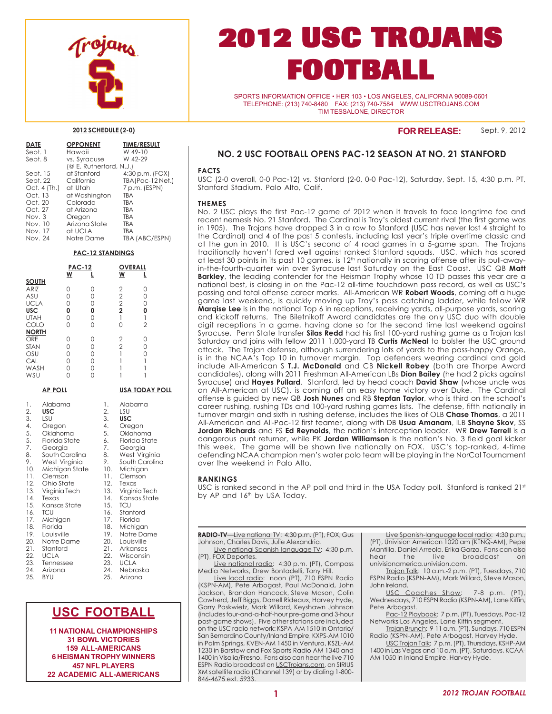

# **2012 USC TROJANS FOOTBALL**

SPORTS INFORMATION OFFICE • HER 103 • LOS ANGELES, CALIFORNIA 90089-0601 TELEPHONE: (213) 740-8480 FAX: (213) 740-7584 WWW.USCTROJANS.COM TIM TESSALONE, DIRECTOR

#### **2012 SCHEDULE (2-0)**

| <b>DATE</b>  | <b>OPPONENT</b>          | <b>TIME/RESULT</b> |
|--------------|--------------------------|--------------------|
| Sept. 1      | Hawaii                   | W 49-10            |
| Sept. 8      | vs. Syracuse             | W 42-29            |
|              | $@E$ . Rutherford, N.J.) |                    |
| Sept. 15     | at Stanford              | $4:30 p.m.$ (FOX)  |
| Sept. 22     | California               | TBA(Pac-12 Net.)   |
| Oct. 4 (Th.) | at Utah                  | 7 p.m. (ESPN)      |
| Oct. 13      | at Washington            | <b>TBA</b>         |
| Oct. 20      | Colorado                 | <b>TBA</b>         |
| Oct. 27      | at Arizona               | TBA                |
| Nov. 3       | Oregon                   | <b>TBA</b>         |
| Nov. 10      | Arizona State            | <b>TBA</b>         |
| Nov. 17      | at UCLA                  | <b>TBA</b>         |
| Nov. 24      | Notre Dame               | TBA (ABC/ESPN)     |

#### **PAC-12 STANDINGS**

|                                                                                                                                                      |                                                                                                                                                                                                                                                                                                                                   | <b>PAC-12</b><br>W                             | L                                                                                                                                                                                |                                                                                                                           | OVERALL<br>W                                                                                                                                                                                      | L                                                         |
|------------------------------------------------------------------------------------------------------------------------------------------------------|-----------------------------------------------------------------------------------------------------------------------------------------------------------------------------------------------------------------------------------------------------------------------------------------------------------------------------------|------------------------------------------------|----------------------------------------------------------------------------------------------------------------------------------------------------------------------------------|---------------------------------------------------------------------------------------------------------------------------|---------------------------------------------------------------------------------------------------------------------------------------------------------------------------------------------------|-----------------------------------------------------------|
| <b>SOUTH</b><br>ARIZ<br>ASU<br><b>UCLA</b><br><b>USC</b><br><b>UTAH</b><br>COLO                                                                      |                                                                                                                                                                                                                                                                                                                                   | 0<br>0<br>$\overline{O}$<br>O<br>0<br>$\Omega$ | 0<br>0<br>0<br>O<br>0<br>$\Omega$                                                                                                                                                |                                                                                                                           | $222$<br>2<br>2<br>$\mathbf{1}$<br>$\Omega$                                                                                                                                                       | 0<br>0<br>$\Omega$<br>0<br>$\mathbf{1}$<br>$\overline{2}$ |
| <b>NORTH</b><br><b>ORE</b><br><b>STAN</b><br>OSU<br>CAL<br>WASH<br>WSU                                                                               |                                                                                                                                                                                                                                                                                                                                   | 0<br>0<br>0<br>$\Omega$<br>0<br>$\Omega$       | 0<br>0<br>0<br>$\Omega$<br>0<br>$\Omega$                                                                                                                                         |                                                                                                                           | $\frac{2}{2}$<br>1<br>1<br>1<br>1                                                                                                                                                                 | 0<br>0<br>0<br>1<br>1<br>1                                |
|                                                                                                                                                      | <u>AP POLL</u>                                                                                                                                                                                                                                                                                                                    |                                                |                                                                                                                                                                                  |                                                                                                                           |                                                                                                                                                                                                   | <u>USA TODAY POLL</u>                                     |
| 1.<br>2.<br>3.<br>4.<br>5.<br>5.<br>7.<br>8.<br>9.<br>10.<br>11.<br>12.<br>13.<br>14.<br>15.<br>17.<br>18.<br>19.<br>20.<br>21.<br>22.<br>24.<br>25. | Alabama<br>USC<br>LSU<br>Oregon<br>Oklahoma<br>Florida State<br>Georgia<br>South Carolina<br>West Virginia<br>Michigan State<br>Clemson<br>Ohio State<br>Virginia Tech<br>Texas<br>Kansas State<br>16.<br><b>TCU</b><br>Michigan<br>Florida<br>Louisville<br>Notre Dame<br>Stanford<br><b>UCLA</b><br>23.<br>Tennessee<br>Arizona |                                                | 1.<br>2.<br>3.<br>$\overline{4}$ .<br>5.<br>6.<br>7.<br>8.<br>9.<br>10.<br>11.<br>12.<br>13.<br>14.<br>15.<br>16.<br>17.<br>18.<br>19.<br>20.<br>21.<br>22.<br>23.<br>24.<br>25. | LSU<br><b>USC</b><br>Oregon<br>Georgia<br>Clemson<br>Texas<br><b>TCU</b><br>Stanford<br>Florida<br><b>UCLA</b><br>Arizona | Alabama<br>Oklahoma<br>Florida State<br>West Virginia<br>South Carolina<br>Michigan<br>Virginia Tech<br>Kansas State<br>Michigan<br>Notre Dame<br>Louisville<br>Arkansas<br>Wisconsin<br>Nebraska |                                                           |

## **USC FOOTBALL**

**11 NATIONAL CHAMPIONSHIPS 31 BOWL VICTORIES 159 ALL-AMERICANS 6 HEISMAN TROPHY WINNERS 457 NFL PLAYERS 22 ACADEMIC ALL-AMERICANS**

## **NO. 2 USC FOOTBALL OPENS PAC-12 SEASON AT NO. 21 STANFORD**

**FOR RELEASE:**

Sept. 9, 2012

#### **FACTS**

USC (2-0 overall, 0-0 Pac-12) vs. Stanford (2-0, 0-0 Pac-12), Saturday, Sept. 15, 4:30 p.m. PT, Stanford Stadium, Palo Alto, Calif.

#### **THEMES**

No. 2 USC plays the first Pac-12 game of 2012 when it travels to face longtime foe and recent nemesis No. 21 Stanford. The Cardinal is Troy's oldest current rival (the first game was in 1905). The Trojans have dropped 3 in a row to Stanford (USC has never lost 4 straight to the Cardinal) and 4 of the past 5 contests, including last year's triple overtime classic and at the gun in 2010. It is USC's second of 4 road games in a 5-game span. The Trojans traditionally haven't fared well against ranked Stanford squads. USC, which has scored at least 30 points in its past 10 games, is 12<sup>th</sup> nationally in scoring offense after its pull-awayin-the-fourth-quarter win over Syracuse last Saturday on the East Coast. USC QB **Matt Barkley**, the leading contender for the Heisman Trophy whose 10 TD passes this year are a national best, is closing in on the Pac-12 all-time touchdown pass record, as well as USC's passing and total offense career marks. All-American WR **Robert Woods**, coming off a huge game last weekend, is quickly moving up Troy's pass catching ladder, while fellow WR **Marqise Lee** is in the national Top 6 in receptions, receiving yards, all-purpose yards, scoring and kickoff returns. The Biletnikoff Award candidates are the only USC duo with double digit receptions in a game, having done so for the second time last weekend against Syracuse. Penn State transfer **Silas Redd** had his first 100-yard rushing game as a Trojan last Saturday and joins with fellow 2011 1,000-yard TB **Curtis McNeal** to bolster the USC ground attack. The Trojan defense, although surrendering lots of yards to the pass-happy Orange, is in the NCAA's Top 10 in turnover margin. Top defenders wearing cardinal and gold include All-American S **T.J. McDonald** and CB **Nickell Robey** (both are Thorpe Award candidates), along with 2011 Freshman All-American LBs **Dion Bailey** (he had 2 picks against Syracuse) and **Hayes Pullard**. Stanford, led by head coach **David Shaw** (whose uncle was an All-American at USC), is coming off an easy home victory over Duke. The Cardinal offense is guided by new QB **Josh Nunes** and RB **Stepfan Taylor**, who is third on the school's career rushing, rushing TDs and 100-yard rushing games lists. The defense, fifth nationally in turnover margin and sixth in rushing defense, includes the likes of OLB **Chase Thomas**, a 2011 All-American and All-Pac-12 first teamer, along with DB **Usua Amanam**, ILB **Shayne Skov**, SS **Jordan Richards** and FS **Ed Reynolds**, the nation's interception leader. WR **Drew Terrell** is a dangerous punt returner, while PK **Jordan Williamson** is the nation's No. 3 field goal kicker this week. The game will be shown live nationally on FOX. USC's top-ranked, 4-time defending NCAA champion men's water polo team will be playing in the NorCal Tournament over the weekend in Palo Alto.

#### **RANKINGS**

USC is ranked second in the AP poll and third in the USA Today poll. Stanford is ranked  $21<sup>st</sup>$ by AP and 16<sup>th</sup> by USA Today.

Live national Spanish-language TV: 4:30 p.m. (PT), FOX Deportes.

Live national radio: 4:30 p.m. (PT), Compass Media Networks, Drew Bontadelli, Tony Hill.

Live local radio: noon (PT), 710 ESPN Radio (KSPN-AM), Pete Arbogast, Paul McDonald, John Jackson, Brandon Hancock, Steve Mason, Colin Cowherd, Jeff Biggs, Darrell Rideaux, Harvey Hyde, Garry Paskwietz, Mark Willard, Keyshawn Johnson (includes four-and-a-half-hour pre-game and 3-hour post-game shows). Five other stations are included on the USC radio network: KSPA-AM 1510 in Ontario/ San Bernardino County/Inland Empire, KXPS-AM 1010 in Palm Springs, KVEN-AM 1450 in Ventura, KSZL-AM 1230 in Barstow and Fox Sports Radio AM 1340 and 1400 in Visalia/Fresno. Fans also can hear the live 710 ESPN Radio broadcast on USCTrojans.com, on SIRIUS XM satellite radio (Channel 139) or by dialing 1-800- 846-4675 ext. 5933.

Live Spanish-language local radio: 4:30 p.m., (PT), Univision American 1020 am (KTNQ-AM), Pepe Mantilla, Daniel Arreola, Erika Garza. Fans can also hear the live broadcast on univisionamerica.univision.com.

Trojan Talk: 10 a.m.-2 p.m. (PT), Tuesdays, 710 ESPN Radio (KSPN-AM), Mark Willard, Steve Mason, John Ireland.

USC Coaches Show: 7-8 p.m. (PT), Wednesdays, 710 ESPN Radio (KSPN-AM), Lane Kiffin, Pete Arbogast.

Pac-12 Playbook: 7 p.m. (PT), Tuesdays, Pac-12 Networks Los Angeles, Lane Kiffin segment.

Trojan Brunch: 9-11 a.m. (PT), Sundays, 710 ESPN Radio (KSPN-AM), Pete Arbogast, Harvey Hyde.

USC Trojan Talk: 7 p.m. (PT), Thursdays, KSHP-AM 1400 in Las Vegas and 10 a.m. (PT), Saturdays, KCAA-AM 1050 in Inland Empire, Harvey Hyde.

**RADIO-TV**—Live national TV: 4:30 p.m. (PT), FOX, Gus Johnson, Charles Davis, Julie Alexandria.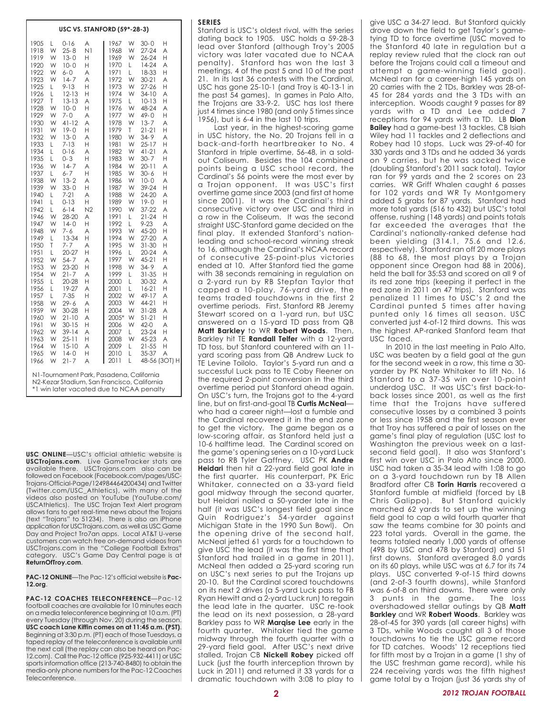**USC VS. STANFORD (59\*-28-3)**

**USC ONLINE**—USC's official athletic website is **USCTrojans.com**. Live GameTracker stats are available there. USCTrojans.com also can be followed on Facebook (Facebook.com/pages/USC-Trojans-Official-Page/124984464200434) and Twitter (Twitter.com/USC\_Athletics), with many of the videos also posted on YouTube (YouTube.com/ USCAthletics). The USC Trojan Text Alert program allows fans to get real-time news about the Trojans (text "Trojans" to 51234). There is also an iPhone application for USCTrojans.com, as well as USC Game Day and Project Tro7an apps. Local AT&T U-verse customers can watch free on-demand videos from USCTrojans.com in the "College Football Extras" category. USC's Game Day Central page is at **ReturnOfTroy.com**.

\*1 win later vacated due to NCAA penalty

**PAC-12 ONLINE**—The Pac-12's official website is **Pac-12.org**.

**PAC-12 COACHES TELECONFERENCE**—Pac-12 football coaches are available for 10 minutes each on a media teleconference beginning at 10 a.m. (PT) every Tuesday (through Nov. 20) during the season. **USC coach Lane Kiffin comes on at 11:45 a.m. (PST)**. Beginning at 3:30 p.m. (PT) each of those Tuesdays, a taped replay of the teleconference is available until the next call (the replay can also be heard on Pac-12.com). Call the Pac-12 office (925-932-4411) or USC sports information office (213-740-8480) to obtain the media-only phone numbers for the Pac-12 Coaches Teleconference.

Stanford is USC's oldest rival, with the series dating back to 1905. USC holds a 59-28-3 lead over Stanford (although Troy's 2005 victory was later vacated due to NCAA penalty). Stanford has won the last 3 meetings, 4 of the past 5 and 10 of the past 21. In its last 36 contests with the Cardinal, USC has gone 25-10-1 (and Troy is 40-13-1 in the past 54 games). In games in Palo Alto, the Trojans are 33-9-2. USC has lost there just 4 times since 1980 (and only 5 times since 1956), but is 6-4 in the last 10 trips.

Last year, in the highest-scoring game in USC history, the No. 20 Trojans fell in a back-and-forth heartbreaker to No. 4 Stanford in triple overtime, 56-48, in a soldout Coliseum. Besides the 104 combined points being a USC school record, the Cardinal's 56 points were the most ever by a Trojan opponent. It was USC's first overtime game since 2003 (and first at home since 2001). It was the Cardinal's third consecutive victory over USC and third in a row in the Coliseum. It was the second straight USC-Stanford game decided on the final play. It extended Stanford's nationleading and school-record winning streak to 16, although the Cardinal's NCAA record of consecutive 25-point-plus victories ended at 10. After Stanford tied the game with 38 seconds remaining in regulation on a 2-yard run by RB Stepfan Taylor that capped a 10-play, 76-yard drive, the teams traded touchdowns in the first 2 overtime periods. First, Stanford RB Jeremy Stewart scored on a 1-yard run, but USC answered on a 15-yard TD pass from QB **Matt Barkley** to WR **Robert Woods**. Then, Barkley hit TE **Randall Telfer** with a 12-yard TD toss, but Stanford countered with an 11 yard scoring pass from QB Andrew Luck to TE Levine Toilolo. Taylor's 5-yard run and a successful Luck pass to TE Coby Fleener on the required 2-point conversion in the third overtime period put Stanford ahead again. On USC's turn, the Trojans got to the 4-yard line, but on first-and-goal TB **Curtis McNeal** who had a career night—lost a fumble and the Cardinal recovered it in the end zone to get the victory. The game began as a low-scoring affair, as Stanford held just a 10-6 halftime lead. The Cardinal scored on the game's opening series on a 10-yard Luck pass to RB Tyler Gaffney. USC PK **Andre Heidari** then hit a 22-yard field goal late in the first quarter. His counterpart, PK Eric Whitaker, connected on a 33-yard field goal midway through the second quarter, but Heidari nailed a 50-yarder late in the half (it was USC's longest field goal since Quin Rodriguez's 54-yarder against Michigan State in the 1990 Sun Bowl). On the opening drive of the second half, McNeal jetted 61 yards for a touchdown to give USC the lead (it was the first time that Stanford had trailed in a game in 2011). McNeal then added a 25-yard scoring run on USC's next series to put the Trojans up 20-10. But the Cardinal scored touchdowns on its next 2 drives (a 5-yard Luck pass to FB Ryan Hewitt and a 2-yard Luck run) to regain the lead late in the quarter. USC re-took the lead on its next possession, a 28-yard Barkley pass to WR **Marqise Lee** early in the fourth quarter. Whitaker tied the game midway through the fourth quarter with a 29-yard field goal. After USC's next drive stalled, Trojan CB **Nickell Robey** picked off Luck (just the fourth interception thrown by Luck in 2011) and returned it 33 yards for a dramatic touchdown with 3:08 to play to

give USC a 34-27 lead. But Stanford quickly drove down the field to get Taylor's gametying TD to force overtime (USC moved to the Stanford 40 late in regulation but a replay review ruled that the clock ran out before the Trojans could call a timeout and attempt a game-winning field goal). McNeal ran for a career-high 145 yards on 20 carries with the 2 TDs, Barkley was 28-of-45 for 284 yards and the 3 TDs with an interception. Woods caught 9 passes for 89 yards with a TD and Lee added 7 receptions for 94 yards with a TD. LB **Dion Bailey** had a game-best 13 tackles, CB Isiah Wiley had 11 tackles and 2 deflections and Robey had 10 stops. Luck was 29-of-40 for 330 yards and 3 TDs and he added 36 yards on 9 carries, but he was sacked twice (doubling Stanford's 2011 sack total). Taylor ran for 99 yards and the 2 scores on 23 carries. WR Griff Whalen caught 6 passes for 102 yards and WR Ty Montgomery added 5 grabs for 87 yards. Stanford had more total yards (516 to 432) but USC's total offense, rushing (148 yards) and points totals far exceeded the averages that the Cardinal's nationally-ranked defense had been yielding (314.1, 75.6 and 12.6, respectively). Stanford ran off 20 more plays (88 to 68, the most plays by a Trojan opponent since Oregon had 88 in 2006), held the ball for 35:53 and scored on all 9 of its red zone trips (keeping it perfect in the red zone in 2011 on 47 trips). Stanford was penalized 11 times to USC's 2 and the Cardinal punted 5 times after having punted only 16 times all season. USC converted just 4-of-12 third downs. This was the highest AP-ranked Stanford team that USC faced.

In 2010 in the last meeting in Palo Alto, USC was beaten by a field goal at the gun for the second week in a row, this time a 30 yarder by PK Nate Whitaker to lift No. 16 Stanford to a 37-35 win over 10-point underdog USC. It was USC's first back-toback losses since 2001, as well as the first time that the Trojans have suffered consecutive losses by a combined 3 points or less since 1958 and the first season ever that Troy has suffered a pair of losses on the game's final play of regulation (USC lost to Washington the previous week on a lastsecond field goal). It also was Stanford's first win over USC in Palo Alto since 2000. USC had taken a 35-34 lead with 1:08 to go on a 3-yard touchdown run by TB Allen Bradford after CB **Torin Harris** recovered a Stanford fumble at midfield (forced by LB Chris Galippo). But Stanford quickly marched 62 yards to set up the winning field goal to cap a wild fourth quarter that saw the teams combine for 30 points and 223 total yards. Overall in the game, the teams totaled nearly 1,000 yards of offense (498 by USC and 478 by Stanford) and 51 first downs. Stanford averaged 8.0 yards on its 60 plays, while USC was at 6.7 for its 74 plays. USC converted 9-of-15 third downs (and 2-of-3 fourth downs), while Stanford was 6-of-8 on third downs. There were only 3 punts in the game. The loss overshadowed stellar outings by QB **Matt Barkley** and WR **Robert Woods**. Barkley was 28-of-45 for 390 yards (all career highs) with 3 TDs, while Woods caught all 3 of those touchdowns to tie the USC game record for TD catches. Woods' 12 receptions tied for fifth most by a Trojan in a game (1 shy of the USC freshman game record), while his 224 receiving yards was the fifth highest game total by a Trojan (just 36 yards shy of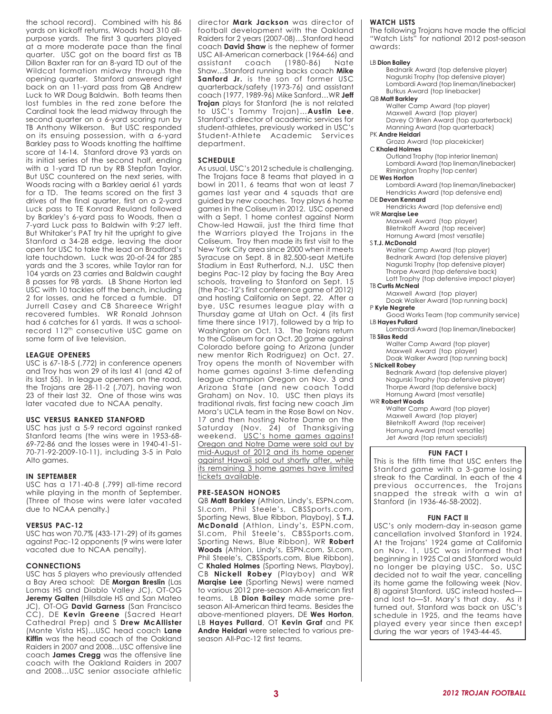the school record). Combined with his 86 yards on kickoff returns, Woods had 310 allpurpose yards. The first 3 quarters played at a more moderate pace than the final quarter. USC got on the board first as TB Dillon Baxter ran for an 8-yard TD out of the Wildcat formation midway through the opening quarter. Stanford answered right back on an 11-yard pass from QB Andrew Luck to WR Doug Baldwin. Both teams then lost fumbles in the red zone before the Cardinal took the lead midway through the second quarter on a 6-yard scoring run by TB Anthony Wilkerson. But USC responded on its ensuing possession, with a 6-yard Barkley pass to Woods knotting the halftime score at 14-14. Stanford drove 93 yards on its initial series of the second half, ending with a 1-yard TD run by RB Stepfan Taylor. But USC countered on the next series, with Woods racing with a Barkley aerial 61 yards for a TD. The teams scored on the first 3 drives of the final quarter, first on a 2-yard Luck pass to TE Konrad Reuland followed by Barkley's 6-yard pass to Woods, then a 7-yard Luck pass to Baldwin with 9:27 left. But Whitaker's PAT try hit the upright to give Stanford a 34-28 edge, leaving the door open for USC to take the lead on Bradford's late touchdown. Luck was 20-of-24 for 285 yards and the 3 scores, while Taylor ran for 104 yards on 23 carries and Baldwin caught 8 passes for 98 yards. LB Shane Horton led USC with 10 tackles off the bench, including 2 for losses, and he forced a fumble. DT Jurrell Casey and CB Shareece Wright recovered fumbles. WR Ronald Johnson had 6 catches for 61 yards. It was a schoolrecord 112th consecutive USC game on some form of live television.

#### **LEAGUE OPENERS**

USC is 67-18-5 (.772) in conference openers and Troy has won 29 of its last 41 (and 42 of its last 55). In league openers on the road, the Trojans are 28-11-2 (.707), having won 23 of their last 32. One of those wins was later vacated due to NCAA penalty.

#### **USC VERSUS RANKED STANFORD**

USC has just a 5-9 record against ranked Stanford teams (the wins were in 1953-68- 69-72-86 and the losses were in 1940-41-51- 70-71-92-2009-10-11), including 3-5 in Palo Alto games.

#### **IN SEPTEMBER**

USC has a 171-40-8 (.799) all-time record while playing in the month of September. (Three of those wins were later vacated due to NCAA penalty.)

#### **VERSUS PAC-12**

USC has won 70.7% (433-171-29) of its games against Pac-12 opponents (9 wins were later vacated due to NCAA penalty).

#### **CONNECTIONS**

USC has 5 players who previously attended a Bay Area school: DE **Morgan Breslin** (Las Lomas HS and Diablo Valley JC), OT-OG **Jeremy Galten** (Hillsdale HS and San Mateo JC), OT-OG **David Garness** (San Francisco CC), DE **Kevin Greene** (Sacred Heart Cathedral Prep) and S **Drew McAllister** (Monte Vista HS)…USC head coach **Lane Kiffin** was the head coach of the Oakland Raiders in 2007 and 2008…USC offensive line coach **James Cregg** was the offensive line coach with the Oakland Raiders in 2007 and 2008…USC senior associate athletic

director **Mark Jackson** was director of football development with the Oakland Raiders for 2 years (2007-08)…Stanford head coach **David Shaw** is the nephew of former USC All-American cornerback (1964-66) and assistant coach (1980-86) Nate Shaw…Stanford running backs coach **Mike** Sanford Jr. is the son of former USC quarterback/safety (1973-76) and assistant coach (1977, 1989-96) Mike Sanford…WR **Jeff Trojan** plays for Stanford (he is not related to USC's Tommy Trojan)…**Austin Lee**, Stanford's director of academic services for student-athletes, previously worked in USC's Student-Athlete Academic Services department.

#### **SCHEDULE**

As usual, USC's 2012 schedule is challenging. The Trojans face 8 teams that played in a bowl in 2011, 6 teams that won at least 7 games last year and 4 squads that are guided by new coaches. Troy plays 6 home games in the Coliseum in 2012. USC opened with a Sept. 1 home contest against Norm Chow-led Hawaii, just the third time that the Warriors played the Trojans in the Coliseum. Troy then made its first visit to the New York City area since 2000 when it meets Syracuse on Sept. 8 in 82,500-seat MetLife Stadium in East Rutherford, N.J. USC then begins Pac-12 play by facing the Bay Area schools, traveling to Stanford on Sept. 15 (the Pac-12's first conference game of 2012) and hosting California on Sept. 22. After a bye, USC resumes league play with a Thursday game at Utah on Oct. 4 (its first time there since 1917), followed by a trip to Washington on Oct. 13. The Trojans return to the Coliseum for an Oct. 20 game against Colorado before going to Arizona (under new mentor Rich Rodriguez) on Oct. 27. Troy opens the month of November with home games against 3-time defending league champion Oregon on Nov. 3 and Arizona State (and new coach Todd Graham) on Nov. 10. USC then plays its traditional rivals, first facing new coach Jim Mora's UCLA team in the Rose Bowl on Nov. 17 and then hosting Notre Dame on the Saturday (Nov. 24) of Thanksgiving weekend. USC's home games against Oregon and Notre Dame were sold out by mid-August of 2012 and its home opener against Hawaii sold out shortly after, while its remaining 3 home games have limited tickets available.

#### **PRE-SEASON HONORS**

QB **Matt Barkley** (Athlon, Lindy's, ESPN.com, SI.com, Phil Steele's, CBSSports.com, Sporting News, Blue Ribbon, Playboy), S **T.J. McDonald** (Athlon, Lindy's, ESPN.com, SI.com, Phil Steele's, CBSSports.com, Sporting News, Blue Ribbon), WR **Robert Woods** (Athlon, Lindy's, ESPN.com, SI.com, Phil Steele's, CBSSports.com, Blue Ribbon), C **Khaled Holmes** (Sporting News, Playboy), CB **Nickell Robey** (Playboy) and WR **Marqise Lee** (Sporting News) were named to various 2012 pre-season All-American first teams. LB **Dion Bailey** made some preseason All-American third teams. Besides the above-mentioned players, DE **Wes Horton**, LB **Hayes Pullard**, OT **Kevin Graf** and PK **Andre Heidari** were selected to various preseason All-Pac-12 first teams.

#### **WATCH LISTS**

The following Trojans have made the official "Watch Lists" for national 2012 post-season awards:

#### LB **Dion Bailey**

Bednarik Award (top defensive player) Nagurski Trophy (top defensive player) Lombardi Award (top lineman/linebacker) Butkus Award (top linebacker)

#### QB **Matt Barkley**

Walter Camp Award (top player) Maxwell Award (top player) Davey O'Brien Award (top quarterback) Manning Award (top quarterback)

#### PK **Andre Heidari**

Groza Award (top placekicker) C **Khaled Holmes**

Outland Trophy (top interior lineman) Lombardi Award (top lineman/linebacker) Rimington Trophy (top center)

#### DE **Wes Horton**

Lombardi Award (top lineman/linebacker) Hendricks Award (top defensive end)

DE **Devon Kennard** Hendricks Award (top defensive end)

#### WR **Marqise Lee**

Maxwell Award (top player) Biletnikoff Award (top receiver) Hornung Award (most versatile)

#### S **T.J. McDonald**

Walter Camp Award (top player) Bednarik Award (top defensive player) Nagurski Trophy (top defensive player) Thorpe Award (top defensive back) Lott Trophy (top defensive impact player) TB **Curtis McNeal**

Maxwell Award (top player)

Doak Walker Award (top running back) P **Kyle Negrete**

Good Works Team (top community service) LB **Hayes Pullard**

Lombardi Award (top lineman/linebacker) TB **Silas Redd**

Walter Camp Award (top player)

Maxwell Award (top player) Doak Walker Award (top running back) S **Nickell Robey**

#### Bednarik Award (top defensive player) Nagurski Trophy (top defensive player) Thorpe Award (top defensive back) Hornung Award (most versatile)

WR **Robert Woods**

Walter Camp Award (top player) Maxwell Award (top player) Biletnikoff Award (top receiver) Hornung Award (most versatile) Jet Award (top return specialist)

#### **FUN FACT I**

This is the fifth time that USC enters the Stanford game with a 3-game losing streak to the Cardinal. In each of the 4 previous occurrences, the Trojans snapped the streak with a win at Stanford (in 1936-46-58-2002).

#### **FUN FACT II**

USC's only modern-day in-season game cancellation involved Stanford in 1924. At the Trojans' 1924 game at California on Nov. 1, USC was informed that beginning in 1925 Cal and Stanford would no longer be playing USC. So, USC decided not to wait the year, cancelling its home game the following week (Nov. 8) against Stanford. USC instead hosted and lost to—St. Mary's that day. As it turned out, Stanford was back on USC's schedule in 1925, and the teams have played every year since then except during the war years of 1943-44-45.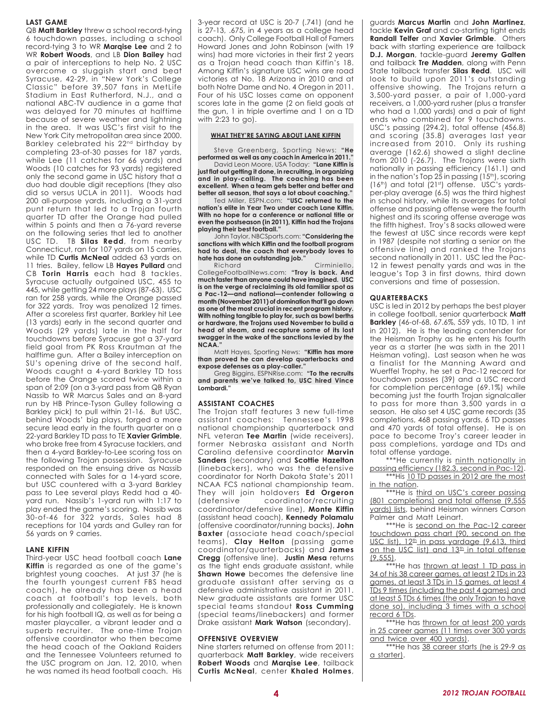#### **LAST GAME**

QB **Matt Barkley** threw a school record-tying 6 touchdown passes, including a school record-tying 3 to WR **Marqise Lee** and 2 to WR **Robert Woods**, and LB **Dion Bailey** had a pair of interceptions to help No. 2 USC overcome a sluggish start and beat Syracuse, 42-29, in "New York's College Classic" before 39,507 fans in MetLife Stadium in East Rutherford, N.J., and a national ABC-TV audience in a game that was delayed for 70 minutes at halftime because of severe weather and lightning in the area. It was USC's first visit to the New York City metropolitan area since 2000. Barkley celebrated his 22nd birthday by completing 23-of-30 passes for 187 yards, while Lee (11 catches for 66 yards) and Woods (10 catches for 93 yards) registered only the second game in USC history that a duo had double digit receptions (they also did so versus UCLA in 2011). Woods had 200 all-purpose yards, including a 31-yard punt return that led to a Trojan fourth quarter TD after the Orange had pulled within 5 points and then a 76-yard reverse on the following series that led to another USC TD. TB **Silas Redd**, from nearby Connecticut, ran for 107 yards on 15 carries, while TD **Curtis McNeal** added 63 yards on 11 tries. Bailey, fellow LB **Hayes Pullard** and CB **Torin Harris** each had 8 tackles. Syracuse actually outgained USC, 455 to 445, while getting 24 more plays (87-63). USC ran for 258 yards, while the Orange passed for 322 yards. Troy was penalized 12 times. After a scoreless first quarter, Barkley hit Lee (13 yards) early in the second quarter and Woods (29 yards) late in the half for touchdowns before Syracuse got a 37-yard field goal from PK Ross Krautman at the halftime gun. After a Bailey interception on SU's opening drive of the second half, Woods caught a 4-yard Barkley TD toss before the Orange scored twice within a span of 2:09 (on a 3-yard pass from QB Ryan Nassib to WR Marcus Sales and an 8-yard run by HB Prince-Tyson Gulley following a Barkley pick) to pull within 21-16. But USC, behind Woods' big plays, forged a more secure lead early in the fourth quarter on a 22-yard Barkley TD pass to TE **Xavier Grimble**, who broke free from 4 Syracuse tacklers, and then a 4-yard Barkley-to-Lee scoring toss on the following Trojan possession. Syracuse responded on the ensuing drive as Nassib connected with Sales for a 14-yard score, but USC countered with a 3-yard Barkley pass to Lee several plays Redd had a 40 yard run. Nassib's 1-yard run with 1:17 to play ended the game's scoring. Nassib was 30-of-46 for 322 yards, Sales had 8 receptions for 104 yards and Gulley ran for 56 yards on 9 carries.

#### **LANE KIFFIN**

Third-year USC head football coach **Lane Kiffin** is regarded as one of the game's brightest young coaches. At just 37 (he is the fourth youngest current FBS head coach), he already has been a head coach at football's top levels, both professionally and collegiately. He is known for his high football IQ, as well as for being a master playcaller, a vibrant leader and a superb recruiter. The one-time Trojan offensive coordinator who then became the head coach of the Oakland Raiders and the Tennessee Volunteers returned to the USC program on Jan. 12, 2010, when he was named its head football coach. His 3-year record at USC is 20-7 (.741) (and he is 27-13, .675, in 4 years as a college head coach). Only College Football Hall of Famers Howard Jones and John Robinson (with 19 wins) had more victories in their first 2 years as a Trojan head coach than Kiffin's 18. Among Kiffin's signature USC wins are road victories at No. 18 Arizona in 2010 and at both Notre Dame and No. 4 Oregon in 2011. Four of his USC losses came on opponent scores late in the game (2 on field goals at the gun, 1 in triple overtime and 1 on a TD with 2:23 to go).

#### **WHAT THEY'RE SAYING ABOUT LANE KIFFIN**

Steve Greenberg, Sporting News: **"He performed as well as any coach in America in 2011."**

David Leon Moore, USA Today: **"Lane Kiffin is just flat out getting it done, in recruiting, in organizing and in play-calling. The coaching has been excellent. When a team gets better and better and better all season, that says a lot about coaching."**

Ted Miller, ESPN.com: **"USC returned to the nation's elite in Year Two under coach Lane Kiffin. With no hope for a conference or national title or even the postseason (in 2011), Kiffin had the Trojans playing their best football."**

John Taylor, NBCSports.com: **"Considering the sanctions with which Kiffin and the football program had to deal, the coach that everybody loves to hate has done an outstanding job."**

Richard Cirminiello, CollegeFootballNews.com: **"Troy is back. And much faster than anyone could have imagined. USC is on the verge of reclaiming its old familiar spot as a Pac-12—and national—contender following a month (November 2011) of domination that'll go down as one of the most crucial in recent program history. With nothing tangible to play for, such as bowl berths or hardware, the Trojans used November to build a head of steam, and recapture some of its lost swagger in the wake of the sanctions levied by the NCAA."**

Matt Hayes, Sporting News: **"Kiffin has more than proved he can develop quarterbacks and expose defenses as a play-caller."**

Greg Biggins, ESPNRise.com: **"To the recruits and parents we've talked to, USC hired Vince Lombardi."**

#### **ASSISTANT COACHES**

The Trojan staff features 3 new full-time assistant coaches: Tennessee's 1998 national championship quarterback and NFL veteran **Tee Martin** (wide receivers), former Nebraska assistant and North Carolina defensive coordinator **Marvin Sanders** (secondary) and **Scottie Hazelton** (linebackers), who was the defensive coordinator for North Dakota State's 2011 NCAA FCS national championship team. They will join holdovers **Ed Orgeron** (defensive coordinator/recruiting coordinator/defensive line), **Monte Kiffin** (assistant head coach), **Kennedy Polamalu** (offensive coordinator/running backs), **John Baxter** (associate head coach/special teams), **Clay Helton** (passing game coordinator/quarterbacks) and **James Cregg** (offensive line). **Justin Mesa** returns as the tight ends graduate assistant, while **Shawn Howe** becomes the defensive line graduate assistant after serving as a defensive administrative assistant in 2011. New graduate assistants are former USC special teams standout **Ross Cumming** (special teams/linebackers) and former Drake assistant **Mark Watson** (secondary).

#### **OFFENSIVE OVERVIEW**

Nine starters returned on offense from 2011: quarterback **Matt Barkley**, wide receivers **Robert Woods** and **Marqise Lee**, tailback **Curtis McNeal**, center **Khaled Holmes**,

guards **Marcus Martin** and **John Martinez**, tackle **Kevin Graf** and co-starting tight ends **Randall Telfer** and **Xavier Grimble**. Others back with starting experience are tailback **D.J. Morgan**, tackle-guard **Jeremy Galten** and tailback **Tre Madden**, along with Penn State tailback transfer **Silas Redd**. USC will look to build upon 2011's outstanding offensive showing. The Trojans return a 3,500-yard passer, a pair of 1,000-yard receivers, a 1,000-yard rusher (plus a transfer who had a 1,000 yards) and a pair of tight ends who combined for 9 touchdowns. USC's passing (294.2), total offense (456.8) and scoring (35.8) averages last year increased from 2010. Only its rushing average (162.6) showed a slight decline from 2010 (-26.7). The Trojans were sixth nationally in passing efficiency (161.1) and in the nation's Top 25 in passing (15<sup>th</sup>), scoring (16th) and total (21st) offense. USC's yardsper-play average (6.5) was the third highest in school history, while its averages for total offense and passing offense were the fourth highest and its scoring offense average was the fifth highest. Troy's 8 sacks allowed were the fewest at USC since records were kept in 1987 (despite not starting a senior on the offensive line) and ranked the Trojans second nationally in 2011. USC led the Pac-12 in fewest penalty yards and was in the league's Top 3 in first downs, third down conversions and time of possession.

#### **QUARTERBACKS**

USC is led in 2012 by perhaps the best player in college football, senior quarterback **Matt Barkley** (46-of-68, 67.6%, 559 yds, 10 TD, 1 int in 2012). He is the leading contender for the Heisman Trophy as he enters his fourth year as a starter (he was sixth in the 2011 Heisman voting). Last season when he was a finalist for the Manning Award and Wuerffel Trophy, he set a Pac-12 record for touchdown passes (39) and a USC record for completion percentage (69.1%) while becoming just the fourth Trojan signalcaller to pass for more than 3,500 yards in a season. He also set 4 USC game records (35 completions, 468 passing yards, 6 TD passes and 470 yards of total offense). He is on pace to become Troy's career leader in pass completions, yardage and TDs and total offense yardage.

\*\*\*He currently is ninth nationally in passing efficiency (182.3, second in Pac-12). \*\*\*His 10 TD passes in 2012 are the most in the nation.

\*\*\*He is third on USC's career passing (801 completions) and total offense (9,555 yards) lists, behind Heisman winners Carson Palmer and Matt Leinart.

\*\*\*He is second on the Pac-12 career touchdown pass chart (90, second on the USC list), 12<sup>th</sup> in pass yardage (9,613, third on the USC list) and 13<sup>th</sup> in total offense  $(9.555)$ .

\*\*\*He has thrown at least 1 TD pass in 34 of his 38 career games, at least 2 TDs in 23 games, at least 3 TDs in 15 games, at least 4 TDs 9 times (including the past 4 games) and at least 5 TDs 6 times (the only Trojan to have done so), including 3 times with a school record 6 TDs.

\*\*\*He has thrown for at least 200 yards in 25 career games (11 times over 300 yards and twice over 400 yards).

\*\*\*He has 38 career starts (he is 29-9 as a starter).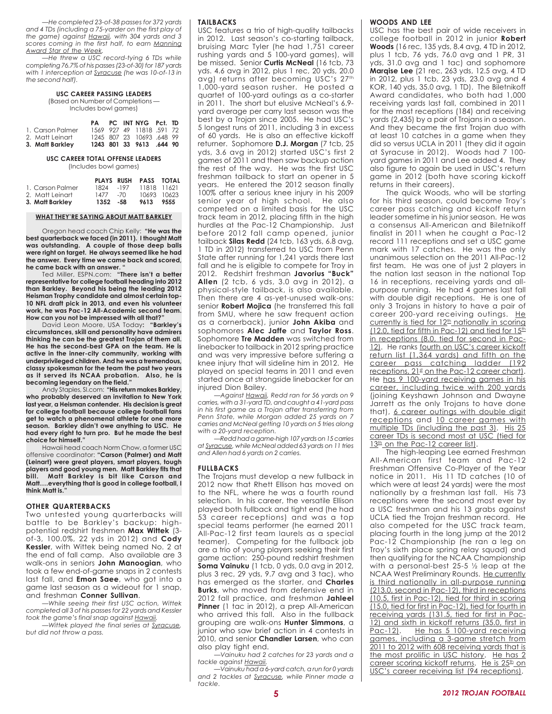*—He completed 23-of-38 passes for 372 yards and 4 TDs (including a 75-yarder on the first play of the game) against Hawaii, with 304 yards and 3 scores coming in the first half, to earn Manning Award Star of the Week.*

*—He threw a USC record-tying 6 TDs while completing 76.7% of his passes (23-of-30) for 187 yards with 1 interception at Syracuse (he was 10-of-13 in the second half).*

#### **USC CAREER PASSING LEADERS**

(Based on Number of Completions — Includes bowl games)

|                  | PA |  | PC INT NYG Pct. TD       |  |
|------------------|----|--|--------------------------|--|
| 1. Carson Palmer |    |  | 1569 927 49 11818 591 72 |  |
| 2. Matt Leinart  |    |  | 1245 807 23 10693 648 99 |  |
| 3. Matt Barkley  |    |  | 1243 801 33 9613 .644 90 |  |

#### **USC CAREER TOTAL OFFENSE LEADERS**

(Includes bowl games)

|                  |             |      | PLAYS RUSH PASS TOTAL |  |
|------------------|-------------|------|-----------------------|--|
| 1. Carson Palmer | 1824        | -197 | 11818 11621           |  |
| 2. Matt Leinart  | $1477 - 70$ |      | 10693 10623           |  |
| 3. Matt Barkley  | 1352 - 58   |      | 9613 9555             |  |

#### **WHAT THEY'RE SAYING ABOUT MATT BARKLEY**

Oregon head coach Chip Kelly: **"He was the best quarterback we faced (in 2011). I thought Matt was outstanding. A couple of those deep balls were right on target. He always seemed like he had the answer. Every time we came back and scored, he came back with an answer. "**

Ted Miller, ESPN.com: **"There isn't a better representative for college football heading into 2012 than Barkley. Beyond his being the leading 2012 Heisman Trophy candidate and almost certain top-10 NFL draft pick in 2013, and even his volunteer work, he was Pac-12 All-Academic second team. How can you not be impressed with all that?"**

David Leon Moore, USA Today**: "Barkley's circumstances, skill and personality have admirers thinking he can be the greatest Trojan of them all. He has the second-best GPA on the team. He is active in the inner-city community, working with underprivileged children. And he was a tremendous, classy spokesman for the team the past two years as it served its NCAA probation. Also, he is becoming legendary on the field."**

Andy Staples, SI.com: **"His return makes Barkley, who probably deserved an invitation to New York last year, a Heisman contender. His decision is great for college football because college football fans get to watch a phenomenal athlete for one more season. Barkley didn't owe anything to USC. He had every right to turn pro. But he made the best choice for himself."**

Hawaii head coach Norm Chow, a former USC offensive coordinator: **"Carson (Palmer) and Matt (Leinart) were great players, smart players, tough players and good young men. Matt Barkley fits that bill. Matt Barkley is bit like Carson and Matt….everything that is good in college football, I think Matt is."**

#### **OTHER QUARTERBACKS**

Two untested young quarterbacks will battle to be Barkley's backup: highpotential redshirt freshmen **Max Wittek** (3 of-3, 100.0%, 22 yds in 2012) and **Cody Kessler**, with Wittek being named No. 2 at the end of fall camp. Also available are 3 walk-ons in seniors **John Manoogian**, who took a few end-of-game snaps in 2 contests last fall, and **Emon Saee**, who got into a game last season as a wideout for 1 snap, and freshman **Conner Sullivan**.

*—While seeing their first USC action, Wittek completed all 3 of his passes for 22 yards and Kessler took the game's final snap against Hawaii.*

*—Wittek played the final series at Syracuse, but did not throw a pass.*

#### **TAILBACKS**

USC features a trio of high-quality tailbacks in 2012. Last season's co-starting tailback, bruising Marc Tyler (he had 1,751 career rushing yards and 5 100-yard games), will be missed. Senior **Curtis McNeal** (16 tcb, 73 yds. 4.6 avg in 2012, plus 1 rec, 20 yds, 20.0 avg) returns after becoming USC's 27th 1,000-yard season rusher. He posted a quartet of 100-yard outings as a co-starter in 2011. The short but elusive McNeal's 6.9 yard average per carry last season was the best by a Trojan since 2005. He had USC's 5 longest runs of 2011, including 3 in excess of 60 yards. He is also an effective kickoff returner. Sophomore **D.J. Morgan** (7 tcb, 25 yds, 3.6 avg in 2012) started USC's first 2 games of 2011 and then saw backup action the rest of the way. He was the first USC freshman tailback to start an opener in 5 years. He entered the 2012 season finally 100% after a serious knee injury in his 2009 senior year of high school. He also competed on a limited basis for the USC track team in 2012, placing fifth in the high hurdles at the Pac-12 Championship. Just before 2012 fall camp opened, junior tailback **Silas Redd** (24 tcb, 163 yds, 6.8 avg, 1 TD in 2012) transferred to USC from Penn State after running for 1,241 yards there last fall and he is eligible to compete for Troy in 2012. Redshirt freshman **Javorius "Buck" Allen** (2 tcb, 6 yds, 3.0 avg in 2012), a physical-style tailback, is also available. Then there are 4 as-yet-unused walk-ons: senior **Robert Mojica** (he transferred this fall from SMU, where he saw frequent action as a cornerback), junior **John Akiba** and sophomores **Alec Jaffe** and **Taylor Ross**. Sophomore **Tre Madden** was switched from linebacker to tailback in 2012 spring practice and was very impressive before suffering a knee injury that will sideline him in 2012. He played on special teams in 2011 and even started once at strongside linebacker for an injured Dion Bailey.

*—Against Hawaii, Redd ran for 56 yards on 9 carries, with a 31-yard TD, and caught a 41-yard pass in his first game as a Trojan after transferring from Penn State, while Morgan added 25 yards on 7 carries and McNeal getting 10 yards on 5 tries along with a 20-yard reception.*

*—Redd had a game-high 107 yards on 15 carries at Syracuse, while McNeal added 63 yards on 11 tries and Allen had 6 yards on 2 carries.*

#### **FULLBACKS**

The Trojans must develop a new fullback in 2012 now that Rhett Ellison has moved on to the NFL, where he was a fourth round selection. In his career, the versatile Ellison played both fullback and tight end (he had 53 career receptions) and was a top special teams performer (he earned 2011 All-Pac-12 first team laurels as a special teamer). Competing for the fullback job are a trio of young players seeking their first game action: 250-pound redshirt freshmen **Soma Vainuku** (1 tcb, 0 yds, 0.0 avg in 2012, plus 3 rec, 29 yds, 9.7 avg and 3 tac), who has emerged as the starter, and **Charles Burks**, who moved from defensive end in 2012 fall practice, and freshman **Jahleel Pinner** (1 tac in 2012), a prep All-American who arrived this fall. Also in the fullback grouping are walk-ons **Hunter Simmons**, a junior who saw brief action in 4 contests in 2010, and senior **Chandler Larsen**, who can also play tight end.

*—Vainuku had 2 catches for 23 yards and a tackle against Hawaii.*

*—Vainuku had a 6-yard catch, a run for 0 yards and 2 tackles at Syracuse, while Pinner made a tackle.*

#### **WOODS AND LEE**

USC has the best pair of wide receivers in college football in 2012 in junior **Robert Woods** (16 rec, 135 yds, 8.4 avg, 4 TD in 2012, plus 1 tcb, 76 yds, 76.0 avg and 1 PR, 31 yds, 31.0 avg and 1 tac) and sophomore **Marqise Lee** (21 rec, 263 yds, 12.5 avg, 4 TD in 2012, plus 1 tcb, 23 yds, 23.0 avg and 4 KOR, 140 yds, 35.0 avg, 1 TD). The Biletnikoff Award candidates, who both had 1,000 receiving yards last fall, combined in 2011 for the most receptions (184) and receiving yards (2,435) by a pair of Trojans in a season. And they became the first Trojan duo with at least 10 catches in a game when they did so versus UCLA in 2011 (they did it again at Syracuse in 2012). Woods had 7 100 yard games in 2011 and Lee added 4. They also figure to again be used in USC's return game in 2012 (both have scoring kickoff returns in their careers).

The quick Woods, who will be starting for his third season, could become Troy's career pass catching and kickoff return leader sometime in his junior season. He was a consensus All-American and Biletnikoff finalist in 2011 when he caught a Pac-12 record 111 receptions and set a USC game mark with 17 catches. He was the only unanimous selection on the 2011 All-Pac-12 first team. He was one of just 2 players in the nation last season in the national Top 16 in receptions, receiving yards and allpurpose running. He had 4 games last fall with double digit receptions. He is one of only 3 Trojans in history to have a pair of career 200-yard receiving outings. He currently is tied for  $12<sup>th</sup>$  nationally in scoring  $(12.0, \text{tied for fifth in Pac-12})$  and tied for  $15^{\text{th}}$ in receptions (8.0, tied for second in Pac-12). He ranks fourth on USC's career kickoff return list (1,364 yards) and fifth on the career pass catching ladder (192 receptions, 21st on the Pac-12 career chart). He has 9 100-yard receiving games in his career, including twice with 200 yards (joining Keyshawn Johnson and Dwayne Jarrett as the only Trojans to have done that), 6 career outings with double digit receptions and 10 career games with multiple TDs (including the past 3). His 25 career TDs is second most at USC (tied for 13<sup>th</sup> on the Pac-12 career list).

The high-leaping Lee earned Freshman All-American first team and Pac-12 Freshman Offensive Co-Player of the Year notice in 2011. His 11 TD catches (10 of which were at least 24 yards) were the most nationally by a freshman last fall. His 73 receptions were the second most ever by a USC freshman and his 13 grabs against UCLA tied the Trojan freshman record. He also competed for the USC track team, placing fourth in the long jump at the 2012 Pac-12 Championship (he ran a leg on Troy's sixth place spring relay squad) and then qualifying for the NCAA Championship with a personal-best 25-5 ½ leap at the NCAA West Preliminary Rounds. He currently is third nationally in all-purpose running (213.0, second in Pac-12), third in receptions (10.5, first in Pac-12), tied for third in scoring (15.0, tied for first in Pac-12), tied for fourth in receiving yards (131.5, tied for first in Pac-12) and sixth in kickoff returns (35.0, first in Pac-12). He has 5 100-yard receiving He has 5 100-yard receiving games, including a 3-game stretch from 2011 to 2012 with 608 receiving yards that is the most prolific in USC history. He has 2 career scoring kickoff returns. He is 25<sup>th</sup> on USC's career receiving list (94 receptions).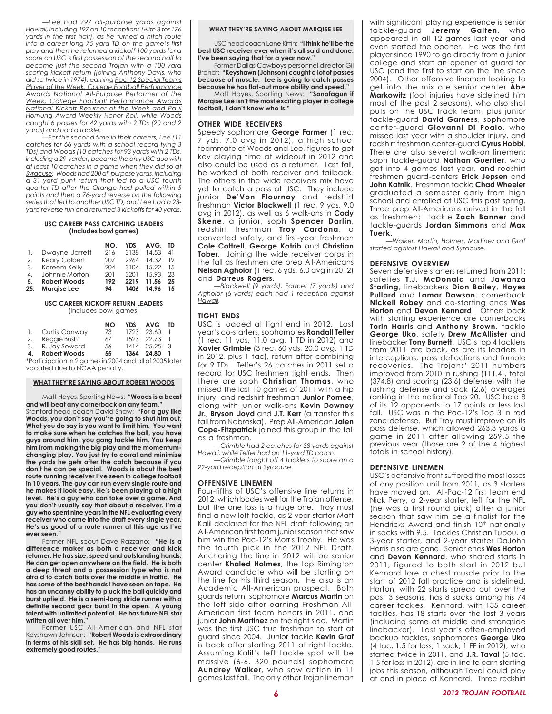*—Lee had 297 all-purpose yards against Hawaii, including 197 on 10 receptions (with 8 for 176 yards in the first half), as he turned a hitch route into a career-long 75-yard TD on the game's first play and then he returned a kickoff 100 yards for a score on USC's first possession of the second half to become just the second Trojan with a 100-yard scoring kickoff return (joining Anthony Davis, who did so twice in 1974), earning Pac-12 Special Teams Player of the Week, College Football Performance Awards National All-Purpose Performer of the Week, College Football Performance Awards National Kickoff Returner of the Week and Paul Hornung Award Weekly Honor Roll, while Woods caught 6 passes for 42 yards with 2 TDs (20 and 2 yards) and had a tackle.*

*—For the second time in their careers, Lee (11 catches for 66 yards with a school record-tying 3 TDs) and Woods (10 catches for 93 yards with 2 TDs, including a 29-yarder) became the only USC duo with at least 10 catches in a game when they did so at Syracuse; Woods had 200 all-purpose yards, including a 31-yard punt return that led to a USC fourth quarter TD after the Orange had pulled within 5 points and then a 76-yard reverse on the following series that led to another USC TD, and Lee had a 23 yard reverse run and returned 3 kickoffs for 40 yards.*

#### **USC CAREER PASS CATCHING LEADERS (Includes bowl games)**

|     |                     | NO. | <b>YDS</b> | AVG.  | TD |
|-----|---------------------|-----|------------|-------|----|
|     | Dwayne Jarrett      | 216 | 3138       | 14.53 | 41 |
| 2.  | Keary Colbert       | 207 | 2964       | 14.32 | 19 |
| 3.  | Kareem Kelly        | 204 | 3104       | 15.22 | 15 |
| 4.  | Johnnie Morton      | 201 | 3201       | 15.93 | 23 |
| 5.  | <b>Robert Woods</b> | 192 | 2219       | 11.56 | 25 |
| 25. | <b>Maraise Lee</b>  | 94  | 1406       | 14.96 | 15 |

#### **USC CAREER KICKOFF RETURN LEADERS** (Includes bowl games)

|    |                                                                          | NΟ | <b>YDS</b> | <b>AVG</b>   | TD             |
|----|--------------------------------------------------------------------------|----|------------|--------------|----------------|
|    | 1. Curtis Conway                                                         | 73 |            | 1723 23.60   |                |
| 2. | Reggie Bush*                                                             | 67 |            | 1523 22.73   |                |
|    | 3. R. Jay Soward                                                         | 56 |            | 1414 25.25 3 |                |
| 4. | <b>Robert Woods</b>                                                      | 55 |            | 1364 24.80   | $\blacksquare$ |
|    | $*D$ articip ation in $\Omega$ agreements $2004$ and all of $2005$ lets. |    |            |              |                |

4 and all of 2005 later vacated due to NCAA penalty.

#### **WHAT THEY'RE SAYING ABOUT ROBERT WOODS**

Matt Hayes, Sporting News: **"Woods is a beast and will beat any cornerback on any team."** Stanford head coach David Shaw: **"For a guy like Woods, you don't say you're going to shut him out. What you do say is you want to limit him. You want to make sure when he catches the ball, you have guys around him, you gang tackle him. You keep him from making the big play and the momentumchanging play. You just try to corral and minimize the yards he gets after the catch because if you don't he can be special. Woods is about the best route running receiver I've seen in college football in 10 years. The guy can run every single route and he makes it look easy. He's been playing at a high level. He's a guy who can take over a game. And you don't usually say that about a receiver. I'm a guy who spent nine years in the NFL evaluating every receiver who came into the draft every single year. He's as good of a route runner at this age as I've ever seen."**

Former NFL scout Dave Razzano: **"He is a difference maker as both a receiver and kick returner. He has size, speed and outstanding hands. He can get open anywhere on the field. He is both a deep threat and a possession type who is not afraid to catch balls over the middle in traffic. He has some of the best hands I have seen on tape. He has an uncanny ability to pluck the ball quickly and burst upfield. He is a semi-long stride runner with a definite second gear burst in the open. A young talent with unlimited potential. He has future NFL star written all over him."**

Former USC All-American and NFL star Keyshawn Johnson: **"Robert Woods is extraordinary in terms of his skill set. He has big hands. He runs extremely good routes."**

#### **WHAT THEY'RE SAYING ABOUT MARQISE LEE**

USC head coach Lane Kiffin: **"I think he'll be the best USC receiver ever when it's all said and done. I've been saying that for a year now."** 

Former Dallas Cowboys personnel director Gil Brandt: **"Keyshawn (Johnson) caught a lot of passes because of muscle. Lee is going to catch passes because he has flat-out more ability and speed."**

Matt Hayes, Sporting News: **"Sonofagun if Marqise Lee isn't the most exciting player in college football, I don't know who is."**

#### **OTHER WIDE RECEIVERS**

Speedy sophomore **George Farmer** (1 rec, 7 yds, 7.0 avg in 2012), a high school teammate of Woods and Lee, figures to get key playing time at wideout in 2012 and also could be used as a returner. Last fall, he worked at both receiver and tailback. The others in the wide receivers mix have yet to catch a pass at USC. They include junior **De'Von Flournoy** and redshirt freshman **Victor Blackwell** (1 rec, 9 yds, 9.0 avg in 2012), as well as 6 walk-ons in **Cody Skene**, a junior, soph **Spencer Darlin**, redshirt freshman **Troy Cardona**, a converted safety, and first-year freshman **Cole Cottrell**, **George Katrib** and **Christian Tober**. Joining the wide receiver corps in the fall as freshmen are prep All-Americans **Nelson Agholor** (1 rec, 6 yds, 6.0 avg in 2012) and **Darreus Rogers**.

*—Blackwell (9 yards), Farmer (7 yards) and Agholor (6 yards) each had 1 reception against Hawaii.*

#### **TIGHT ENDS**

USC is loaded at tight end in 2012. Last year's co-starters, sophomores **Randall Telfer** (1 rec, 11 yds, 11.0 avg, 1 TD in 2012) and **Xavier Grimble** (3 rec, 60 yds, 20.0 avg, 1 TD in 2012, plus 1 tac), return after combining for 9 TDs. Telfer's 26 catches in 2011 set a record for USC freshmen tight ends. Then there are soph **Christian Thomas**, who missed the last 10 games of 2011 with a hip injury, and redshirt freshman **Junior Pomee**, along with junior walk-ons **Kevin Downey Jr., Bryson Lloyd** and **J.T. Kerr** (a transfer this fall from Nebraska). Prep All-American **Jalen Cope-Fitzpatrick** joined this group in the fall as a freshman.

*—Grimble had 2 catches for 38 yards against Hawaii, while Telfer had an 11-yard TD catch.*

*—Grimble fought off 4 tacklers to score on a 22-yard reception at Syracuse.*

#### **OFFENSIVE LINEMEN**

Four-fifths of USC's offensive line returns in 2012, which bodes well for the Trojan offense, but the one loss is a huge one. Troy must find a new left tackle, as 2-year starter Matt Kalil declared for the NFL draft following an All-American first team junior season that saw him win the Pac-12's Morris Trophy. He was the fourth pick in the 2012 NFL Draft. Anchoring the line in 2012 will be senior center **Khaled Holmes**, the top Rimington Award candidate who will be starting on the line for his third season. He also is an Academic All-American prospect. Both guards return, sophomore **Marcus Martin** on the left side after earning Freshman All-American first team honors in 2011, and junior **John Martinez** on the right side. Martin was the first USC true freshman to start at guard since 2004. Junior tackle **Kevin Graf** is back after starting 2011 at right tackle. Assuming Kalil's left tackle spot will be massive (6-6, 320 pounds) sophomore **Aundrey Walker**, who saw action in 11 games last fall. The only other Trojan lineman with significant playing experience is senior tackle-guard **Jeremy Galten**, who appeared in all 12 games last year and even started the opener. He was the first player since 1990 to go directly from a junior college and start an opener at guard for USC (and the first to start on the line since 2004). Other offensive linemen looking to get into the mix are senior center **Abe Markowitz** (foot injuries have sidelined him most of the past 2 seasons), who also shot puts on the USC track team, plus junior tackle-guard **David Garness**, sophomore center-guard **Giovanni Di Poalo**, who missed last year with a shoulder injury, and redshirt freshman center-guard **Cyrus Hobbi**. There are also several walk-on linemen: soph tackle-guard **Nathan Guertler**, who got into 4 games last year, and redshirt freshmen guard-centers **Erick Jepsen** and **John Katnik**. Freshman tackle **Chad Wheeler** graduated a semester early from high school and enrolled at USC this past spring. Three prep All-Americans arrived in the fall as freshmen: tackle **Zach Banner** and tackle-guards **Jordan Simmons** and **Max Tuerk**.

*—Walker, Martin, Holmes, Martinez and Graf started against Hawaii and Syracuse.*

#### **DEFENSIVE OVERVIEW**

Seven defensive starters returned from 2011: safeties **T.J. McDonald** and **Jawanza Starling**, linebackers **Dion Bailey**, **Hayes Pullard** and **Lamar Dawson**, cornerback **Nickell Robey** and co-starting ends **Wes Horton** and **Devon Kennard**. Others back with starting experience are cornerbacks **Torin Harris** and **Anthony Brown**, tackle **George Uko**, safety **Drew McAllister** and linebacker **Tony Burnett**. USC's top 4 tacklers from 2011 are back, as are its leaders in interceptions, pass deflections and fumble recoveries. The Trojans' 2011 numbers improved from 2010 in rushing (111.4), total (374.8) and scoring (23.6) defense, with the rushing defense and sack (2.6) averages ranking in the national Top 20. USC held 8 of its 12 opponents to 17 points or less last fall. USC was in the Pac-12's Top 3 in red zone defense. But Troy must improve on its pass defense, which allowed 263.3 yards a game in 2011 after allowing 259.5 the previous year (those are 2 of the 4 highest totals in school history).

#### **DEFENSIVE LINEMEN**

USC's defensive front suffered the most losses of any position unit from 2011, as 3 starters have moved on. All-Pac-12 first team end Nick Perry, a 2-year starter, left for the NFL (he was a first round pick) after a junior season that saw him be a finalist for the Hendricks Award and finish 10<sup>th</sup> nationally in sacks with 9.5. Tackles Christian Tupou, a 3-year starter, and 2-year starter DaJohn Harris also are gone. Senior ends **Wes Horton** and **Devon Kennard**, who shared starts in 2011, figured to both start in 2012 but Kennard tore a chest muscle prior to the start of 2012 fall practice and is sidelined. Horton, with 22 starts spread out over the past 3 seasons, has 8 sacks among his 74 career tackles. Kennard, with 135 career tackles, has 18 starts over the last 3 years (including some at middle and strongside linebacker). Last year's often-employed backup tackles, sophomores **George Uko** (4 tac, 1.5 for loss, 1 sack, 1 FF in 2012), who started twice in 2011, and **J.R. Tavai** (5 tac, 1.5 for loss in 2012), are in line to earn starting jobs this season, although Tavai could play at end in place of Kennard. Three redshirt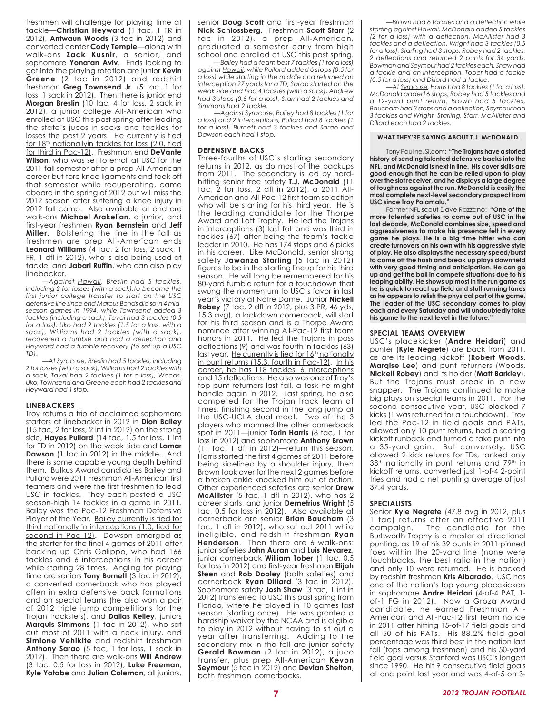freshmen will challenge for playing time at tackle—**Christian Heyward** (1 tac, 1 FR in 2012), **Antwaun Woods** (3 tac in 2012) and converted center **Cody Temple**—along with walk-ons **Zack Kusnir**, a senior, and sophomore **Yonatan Aviv**. Ends looking to get into the playing rotation are junior **Kevin Greene** (2 tac in 2012) and redshirt freshman **Greg Townsend Jr.** (5 tac, 1 for loss, 1 sack in 2012). Then there is junior end **Morgan Breslin** (10 tac, 4 for loss, 2 sack in 2012), a junior college All-American who enrolled at USC this past spring after leading the state's jucos in sacks and tackles for losses the past 2 years. He currently is tied for 18<sup>th</sup> nationallyin tackles for loss (2.0, tied for third in Pac-12). Freshman end **DeVante Wilson**, who was set to enroll at USC for the 2011 fall semester after a prep All-American career but tore knee ligaments and took off that semester while recuperating, came aboard in the spring of 2012 but will miss the 2012 season after suffering a knee injury in 2012 fall camp. Also available at end are walk-ons **Michael Arakelian**, a junior, and first-year freshmen **Ryan Bernstein** and **Jeff Miller**. Bolstering the line in the fall as freshmen are prep All-American ends **Leonard Williams** (4 tac, 2 for loss, 2 sack, 1 FR, 1 dfl in 2012), who is also being used at tackle, and **Jabari Ruffin**, who can also play linebacker.

*—Against Hawaii, Breslin had 5 tackles, including 2 for losses (with a sack),to become the first junior college transfer to start on the USC defensive line since end Marcus Bonds did so in 4 midseason games in 1994, while Townsend added 3 tackles (including a sack), Tavai had 3 tackles (0.5 for a loss), Uko had 2 tackles (1.5 for a loss, with a sack), Williams had 2 tackles (with a sack), recovered a fumble and had a deflection and Heyward had a fumble recovery (to set up a USC TD).*

*—At Syracuse, Breslin had 5 tackles, including 2 for losses (with a sack), Williams had 2 tackles with a sack, Tavai had 2 tackles (1 for a loss), Woods, Uko, Townsend and Greene each had 2 tackles and Heyward had 1 stop.*

#### **LINEBACKERS**

Troy returns a trio of acclaimed sophomore starters at linebacker in 2012 in **Dion Bailey** (15 tac, 2 for loss, 2 int in 2012) on the strong side, **Hayes Pullard** (14 tac, 1.5 for loss, 1 int for TD in 2012) on the weak side and **Lamar Dawson** (1 tac in 2012) in the middle. And there is some capable young depth behind them. Butkus Award candidates Bailey and Pullard were 2011 Freshman All-American first teamers and were the first freshmen to lead USC in tackles. They each posted a USC season-high 14 tackles in a game in 2011. Bailey was the Pac-12 Freshman Defensive Player of the Year. Bailey currently is tied for third nationally in interceptions (1.0, tied for second in Pac-12). Dawson emerged as the starter for the final 4 games of 2011 after backing up Chris Galippo, who had 166 tackles and 6 interceptions in his career while starting 28 times. Angling for playing time are seniors **Tony Burnett** (3 tac in 2012), a converted cornerback who has played often in extra defensive back formations and on special teams (he also won a pair of 2012 triple jump competitions for the Trojan tracksters), and **Dallas Kelley**, juniors **Marquis Simmons** (1 tac in 2012), who sat out most of 2011 with a neck injury, and **Simione Vehikite** and redshirt freshman **Anthony Sarao** (5 tac, 1 for loss, 1 sack in 2012). Then there are walk-ons **Will Andrew** (3 tac, 0.5 for loss in 2012), **Luke Freeman**, **Kyle Yatabe** and **Julian Coleman**, all juniors,

senior **Doug Scott** and first-year freshman **Nick Schlossberg**. Freshman **Scott Starr** (2 tac in 2012), a prep All-American, graduated a semester early from high school and enrolled at USC this past spring.

*—Bailey had a team best 7 tackles (1 for a loss) against Hawaii, while Pullard added 6 stops (0.5 for a loss) while starting in the middle and returned an interception 27 yards for a TD, Sarao started on the weak side and had 4 tackles (with a sack), Andrew had 3 stops (0.5 for a loss), Starr had 2 tackles and Simmons had 2 tackle.*

*—Against Syracuse, Bailey had 8 tackles (1 for a loss) and 2 interceptions, Pullard had 8 tackles (1 for a loss), Burnett had 3 tackles and Sarao and Dawson each had 1 stop.*

#### **DEFENSIVE BACKS**

Three-fourths of USC's starting secondary returns in 2012, as do most of the backups from 2011. The secondary is led by hardhitting senior free safety **T.J. McDonald** (11 tac, 2 for loss, 2 dfl in 2012), a 2011 All-American and All-Pac-12 first team selection who will be starting for his third year. He is the leading candidate for the Thorpe Award and Lott Trophy. He led the Trojans in interceptions (3) last fall and was third in tackles (67) after being the team's tackle leader in 2010. He has 174 stops and 6 picks in his career. Like McDonald, senior strong safety **Jawanza Starling** (5 tac in 2012) figures to be in the starting lineup for his third season. He will long be remembered for his 80-yard fumble return for a touchdown that swung the momentum to USC's favor in last year's victory at Notre Dame. Junior **Nickell Robey** (7 tac, 2 dfl in 2012, plus 3 PR, 46 yds, 15.3 avg), a lockdown cornerback, will start for his third season and is a Thorpe Award nominee after winning All-Pac-12 first team honors in 2011. He led the Trojans in pass deflections (9) and was fourth in tackles (63) last year. He currently is tied for  $16<sup>th</sup>$  nationally in punt returns (15.3, fourth in Pac-12). In his career, he has 118 tackles, 6 interceptions and 15 deflections. He also was one of Troy's top punt returners last fall, a task he might handle again in 2012. Last spring, he also competed for the Trojan track team at times, finishing second in the long jump at the USC-UCLA dual meet. Two of the 3 players who manned the other cornerback spot in 2011—junior **Torin Harris** (8 tac, 1 for loss in 2012) and sophomore **Anthony Brown** (11 tac, 1 dfl in 2012)—return this season. Harris started the first 4 games of 2011 before being sidelined by a shoulder injury, then Brown took over for the next 2 games before a broken ankle knocked him out of action. Other experienced safeties are senior **Drew McAllister** (5 tac, 1 dfl in 2012), who has 2 career starts, and junior **Demetrius Wright** (5 tac, 0.5 for loss in 2012). Also available at cornerback are senior **Brian Baucham** (3 tac, 1 dfl in 2012), who sat out 2011 while ineligible, and redshirt freshman **Ryan Henderson**. Then there are 6 walk-ons: junior safeties **John Auran** and **Luis Nevarez**, junior cornerback **William Tober** (1 tac, 0.5 for loss in 2012) and first-year freshmen **Elijah Steen** and **Rob Dooley** (both safeties) and cornerback **Ryan Dillard** (3 tac in 2012). Sophomore safety **Josh Shaw** (3 tac, 1 int in 2012) transferred to USC this past spring from Florida, where he played in 10 games last season (starting once). He was granted a hardship waiver by the NCAA and is eligible to play in 2012 without having to sit out a year after transferring. Adding to the secondary mix in the fall are junior safety **Gerald Bowman** (2 tac in 2012), a juco transfer, plus prep All-American **Kevon Seymour** (5 tac in 2012) and **Devian Shelton**, both freshman cornerbacks.

*—Brown had 6 tackles and a deflection while starting against Hawaii, McDonald added 5 tackles (2 for a loss) with a deflection, McAllister had 3 tackles and a deflection, Wright had 3 tackles (0.5 for a loss), Starling had 3 stops, Robey had 2 tackles, 2 deflections and returned 2 punts for 34 yards, Bowman and Seymour had 2 tackles each, Shaw had a tackle and an interception, Tober had a tackle (0.5 for a loss) and Dillard had a tackle.*

*—At Syracuse, Harris had 8 tackles (1 for a loss), McDonald added 6 stops, Robey had 5 tackles and a 12-yard punt return, Brown had 5 tackles, Baucham had 3 stops and a deflection, Seymour had 3 tackles and Wright, Starling, Starr, McAllister and Dillard each had 2 tackles.*

#### **WHAT THEY'RE SAYING ABOUT T.J. McDONALD**

Tony Pauline, SI.com: **"The Trojans have a storied history of sending talented defensive backs into the NFL, and McDonald is next in line. His cover skills are good enough that he can be relied upon to play over the slot receiver, and he displays a large degree of toughness against the run. McDonald is easily the most complete next-level secondary prospect from USC since Troy Polamalu."**

Former NFL scout Dave Razzano: **"One of the more talented safeties to come out of USC in the last decade, McDonald combines size, speed and aggressiveness to make his presence felt in every game he plays. He is a big time hitter who can create turnovers on his own with his aggressive style of play. He also displays the necessary speed/burst to come off the hash and break up plays downfield with very good timing and anticipation. He can go up and get the ball in compete situations due to his leaping ability. He shows up most in the run game as he is quick to react up field and stuff running lanes as he appears to relish the physical part of the game. The leader of the USC secondary comes to play each and every Saturday and will undoubtedly take** his game to the next level in the future.

#### **SPECIAL TEAMS OVERVIEW**

USC's placekicker (**Andre Heidari**) and punter (**Kyle Negrete**) are back from 2011, as are its leading kickoff (**Robert Woods, Marqise Lee**) and punt returners (Woods, **Nickell Robey**) and its holder (**Matt Barkley**). But the Trojans must break in a new snapper. The Trojans continued to make big plays on special teams in 2011. For the second consecutive year, USC blocked 7 kicks (1 was returned for a touchdown). Troy led the Pac-12 in field goals and PATs, allowed only 10 punt returns, had a scoring kickoff runback and turned a fake punt into a 35-yard gain. But conversely, USC allowed 2 kick returns for TDs, ranked only 38<sup>th</sup> nationally in punt returns and 79<sup>th</sup> in kickoff returns, converted just 1-of-4 2-point tries and had a net punting average of just 37.4 yards.

#### **SPECIALISTS**

Senior **Kyle Negrete** (47.8 avg in 2012, plus 1 tac) returns after an effective 2011 campaign. The candidate for the Burlsworth Trophy is a master at directional punting, as 19 of his 39 punts in 2011 pinned foes within the 20-yard line (none were touchbacks, the best ratio in the nation) and only 10 were returned. He is backed by redshirt freshman **Kris Albarado**. USC has one of the nation's top young placekickers in sophomore **Andre Heidari** (4-of-4 PAT, 1 of-1 FG in 2012). Now a Groza Award candidate, he earned Freshman All-American and All-Pac-12 first team notice in 2011 after hitting 15-of-17 field goals and all 50 of his PATs. His 88.2% field goal percentage was third best in the nation last fall (tops among freshmen) and his 50-yard field goal versus Stanford was USC's longest since 1990. He hit 9 consecutive field goals at one point last year and was 4-of-5 on 3-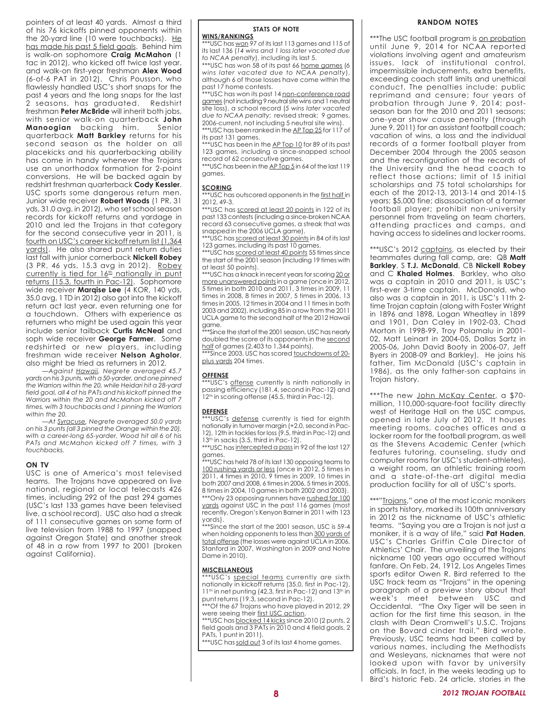pointers of at least 40 yards. Almost a third of his 76 kickoffs pinned opponents within the 20-yard line (10 were touchbacks). He has made his past 5 field goals. Behind him is walk-on sophomore **Craig McMahon** (1 tac in 2012), who kicked off twice last year, and walk-on first-year freshman **Alex Wood** (6-of-6 PAT in 2012). Chris Pousson, who flawlessly handled USC's short snaps for the past 4 years and the long snaps for the last 2 seasons, has graduated. Redshirt freshman **Peter McBride** will inherit both jobs, with senior walk-on quarterback **John Manoogian** backing him. Senior quarterback **Matt Barkley** returns for his second season as the holder on all placekicks and his quarterbacking ability has come in handy whenever the Trojans use an unorthodox formation for 2-point conversions. He will be backed again by redshirt freshman quarterback **Cody Kessler**. USC sports some dangerous return men. Junior wide receiver **Robert Woods** (1 PR, 31 yds, 31.0 avg. in 2012), who set school season records for kickoff returns and yardage in 2010 and led the Trojans in that category for the second consecutive year in 2011, is fourth on USC's career kickoff return list (1,364 yards). He also shared punt return duties last fall with junior cornerback **Nickell Robey** (3 PR, 46 yds, 15.3 avg in 2012). Robey currently is tied for  $16<sup>th</sup>$  nationally in punt returns (15.3, fourth in Pac-12). Sophomore wide receiver **Marqise Lee** (4 KOR, 140 yds, 35.0 avg, 1 TD in 2012) also got into the kickoff return act last year, even returning one for a touchdown. Others with experience as returners who might be used again this year include senior tailback **Curtis McNeal** and soph wide receiver **George Farmer**. Some redshirted or new players, including freshman wide receiver **Nelson Agholor**, also might be tried as returners in 2012.

*—Against Hawaii, Negrete averaged 45.7 yards on his 3 punts, with a 50-yarder, and one pinned the Warriors within the 20, while Heidari hit a 28-yard field goal, all 4 of his PATs and his kickoff pinned the Warriors within the 20 and McMahon kicked off 7 times, with 3 touchbacks and 1 pinning the Warriors within the 20.*

*—At Syracuse, Negrete averaged 50.0 yards on his 3 punts (all 3 pinned the Orange within the 20), with a career-long 65-yarder, Wood hit all 6 of his PATs and McMahon kicked off 7 times, with 3 touchbacks.*

#### **ON TV**

USC is one of America's most televised teams. The Trojans have appeared on live national, regional or local telecasts 426 times, including 292 of the past 294 games (USC's last 133 games have been televised live, a school record). USC also had a streak of 111 consecutive games on some form of live television from 1988 to 1997 (snapped against Oregon State) and another streak of 48 in a row from 1997 to 2001 (broken against California).

#### **STATS OF NOTE**

**WINS/RANKINGS**

\*USC has won 97 of its last 113 games and 115 of its last 136 (*14 wins and 1 loss later vacated due to NCAA penalty*), including its last 5.

\*\*\*USC has won 58 of its past 66 home games (*6 wins later vacated due to NCAA penalty*), although 6 of those losses have come within the past 17 home contests.

\*\*USC has won its past 14 non-conference road games (not including 9 neutral site wins and 1 neutral site loss), a school record (*5 wins later vacated due to NCAA penalty*; revised streak: 9 games, 2006-current, not including 5 neutral site wins). \*\*\*USC has been ranked in the AP Top 25 for 117 of

its past 131 games. \*\*\*USC has been in the AP Top 10 for 89 of its past 123 games, including a since-snapped school

record of 62 consecutive games. \*\*\*USC has been in the AP Top 5 in 64 of the last 119 games.

#### **SCORING**

\*\*\*USC has outscored opponents in the first half in 2012, 49-3.

\*\*\*USC has scored at least 20 points in 122 of its past 133 contests (including a since-broken NCAA record 63 consecutive games, a streak that was snapped in the 2006 UCLA game).

\*\*\*USC has scored at least 30 points in 84 of its last 123 games, including its past 10 games.

\*\*\*USC has scored at least 40 points 55 times since the start of the 2001 season (including 19 times with at least 50 points).

\*\*\*USC has a knack in recent years for scoring 20 or more unanswered points in a game (once in 2012, 5 times in both 2010 and 2011, 3 times in 2009, 11 times in 2008, 8 times in 2007, 5 times in 2006, 13 times in 2005, 12 times in 2004 and 11 times in both 2003 and 2002), including 85 in a row from the 2011 UCLA game to the second half of the 2012 Hawaii game.

\*\*\*Since the start of the 2001 season, USC has nearly doubled the score of its opponents in the second half of games (2,403 to 1,344 points).

\*\*\*Since 2003, USC has scored touchdowns of 20plus yards 204 times.

#### **OFFENSE**

\*USC's offense currently is ninth nationally in passing efficiency (181.4, second in Pac-12) and 12<sup>th</sup> in scoring offense (45.5, third in Pac-12).

#### **DEFENSE**

\*USC's defense currently is tied for eighth nationally in turnover margin (+2.0, second in Pac-12), 12th in tackles for loss (9.5, third in Pac-12) and  $13<sup>th</sup>$  in sacks (3.5, third in Pac-12).

\*\*\*USC has intercepted a pass in 92 of the last 127 games.

\*\*\*USC has held 78 of its last 130 opposing teams to 100 rushing yards or less (once in 2012, 5 times in 2011, 4 times in 2010, 9 times in 2009, 10 times in both 2007 and 2008, 6 times in 2006, 5 times in 2005, 8 times in 2004, 10 games in both 2002 and 2003).

\*\*\*Only 23 opposing runners have rushed for 100 yards against USC in the past 116 games (most recently, Oregon's Kenyon Barner in 2011 with 123 yards).

\*\*\*Since the start of the 2001 season, USC is 59-4 when holding opponents to less than 300 yards of total offense (the losses were against UCLA in 2006, Stanford in 2007, Washington in 2009 and Notre Dame in 2010).

#### **MISCELLANEOUS**

\*\*USC's special teams currently are sixth nationally in kickoff returns (35.0, first in Pac-12), 11<sup>th</sup> in net punting (42.3, first in Pac-12) and 13<sup>th</sup> in punt returns (19.3, second in Pac-12).

\*\*\*Of the 67 Trojans who have played in 2012, 29 were seeing their first USC action.

\*\*USC has **blocked 14 kicks** since 2010 (2 punts, 2 field goals and 3 PATs in 2010 and 4 field goals, 2 PATs, 1 punt in 2011).

\*\*\*USC has sold out 3 of its last 4 home games.

#### **RANDOM NOTES**

\*\*\*The USC football program is on probation until June 9, 2014 for NCAA reported violations involving agent and amateurism issues, lack of institutional control, impermissible inducements, extra benefits, exceeding coach staff limits and unethical conduct. The penalties include: public reprimand and censure; four years of probation through June 9, 2014; postseason ban for the 2010 and 2011 seasons; one-year show cause penalty (through June 9, 2011) for an assistant football coach; vacation of wins, a loss and the individual records of a former football player from December 2004 through the 2005 season and the reconfiguration of the records of the University and the head coach to reflect those actions; limit of 15 initial scholarships and 75 total scholarships for each of the 2012-13, 2013-14 and 2014-15 years; \$5,000 fine; disassociation of a former football player; prohibit non-university personnel from traveling on team charters, attending practices and camps, and having access to sidelines and locker rooms.

\*\*\* USC's 2012 captains, as elected by their teammates during fall camp, are: QB **Matt Barkley**, S **T.J. McDonald**, CB **Nickell Robey** and C **Khaled Holmes**. Barkley, who also was a captain in 2010 and 2011, is USC's first-ever 3-time captain. McDonald, who also was a captain in 2011, is USC's 11th 2 time Trojan captain (along with Foster Wright in 1896 and 1898, Logan Wheatley in 1899 and 1901, Dan Caley in 1902-03, Chad Morton in 1998-99, Troy Polamalu in 2001- 02, Matt Leinart in 2004-05, Dallas Sartz in 2005-06, John David Booty in 2006-07, Jeff Byers in 2008-09 and Barkley). He joins his father, Tim McDonald (USC's captain in 1986), as the only father-son captains in Trojan history.

\*\*\*The new John McKay Center, a \$70million, 110,000-square-foot facility directly west of Heritage Hall on the USC campus, opened in late July of 2012. It houses meeting rooms, coaches offices and a locker room for the football program, as well as the Stevens Academic Center (which features tutoring, counseling, study and computer rooms for USC's student-athletes), a weight room, an athletic training room and a state-of-the-art digital media production facility for all of USC's sports.

\*\*\*"Trojans," one of the most iconic monikers in sports history, marked its 100th anniversary in 2012 as the nickname of USC's athletic teams. "Saying you are a Trojan is not just a moniker, it is a way of life," said **Pat Haden**, USC's Charles Griffin Cale Director of Athletics' Chair. The unveiling of the Trojans nickname 100 years ago occurred without fanfare. On Feb. 24, 1912, Los Angeles Times sports editor Owen R. Bird referred to the USC track team as "Trojans" in the opening paragraph of a preview story about that week's meet between USC and Occidental. "The Oxy Tiger will be seen in action for the first time this season, in the clash with Dean Cromwell's U.S.C. Trojans on the Bovard cinder trail," Bird wrote. Previously, USC teams had been called by various names, including the Methodists and Wesleyans, nicknames that were not looked upon with favor by university officials. In fact, in the weeks leading up to Bird's historic Feb. 24 article, stories in the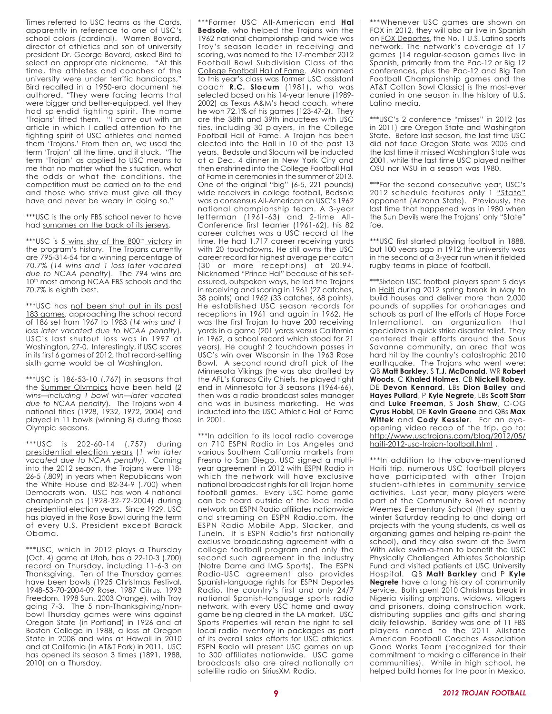Times referred to USC teams as the Cards, apparently in reference to one of USC's school colors (cardinal). Warren Bovard, director of athletics and son of university president Dr. George Bovard, asked Bird to select an appropriate nickname. "At this time, the athletes and coaches of the university were under terrific handicaps," Bird recalled in a 1950-era document he authored. "They were facing teams that were bigger and better-equipped, yet they had splendid fighting spirit. The name 'Trojans' fitted them. "I came out with an article in which I called attention to the fighting spirit of USC athletes and named them 'Trojans.' From then on, we used the term 'Trojan' all the time, and it stuck. "The term 'Trojan' as applied to USC means to me that no matter what the situation, what the odds or what the conditions, the competition must be carried on to the end and those who strive must give all they have and never be weary in doing so."

\*\*\*USC is the only FBS school never to have had surnames on the back of its jerseys.

\*\*\*USC is 5 wins shy of the 800<sup>th</sup> victory in the program's history. The Trojans currently are 795-314-54 for a winning percentage of 70.7% (*14 wins and 1 loss later vacated due to NCAA penalty*). The 794 wins are 10<sup>th</sup> most among NCAA FBS schools and the 70.7% is eighth best.

\*\*\* USC has not been shut out in its past 183 games, approaching the school record of 186 set from 1967 to 1983 (*14 wins and 1 loss later vacated due to NCAA penalty*). USC's last shutout loss was in 1997 at Washington, 27-0. Interestingly, if USC scores in its first 6 games of 2012, that record-setting sixth game would be at Washington.

\*\*\*USC is 186-53-10 (.767) in seasons that the Summer Olympics have been held (*2 wins—including 1 bowl win—later vacated due to NCAA penalty*). The Trojans won 4 national titles (1928, 1932, 1972, 2004) and played in 11 bowls (winning 8) during those Olympic seasons.

\*\*\*USC is 202-60-14 (.757) during presidential election years (*1 win later vacated due to NCAA penalty*). Coming into the 2012 season, the Trojans were 118- 26-5 (.809) in years when Republicans won the White House and 82-34-9 (.700) when Democrats won. USC has won 4 national championships (1928-32-72-2004) during presidential election years. Since 1929, USC has played in the Rose Bowl during the term of every U.S. President except Barack Obama.

\*\*\*USC, which in 2012 plays a Thursday (Oct. 4) game at Utah, has a 22-10-3 (.700) record on Thursday, including 11-6-3 on Thanksgiving. Ten of the Thursday games have been bowls (1925 Christmas Festival, 1948-53-70-2004-09 Rose, 1987 Citrus, 1993 Freedom, 1998 Sun, 2003 Orange), with Troy going 7-3. The 5 non-Thanksgiving/nonbowl Thursday games were wins against Oregon State (in Portland) in 1926 and at Boston College in 1988, a loss at Oregon State in 2008 and wins at Hawaii in 2010 and at California (in AT&T Park) in 2011. USC has opened its season 3 times (1891, 1988, 2010) on a Thursday.

\*\*\*Former USC All-American end **Hal Bedsole**, who helped the Trojans win the 1962 national championship and twice was Troy's season leader in receiving and scoring, was named to the 17-member 2012 Football Bowl Subdivision Class of the College Football Hall of Fame. Also named to this year's class was former USC assistant coach **R.C. Slocum** (1981), who was selected based on his 14-year tenure (1989- 2002) as Texas A&M's head coach, where he won 72.1% of his games (123-47-2). They are the 38th and 39th inductees with USC ties, including 30 players, in the College Football Hall of Fame. A Trojan has been elected into the Hall in 10 of the past 13 years. Bedsole and Slocum will be inducted at a Dec. 4 dinner in New York City and then enshrined into the College Football Hall of Fame in ceremonies in the summer of 2013. One of the original "big" (6-5, 221 pounds) wide receivers in college football, Bedsole was a consensus All-American on USC's 1962 national championship team. A 3-year letterman (1961-63) and 2-time All-Conference first teamer (1961-62), his 82 career catches was a USC record at the time. He had 1,717 career receiving yards with 20 touchdowns. He still owns the USC career record for highest average per catch (30 or more receptions) at 20.94. Nicknamed "Prince Hal" because of his selfassured, outspoken ways, he led the Trojans in receiving and scoring in 1961 (27 catches, 38 points) and 1962 (33 catches, 68 points). He established USC season records for receptions in 1961 and again in 1962. He was the first Trojan to have 200 receiving yards in a game (201 yards versus California in 1962, a school record which stood for 21 years). He caught 2 touchdown passes in USC's win over Wisconsin in the 1963 Rose Bowl. A second round draft pick of the Minnesota Vikings (he was also drafted by the AFL's Kansas City Chiefs, he played tight end in Minnesota for 3 seasons (1964-66), then was a radio broadcast sales manager and was in business marketing. He was inducted into the USC Athletic Hall of Fame in 2001.

\*\*\*In addition to its local radio coverage on 710 ESPN Radio in Los Angeles and various Southern California markets from Fresno to San Diego, USC signed a multiyear agreement in 2012 with ESPN Radio in which the network will have exclusive national broadcast rights for all Trojan home football games. Every USC home game can be heard outside of the local radio network on ESPN Radio affiliates nationwide and streaming on ESPN Radio.com, the ESPN Radio Mobile App, Slacker, and TuneIn. It is ESPN Radio's first nationally exclusive broadcasting agreement with a college football program and only the second such agreement in the industry (Notre Dame and IMG Sports). The ESPN Radio-USC agreement also provides Spanish-language rights for ESPN Deportes Radio, the country's first and only 24/7 national Spanish-language sports radio network, with every USC home and away game being cleared in the LA market. USC Sports Properties will retain the right to sell local radio inventory in packages as part of its overall sales efforts for USC athletics. ESPN Radio will present USC games on up to 300 affiliates nationwide. USC game broadcasts also are aired nationally on satellite radio on SiriusXM Radio.

\*\*\*Whenever USC games are shown on FOX in 2012, they will also air live in Spanish on **FOX Deportes**, the No. 1 U.S. Latino sports network. The network's coverage of 17 games (14 regular-season games live in Spanish, primarily from the Pac-12 or Big 12 conferences, plus the Pac-12 and Big Ten Football Championship games and the AT&T Cotton Bowl Classic) is the most-ever carried in one season in the history of U.S. Latino media.

\*\*\*USC's 2 conference "misses" in 2012 (as in 2011) are Oregon State and Washington State. Before last season, the last time USC did not face Oregon State was 2005 and the last time it missed Washington State was 2001, while the last time USC played neither OSU nor WSU in a season was 1980.

\*\*\*For the second consecutive year, USC's 2012 schedule features only 1 "State" opponent (Arizona State). Previously, the last time that happened was in 1980 when the Sun Devils were the Trojans' only "State" foe.

\*\*\*USC first started playing football in 1888, but 100 years ago in 1912 the university was in the second of a 3-year run when it fielded rugby teams in place of football.

\*\*\*Sixteen USC football players spent 5 days in **Haiti** during 2012 spring break in May to build houses and deliver more than 2,000 pounds of supplies for orphanages and schools as part of the efforts of Hope Force International, an organization that specializes in quick strike disaster relief. They centered their efforts around the Sous Savanne community, an area that was hard hit by the country's catastrophic 2010 earthquake. The Trojans who went were: QB **Matt Barkley**, S **T.J. McDonald**, WR **Robert Woods**, C **Khaled Holmes**, CB **Nickell Robey**, DE **Devon Kennard**, LBs **Dion Bailey** and **Hayes Pullard**, P **Kyle Negrete**, LBs **Scott Starr** and **Luke Freeman**, S **Josh Shaw**, C-OG **Cyrus Hobbi**, DE **Kevin Greene** and QBs **Max Wittek** and **Cody Kessler**. For an eyeopening video recap of the trip, go to: http://www.usctrojans.com/blog/2012/05/ haiti-2012-usc-trojan-football.html .

\*\*\*In addition to the above-mentioned Haiti trip, numerous USC football players have participated with other Trojan student-athletes in community service activities. Last year, many players were part of the Community Bowl at nearby Weemes Elementary School (they spent a winter Saturday reading to and doing art projects with the young students, as well as organizing games and helping re-paint the school), and they also swam at the Swim With Mike swim-a-thon to benefit the USC Physically Challenged Athletes Scholarship Fund and visited patients at USC University Hospital. QB **Matt Barkley** and P **Kyle Negrete** have a long history of community service. Both spent 2010 Christmas break in Nigeria visiting orphans, widows, villagers and prisoners, doing construction work, distributing supplies and gifts and sharing daily fellowship. Barkley was one of 11 FBS players named to the 2011 Allstate American Football Coaches Association Good Works Team (recognized for their commitment to making a difference in their communities). While in high school, he helped build homes for the poor in Mexico,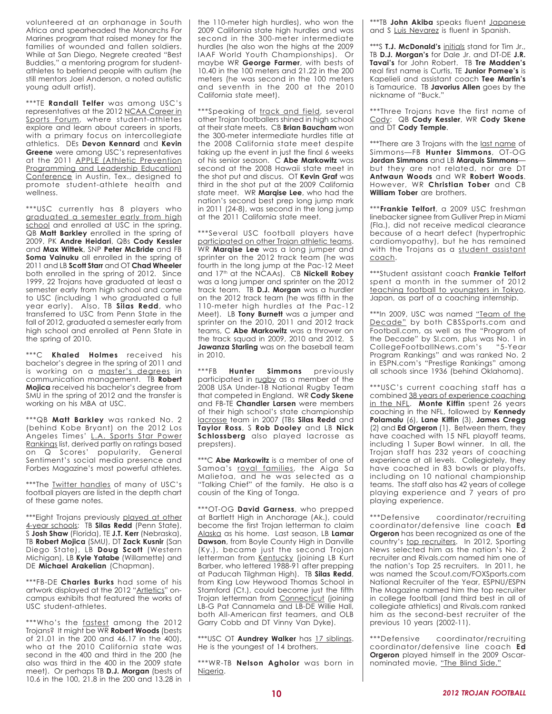volunteered at an orphanage in South Africa and spearheaded the Monarchs For Marines program that raised money for the families of wounded and fallen soldiers. While at San Diego, Negrete created "Best Buddies," a mentoring program for studentathletes to befriend people with autism (he still mentors Joel Anderson, a noted autistic young adult artist).

\*\*\*TE **Randall Telfer** was among USC's representatives at the 2012 NCAA Career in Sports Forum, where student-athletes explore and learn about careers in sports, with a primary focus on intercollegiate athletics. DEs **Devon Kennard** and **Kevin Greene** were among USC's representatives at the 2011 APPLE (Athletic Prevention Programming and Leadership Education) Conference in Austin, Tex., designed to promote student-athlete health and wellness.

\*\*\*USC currently has 8 players who graduated a semester early from high school and enrolled at USC in the spring. QB **Matt Barkley** enrolled in the spring of 2009, PK **Andre Heidari**, QBs **Cody Kessler** and **Max Wittek**, SNP **Peter McBride** and FB **Soma Vainuku** all enrolled in the spring of 2011 and LB **Scott Starr** and OT **Chad Wheeler** both enrolled in the spring of 2012. Since 1999, 22 Trojans have graduated at least a semester early from high school and come to USC (including 1 who graduated a full year early). Also, TB **Silas Redd**, who transferred to USC from Penn State in the fall of 2012, graduated a semester early from high school and enrolled at Penn State in the spring of 2010.

\*\*\*C **Khaled Holmes** received his bachelor's degree in the spring of 2011 and is working on a master's degrees in communication management. TB **Robert Mojica** received his bachelor's degree from SMU in the spring of 2012 and the transfer is working on his MBA at USC.

\*\*\*QB **Matt Barkley** was ranked No. 2 (behind Kobe Bryant) on the 2012 Los Angeles Times' L.A. Sports Star Power Rankings list, derived partly on ratings based on Q Scores' popularity, General Sentiment's social media presence and Forbes Magazine's most powerful athletes.

\*\*\*The **Iwitter handles** of many of USC's football players are listed in the depth chart of these game notes.

\*\*\*Eight Trojans previously played at other 4-year schools: TB **Silas Redd** (Penn State), S **Josh Shaw** (Florida), TE **J.T. Kerr** (Nebraska), TB **Robert Mojica** (SMU), DT **Zack Kusnir** (San Diego State), LB **Doug Scott** (Western Michigan), LB **Kyle Yatabe** (Willamette) and DE **Michael Arakelian** (Chapman).

\*\*\*FB-DE **Charles Burks** had some of his artwork displayed at the 2012 "Artletics" oncampus exhibits that featured the works of USC student-athletes.

\*\*\*Who's the fastest among the 2012 Trojans? It might be WR **Robert Woods** (bests of 21.01 in the 200 and 46.17 in the 400), who at the 2010 California state was second in the 400 and third in the 200 (he also was third in the 400 in the 2009 state meet). Or perhaps TB **D.J. Morgan** (bests of 10.6 in the 100, 21.8 in the 200 and 13.28 in the 110-meter high hurdles), who won the 2009 California state high hurdles and was second in the 300-meter intermediate hurdles (he also won the highs at the 2009 IAAF World Youth Championships). Or maybe WR **George Farmer**, with bests of 10.40 in the 100 meters and 21.22 in the 200 meters (he was second in the 100 meters and seventh in the 200 at the 2010 California state meet).

\*\*\*Speaking of track and field, several other Trojan footballers shined in high school at their state meets. CB **Brian Baucham** won the 300-meter intermediate hurdles title at the 2008 California state meet despite taking up the event in just the final 6 weeks of his senior season. C **Abe Markowitz** was second at the 2008 Hawaii state meet in the shot put and discus. OT **Kevin Graf** was third in the shot put at the 2009 California state meet. WR **Marqise Lee**, who had the nation's second best prep long jump mark in 2011 (24-8), was second in the long jump at the 2011 California state meet.

\*\*\*Several USC football players have participated on other Trojan athletic teams. WR **Marqise Lee** was a long jumper and sprinter on the 2012 track team (he was fourth in the long jump at the Pac-12 Meet and 17<sup>th</sup> at the NCAAs). CB **Nickell Robey** was a long jumper and sprinter on the 2012 track team. TB **D.J. Morgan** was a hurdler on the 2012 track team (he was fifth in the 110-meter high hurdles at the Pac-12 Meet). LB **Tony Burnett** was a jumper and sprinter on the 2010, 2011 and 2012 track teams, C **Abe Markowitz** was a thrower on the track squad in 2009, 2010 and 2012. S **Jawanza Starling** was on the baseball team in 2010.

\*\*\*FB **Hunter Simmons** previously participated in rugby as a member of the 2008 USA Under-18 National Rugby Team that competed in England. WR **Cody Skene** and FB-TE **Chandler Larsen** were members of their high school's state championship lacrosse team in 2007 (TBs **Silas Redd** and **Taylor Ross**, S **Rob Dooley** and LB **Nick Schlossberg** also played lacrosse as prepsters).

\*\*\*C **Abe Markowitz** is a member of one of Samoa's royal families, the Aiga Sa Malietoa, and he was selected as a "Talking Chief" of the family. He also is a cousin of the King of Tonga.

\*\*\*OT-OG **David Garness**, who prepped at Bartlett High in Anchorage (Ak.), could become the first Trojan letterman to claim Alaska as his home. Last season, LB **Lamar Dawson**, from Boyle County High in Danville (Ky.), became just the second Trojan letterman from Kentucky (joining LB Kurt Barber, who lettered 1988-91 after prepping at Paducah Tilghman High). TB **Silas Redd**, from King Low Heywood Thomas School in Stamford (Ct.), could become just the fifth Trojan letterman from Connecticut (joining LB-G Pat Cannamela and LB-DE Willie Hall, both All-American first teamers, and OLB Garry Cobb and DT Vinny Van Dyke).

\*\*\*USC OT **Aundrey Walker** has 17 siblings. He is the youngest of 14 brothers.

\*\*\*WR-TB **Nelson Agholor** was born in Nigeria.

\*\*\*TB **John Akiba** speaks fluent Japanese and S Luis Nevarez is fluent in Spanish.

\*\*\*S **T.J. McDonald's** initials stand for Tim Jr., TB **D.J. Morgan's** for Dale Jr. and DT-DE **J.R. Tavai's** for John Robert. TB **Tre Madden's** real first name is Curtis, TE **Junior Pomee's** is Kapelieli and assistant coach **Tee Martin's** is Tamaurice. TB **Javorius Allen** goes by the nickname of "Buck."

\*\*\*Three Trojans have the first name of Cody: QB **Cody Kessler**, WR **Cody Skene** and DT **Cody Temple**.

\*\*\*There are 3 Trojans with the last name of Simmons—FB **Hunter Simmons**, OT-OG **Jordan Simmons** and LB **Marquis Simmons** but they are not related, nor are DT **Antwaun Woods** and WR **Robert Woods**. However, WR **Christian Tober** and CB **William Tober** are brothers.

\*\*\***Frankie Telfort**, a 2009 USC freshman linebacker signee from Gulliver Prep in Miami (Fla.), did not receive medical clearance because of a heart defect (hypertrophic cardiomyopathy), but he has remained with the Trojans as a student assistant coach.

\*\*\*Student assistant coach **Frankie Telfort** spent a month in the summer of 2012 teaching football to youngsters in Tokyo, Japan, as part of a coaching internship.

\*\*\*In 2009, USC was named "Team of the Decade" by both CBSSports.com and Football.com, as well as the "Program of the Decade" by SI.com, plus was No. 1 in<br>CollegeFootballNews.com's "5-Year CollegeFootballNews.com's Program Rankings" and was ranked No. 2 in ESPN.com's "Prestige Rankings" among all schools since 1936 (behind Oklahoma).

\*\*\*USC's current coaching staff has a combined 38 years of experience coaching in the NFL. **Monte Kiffin** spent 26 years coaching in the NFL, followed by **Kennedy Polamalu** (6), **Lane Kiffin** (3), **James Cregg** (2) and **Ed Orgeron** (1). Between them, they have coached with 15 NFL playoff teams, including 1 Super Bowl winner. In all, the Trojan staff has 232 years of coaching experience at all levels. Collegiately, they have coached in 83 bowls or playoffs, including on 10 national championship teams. The staff also has 42 years of college playing experience and 7 years of pro playing experience.

\*\*\*Defensive coordinator/recruiting coordinator/defensive line coach **Ed Orgeron** has been recognized as one of the country's top recruiters. In 2012, Sporting News selected him as the nation's No. 2 recruiter and Rivals.com named him one of the nation's Top 25 recruiters. In 2011, he was named the Scout.com/FOXSports.com National Recruiter of the Year, ESPNU/ESPN The Magazine named him the top recruiter in college football (and third best in all of collegiate athletics) and Rivals.com ranked him as the second-best recruiter of the previous 10 years (2002-11).

\*\*\*Defensive coordinator/recruiting coordinator/defensive line coach **Ed Orgeron** played himself in the 2009 Oscarnominated movie, "The Blind Side."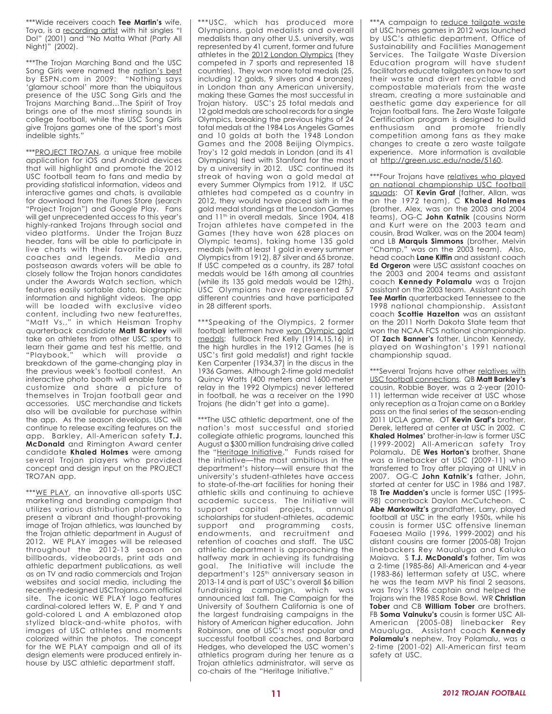\*\*\*Wide receivers coach **Tee Martin's** wife, Toya, is a recording artist with hit singles "I Do!" (2001) and "No Matta What (Party All Night)" (2002).

\*\*\*The Trojan Marching Band and the USC Song Girls were named the nation's best by ESPN.com in 2009: "Nothing says 'glamour school' more than the ubiquitous presence of the USC Song Girls and the Trojans Marching Band…The Spirit of Troy brings one of the most stirring sounds in college football, while the USC Song Girls give Trojans games one of the sport's most indelible sights."

\*\*\*PROJECT TRO7AN, a unique free mobile application for iOS and Android devices that will highlight and promote the 2012 USC football team to fans and media by providing statistical information, videos and interactive games and chats, is available for download from the iTunes Store (search "Project Trojan") and Google Play. Fans will get unprecedented access to this year's highly-ranked Trojans through social and video platforms. Under the Trojan Buzz header, fans will be able to participate in live chats with their favorite players, coaches and legends. Media and postseason awards voters will be able to closely follow the Trojan honors candidates under the Awards Watch section, which features easily sortable data, biographic information and highlight videos. The app will be loaded with exclusive video content, including two new featurettes, "Matt Vs.," in which Heisman Trophy quarterback candidate **Matt Barkley** will take on athletes from other USC sports to learn their game and test his mettle, and "Playbook," which will provide a breakdown of the game-changing play in the previous week's football contest. An interactive photo booth will enable fans to customize and share a picture of themselves in Trojan football gear and accessories. USC merchandise and tickets also will be available for purchase within the app. As the season develops, USC will continue to release exciting features on the app. Barkley, All-American safety **T.J. McDonald** and Rimington Award center candidate **Khaled Holmes** were among several Trojan players who provided concept and design input on the PROJECT TRO7AN app.

\*\*\*WE PLAY, an innovative all-sports USC marketing and branding campaign that utilizes various distribution platforms to present a vibrant and thought-provoking image of Trojan athletics, was launched by the Trojan athletic department in August of 2012. WE PLAY images will be released throughout the 2012-13 season on billboards, videoboards, print ads and athletic department publications, as well as on TV and radio commercials and Trojan websites and social media, including the recently-redesigned USCTrojans.com official site. The iconic WE PLAY logo features cardinal-colored letters W, E, P and Y and gold-colored L and A emblazoned atop stylized black-and-white photos, with images of USC athletes and moments colorized within the photos. The concept for the WE PLAY campaign and all of its design elements were produced entirely inhouse by USC athletic department staff.

\*\*\*USC, which has produced more Olympians, gold medalists and overall medalists than any other U.S. university, was represented by 41 current, former and future athletes in the 2012 London Olympics (they competed in 7 sports and represented 18 countries). They won more total medals (25, including 12 golds, 9 silvers and 4 bronzes) in London than any American university, making these Games the most successful in Trojan history. USC's 25 total medals and 12 gold medals are school records for a single Olympics, breaking the previous highs of 24 total medals at the 1984 Los Angeles Games and 10 golds at both the 1948 London Games and the 2008 Beijing Olympics. Troy's 12 gold medals in London (and its 41 Olympians) tied with Stanford for the most by a university in 2012. USC continued its streak of having won a gold medal at every Summer Olympics from 1912. If USC athletes had competed as a country in 2012, they would have placed sixth in the gold medal standings at the London Games and 11<sup>th</sup> in overall medals. Since 1904, 418 Trojan athletes have competed in the Games (they have won 628 places on Olympic teams), taking home 135 gold medals (with at least 1 gold in every summer Olympics from 1912), 87 silver and 65 bronze. If USC competed as a country, its 287 total medals would be 16th among all countries (while its 135 gold medals would be 12th). USC Olympians have represented 57 different countries and have participated in 28 different sports.

\*\*\*Speaking of the Olympics, 2 former football lettermen have won Olympic gold medals: fullback Fred Kelly (1914,15,16) in the high hurdles in the 1912 Games (he is USC's first gold medalist) and right tackle Ken Carpenter (1934,37) in the discus in the 1936 Games. Although 2-time gold medalist Quincy Watts (400 meters and 1600-meter relay in the 1992 Olympics) never lettered in football, he was a receiver on the 1990 Trojans (he didn't get into a game).

\*\*\*The USC athletic department, one of the nation's most successful and storied collegiate athletic programs, launched this August a \$300 million fundraising drive called the "Heritage Initiative." Funds raised for the initiative—the most ambitious in the department's history—will ensure that the university's student-athletes have access to state-of-the-art facilities for honing their athletic skills and continuing to achieve academic success. The Initiative will support capital projects, annual scholarships for student-athletes, academic support and programming costs, endowments, and recruitment and retention of coaches and staff. The USC athletic department is approaching the halfway mark in achieving its fundraising goal. The Initiative will include the department's 125<sup>th</sup> anniversary season in 2013-14 and is part of USC's overall \$6 billion fundraising campaign, which was announced last fall. The Campaign for the University of Southern California is one of the largest fundraising campaigns in the history of American higher education. John Robinson, one of USC's most popular and successful football coaches, and Barbara Hedges, who developed the USC women's athletics program during her tenure as a Trojan athletics administrator, will serve as co-chairs of the "Heritage Initiative."

\*\*\*A campaign to reduce tailgate waste at USC homes games in 2012 was launched by USC's athletic department, Office of Sustainability and Facilities Management Services. The Tailgate Waste Diversion Education program will have student facilitators educate tailgaters on how to sort their waste and divert recyclable and compostable materials from the waste stream, creating a more sustainable and aesthetic game day experience for all Trojan football fans. The Zero Waste Tailgate Certification program is designed to build enthusiasm and promote friendly competition among fans as they make changes to create a zero waste tailgate experience. More information is available at http://green.usc.edu/node/5160.

\*\*\*Four Trojans have relatives who played on national championship USC football squads: OT **Kevin Graf** (father, Allan, was on the 1972 team), C **Khaled Holmes** (brother, Alex, was on the 2003 and 2004 teams), OG-C **John Katnik** (cousins Norm and Kurt were on the 2003 team and cousin, Brad Walker, was on the 2004 team) and LB **Marquis Simmons** (brother, Melvin "Champ," was on the 2003 team). Also, head coach **Lane Kiffin** and assistant coach **Ed Orgeron** were USC assistant coaches on the 2003 and 2004 teams and assistant coach **Kennedy Polamalu** was a Trojan assistant on the 2003 team. Assistant coach **Tee Martin** quarterbacked Tennessee to the 1998 national championship. Assistant coach **Scottie Hazelton** was an assistant on the 2011 North Dakota State team that won the NCAA FCS national championship. OT **Zach Banner's** father, Lincoln Kennedy, played on Washington's 1991 national championship squad.

\*\*\*Several Trojans have other relatives with USC football connections. QB **Matt Barkley's** cousin, Robbie Boyer, was a 2-year (2010- 11) letterman wide receiver at USC whose only reception as a Trojan came on a Barkley pass on the final series of the season-ending 2011 UCLA game. OT **Kevin Graf's** brother, Derek, lettered at center at USC in 2002. C **Khaled Holmes'** brother-in-law is former USC (1999-2002) All-American safety Troy Polamalu. DE **Wes Horton's** brother, Shane was a linebacker at USC (2009-11) who transferred to Troy after playing at UNLV in 2007. OG-C **John Katnik's** father, John, started at center for USC in 1986 and 1987. TB **Tre Madden's** uncle is former USC (1995- 98) cornerback Daylon McCutcheon. C **Abe Markowitz's** grandfather, Larry, played football at USC in the early 1950s, while his cousin is former USC offensive lineman Faaesea Mailo (1996, 1999-2002) and his distant cousins are former (2005-08) Trojan linebackers Rey Maualuga and Kaluka Maiava. S **T.J. McDonald's** father, Tim was a 2-time (1985-86) All-American and 4-year (1983-86) letterman safety at USC, where he was the team MVP his final 2 seasons, was Troy's 1986 captain and helped the Trojans win the 1985 Rose Bowl. WR **Christian Tober** and CB **William Tober** are brothers. FB **Soma Vainuku's** cousin is former USC All-American (2005-08) linebacker Rey Maualuga. Assistant coach **Kennedy Polamalu's** nephew, Troy Polamalu, was a 2-time (2001-02) All-American first team safety at USC.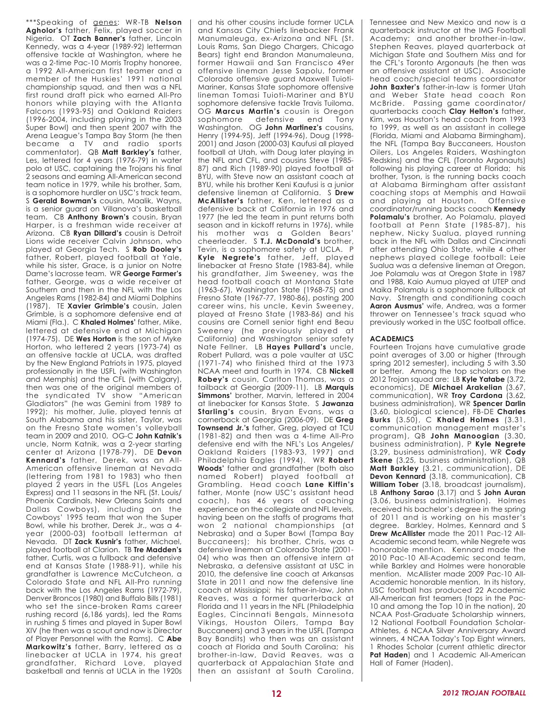\*\*\*Speaking of genes: WR-TB **Nelson Agholor's** father, Felix, played soccer in Nigeria. OT **Zach Banner's** father, Lincoln Kennedy, was a 4-year (1989-92) letterman offensive tackle at Washington, where he was a 2-time Pac-10 Morris Trophy honoree, a 1992 All-American first teamer and a member of the Huskies' 1991 national championship squad, and then was a NFL first round draft pick who earned All-Pro honors while playing with the Atlanta Falcons (1993-95) and Oakland Raiders (1996-2004, including playing in the 2003 Super Bowl) and then spent 2007 with the Arena League's Tampa Bay Storm (he then became a TV and radio sports commentator). QB **Matt Barkley's** father, Les, lettered for 4 years (1976-79) in water polo at USC, captaining the Trojans his final 2 seasons and earning All-American second team notice in 1979, while his brother, Sam, is a sophomore hurdler on USC's track team. S **Gerald Bowman's** cousin, Maalik, Wayns, is a senior guard on Villanova's basketball team. CB **Anthony Brown's** cousin, Bryan Harper, is a freshman wide receiver at Arizona. CB **Ryan Dillard's** cousin is Detroit Lions wide receiver Calvin Johnson, who played at Georgia Tech. S **Rob Dooley's** father, Robert, played football at Yale, while his sister, Grace, is a junior on Notre Dame's lacrosse team. WR **George Farmer's** father, George, was a wide receiver at Southern and then in the NFL with the Los Angeles Rams (1982-84) and Miami Dolphins (1987). TE **Xavier Grimble's** cousin, Jalen Grimble, is a sophomore defensive end at Miami (Fla.). C **Khaled Holmes'** father, Mike, lettered at defensive end at Michigan (1974-75). DE **Wes Horton** is the son of Myke Horton, who lettered 2 years (1973-74) as an offensive tackle at UCLA, was drafted by the New England Patriots in 1975, played professionally in the USFL (with Washington and Memphis) and the CFL (with Calgary), then was one of the original members of the syndicated TV show "American Gladiators" (he was Gemini from 1989 to 1992); his mother, Julie, played tennis at South Alabama and his sister, Taylor, was on the Fresno State women's volleyball team in 2009 and 2010. OG-C **John Katnik's** uncle, Norm Katnik, was a 2-year starting center at Arizona (1978-79). DE **Devon Kennard's** father, Derek, was an All-American offensive lineman at Nevada (lettering from 1981 to 1983) who then played 2 years in the USFL (Los Angeles Express) and 11 seasons in the NFL (St. Louis/ Phoenix Cardinals, New Orleans Saints and Dallas Cowboys), including on the Cowboys' 1995 team that won the Super Bowl, while his brother, Derek Jr., was a 4 year (2000-03) football letterman at Nevada. DT **Zack Kusnir's** father, Michael, played football at Clarion. TB **Tre Madden's** father, Curtis, was a fullback and defensive end at Kansas State (1988-91), while his grandfather is Lawrence McCutcheon, a Colorado State and NFL All-Pro running back with the Los Angeles Rams (1972-79), Denver Broncos (1980) and Buffalo Bills (1981) who set the since-broken Rams career rushing record (6,186 yards), led the Rams in rushing 5 times and played in Super Bowl XIV (he then was a scout and now is Director of Player Personnel with the Rams). C **Abe Markowitz's** father, Barry, lettered as a linebacker at UCLA in 1974, his great grandfather, Richard Love, played basketball and tennis at UCLA in the 1920s

and his other cousins include former UCLA and Kansas City Chiefs linebacker Frank Manumaleuga, ex-Arizona and NFL (St. Louis Rams, San Diego Chargers, Chicago Bears) tight end Brandon Manumaleuna, former Hawaii and San Francisco 49er offensive lineman Jesse Sapolu, former Colorado offensive guard Maxwell Tuioti-Mariner, Kansas State sophomore offensive lineman Tomasi Tuioti-Mariner and BYU sophomore defensive tackle Travis Tuiloma. OG **Marcus Martin's** cousin is Oregon sophomore defensive end Tony Washington. OG **John Martinez's** cousins, Henry (1994-95), Jeff (1994-96), Doug (1998- 2001) and Jason (2000-03) Kaufusi all played football at Utah, with Doug later playing in the NFL and CFL, and cousins Steve (1985- 87) and Rich (1989-90) played football at BYU, with Steve now an assistant coach at BYU, while his brother Keni Kaufusi is a junior defensive lineman at California. S **Drew McAllister's** father, Ken, lettered as a defensive back at California in 1976 and 1977 (he led the team in punt returns both season and in kickoff returns in 1976), while his mother was a Golden Bears' cheerleader. S **T.J. McDonald's** brother, Tevin, is a sophomore safety at UCLA. P **Kyle Negrete's** father, Jeff, played linebacker at Fresno State (1983-84), while his grandfather, Jim Sweeney, was the head football coach at Montana State (1963-67), Washington State (1968-75) and Fresno State (1967-77, 1980-86), posting 200 career wins, his uncle, Kevin Sweeney, played at Fresno State (1983-86) and his cousins are Cornell senior tight end Beau Sweeney (he previously played at California) and Washington senior safety Nate Fellner. LB **Hayes Pullard's** uncle, Robert Pullard, was a pole vaulter at USC (1971-74) who finished third at the 1973 NCAA meet and fourth in 1974. CB **Nickell Robey's** cousin, Carlton Thomas, was a tailback at Georgia (2009-11). LB **Marquis Simmons'** brother, Marvin, lettered in 2004 at linebacker for Kansas State. S **Jawanza Starling's** cousin, Bryan Evans, was a cornerback at Georgia (2006-09). DE **Greg Townsend Jr.'s** father, Greg, played at TCU (1981-82) and then was a 4-time All-Pro defensive end with the NFL's Los Angeles/ Oakland Raiders (1983-93, 1997) and Philadelphia Eagles (1994). WR **Robert Woods'** father and grandfather (both also named Robert) played football at Grambling. Head coach **Lane Kiffin's** father, Monte (now USC's assistant head coach), has 46 years of coaching experience on the collegiate and NFL levels, having been on the staffs of programs that won 2 national championships (at Nebraska) and a Super Bowl (Tampa Bay Buccaneers); his brother, Chris, was a defensive lineman at Colorado State (2001- 04) who was then an offensive intern at Nebraska, a defensive assistant at USC in 2010, the defensive line coach at Arkansas State in 2011 and now the defensive line coach at Mississippi; his father-in-law, John Reaves, was a former quarterback at Florida and 11 years in the NFL (Philadelphia Eagles, Cincinnati Bengals, Minnesota Vikings, Houston Oilers, Tampa Bay Buccaneers) and 3 years in the USFL (Tampa Bay Bandits) who then was an assistant coach at Florida and South Carolina; his brother-in-law, David Reaves, was a quarterback at Appalachian State and then an assistant at South Carolina,

Tennessee and New Mexico and now is a quarterback instructor at the IMG Football Academy; and another brother-in-law, Stephen Reaves, played quarterback at Michigan State and Southern Miss and for the CFL's Toronto Argonauts (he then was an offensive assistant at USC). Associate head coach/special teams coordinator **John Baxter's** father-in-law is former Utah and Weber State head coach Ron McBride. Passing game coordinator/ quarterbacks coach **Clay Helton's** father, Kim, was Houston's head coach from 1993 to 1999, as well as an assistant in college (Florida, Miami and Alabama Birmingham), the NFL (Tampa Bay Buccaneers, Houston Oilers, Los Angeles Raiders, Washington Redskins) and the CFL (Toronto Argonauts) following his playing career at Florida; his brother, Tyson, is the running backs coach at Alabama Birmingham after assistant coaching stops at Memphis and Hawaii and playing at Houston. Offensive coordinator/running backs coach **Kennedy Polamalu's** brother, Ao Polamalu, played football at Penn State (1985-87), his nephew, Nicky Sualua, played running back in the NFL with Dallas and Cincinnati after attending Ohio State, while 4 other nephews played college football: Leie Sualua was a defensive lineman at Oregon, Joe Polamalu was at Oregon State in 1987 and 1988, Kaio Aumua played at UTEP and Maika Polamalu is a sophomore fullback at Navy. Strength and conditioning coach **Aaron Ausmus'** wife, Andrea, was a former thrower on Tennessee's track squad who previously worked in the USC football office.

#### **ACADEMICS**

Fourteen Trojans have cumulative grade point averages of 3.00 or higher (through spring 2012 semester), including 5 with 3.50 or better. Among the top scholars on the 2012 Trojan squad are: LB **Kyle Yatabe** (3.72, economics), DE **Michael Arakelian** (3.67, communication), WR **Troy Cardona** (3.62, business administration), WR **Spencer Darlin** (3.60, biological science), FB-DE **Charles Burks** (3.50), C **Khaled Holmes** (3.31, communication management master's program), QB **John Manoogian** (3.30, business administration), P **Kyle Negrete** (3.29, business administration), WR **Cody Skene** (3.25, business administration), QB **Matt Barkley** (3.21, communication), DE **Devon Kennard** (3.18, communication), CB **William Tober** (3.18, broadcast journalism), LB **Anthony Sarao** (3.17) and S **John Auran** (3.06, business administration). Holmes received his bachelor's degree in the spring of 2011 and is working on his master's degree. Barkley, Holmes, Kennard and S **Drew McAllister** made the 2011 Pac-12 All-Academic second team, while Negrete was honorable mention. Kennard made the 2010 Pac-10 All-Academic second team, while Barkley and Holmes were honorable mention. McAllister made 2009 Pac-10 All-Academic honorable mention. In its history, USC football has produced 22 Academic All-American first teamers (tops in the Pac-10 and among the Top 10 in the nation), 20 NCAA Post-Graduate Scholarship winners, 12 National Football Foundation Scholar-Athletes, 6 NCAA Silver Anniversary Award winners, 4 NCAA Today's Top Eight winners, 1 Rhodes Scholar (current athletic director **Pat Haden**) and 1 Academic All-American Hall of Famer (Haden).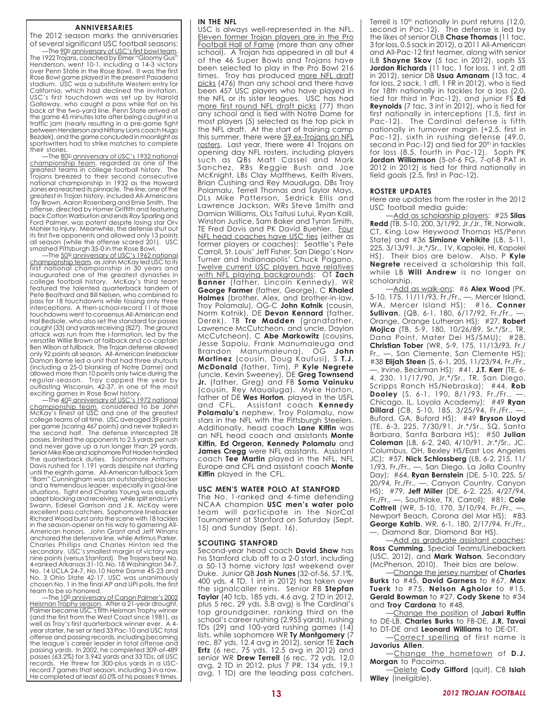#### **ANNIVERSARIES**

The 2012 season marks the anniversaries

of several significant USC football seasons: —The <u>90th anniversary of USC's first bowl team</u>. The 1922 Trojans, coached by Elmer "Gloomy Gus" Henderson, went 10-1, including a 14-3 victory over Penn State in the Rose Bowl. It was the first Rose Bowl game played in the present Pasadena stadium. USC was a substitute Western entry for California, which had declined the invitation. USC's first touchdown was set up by Harold Galloway, who caught a pass while flat on his back at the two-yard line. Penn State arrived at the game 45 minutes late after being caught in a traffic jam (nearly resulting in a pre-game fight between Henderson and Nittany Lions coach Hugo Bezdek), and the game concluded in moonlight as sportswriters had to strike matches to complete their stories.

-The 80<sup>th</sup> anniversary of USC's 1932 national championship team, regarded as one of the greatest teams in college football history. The Trojans breezed to their second consecutive national championship in 1932 as the Howard Jones era reached its pinnacle. The line, one of the greatest in Trojan history, included All-Americans Tay Brown, Aaron Rosenberg and Ernie Smith. The offense, directed by Homer Griffith and featuring back Cotton Warburton and ends Ray Sparling and Ford Palmer, was potent despite losing star Orv Mohler to injury. Meanwhile, the defense shut out its first five opponents and allowed only 13 points all season (while the offense scored 201). USC smashed Pittsburgh 35-0 in the Rose Bowl.

—The 50th anniversary of USC's 1962 national championship team, as John McKay led USC to its first national championship in 30 years and inaugurated one of the greatest dynasties in college football history. McKay's third team featured the talented quarterback tandem of Pete Beathard and Bill Nelsen, who combined to pass for 18 touchdowns while tossing only three interceptions. A then-school-record 11 of those touchdowns went to consensus All-American end Hal Bedsole, who also set the standard for passes caught (33) and yards receiving (827). The ground attack was run from the I-formation, led by the versatile Willie Brown at tailback and co-captain Ben Wilson at fullback. The Trojan defense allowed only 92 points all season. All-American linebacker Damon Bame led a unit that had three shutouts (including a 25-0 blanking of Notre Dame) and allowed more than 10 points only twice during the regular-season. Troy capped the year by outlasting Wisconsin, 42-37, in one of the most exciting games in Rose Bowl history.

—The 40th anniversary of USC's 1972 national championship team, considered to be John<br>McKay's finest at USC and one of the greatest<br>college teams of all time. USC averaged 39 points<br>per game (scoring 467 points) and never trailed in<br>the second half. The defense inter passes, limited the opponents to 2.5 yards per rush and never gave up a run longer than 29 yards. Senior Mike Rae and sophomore Pat Haden handled the quarterback duties. Sophomore Anthony<br>Davis rushed for 1,191 yards despite not starting<br>until the eighth game. All-American fullback Sam<br>"Bam" Cunningham was an outstanding blocker and a tremendous leaper, especially in goal-line situations. Tight end Charles Young was equally adept blocking and receiving, while split ends Lynn Swann, Edesel Garrison and J.K. McKay were excellent pass catchers. Sophomore linebacker Richard Wood burst onto the scene with 18 tackles in the season-opener on his way to garnering All-American honors. John Grant and Jeff Winans anchored the defensive line, while Artimus Parker, Charles Phillips and Charles Hinton led the secondary. USC's smallest margin of victory was nine points (versus Stanford). The Trojans beat No. 4-ranked Arkansas 31-10, No. 18 Washington 34-7, No. 14 UCLA 24-7, No.10 Notre Dame 45-23 and No. 3 Ohio State 42-17. USC was unanimously chosen No. 1 in the final AP and UPI polls, the first team to be so honored.

-The 10th anniversary of Carson Palmer's 2002 Heisman Trophy season. After a 21-year drought, Palmer became USC's fifth Heisman Trophy winner (and the first from the West Coast since 1981), as well as Troy's first quarterback winner ever. A 4 year starter, he set or tied 33 Pac-10 and USC total offense and passing records, including becoming the league's career leader in total offense and passing yards. In 2002, he completed 309-of-489 passes (63.2%) for 3,942 yards and 33 TDs, all USC records. He threw for 300-plus yards in a USCrecord 7 games that season, including 3 in a row. He completed at least 60.0% of his passes 9 times.

#### **IN THE NFL**

USC is always well-represented in the NFL. Eleven former Trojan players are in the Pro Football Hall of Fame (more than any other school). A Trojan has appeared in all but 4 of the 46 Super Bowls and Trojans have been selected to play in the Pro Bowl 216 times. Troy has produced more NFL draft picks (476) than any school and there have been 457 USC players who have played in the NFL or its sister leagues. USC has had more first round NFL draft picks (77) than any school and is tied with Notre Dame for most players (5) selected as the top pick in the NFL draft. At the start of training camp this summer, there were 59 ex-Trojans on NFL rosters. Last year, there were 41 Trojans on opening day NFL rosters, including players such as QBs Matt Cassel and Mark Sanchez, RBs Reggie Bush and Joe McKnight, LBs Clay Matthews, Keith Rivers, Brian Cushing and Rey Maualuga, DBs Troy Polamalu, Terrell Thomas and Taylor Mays, DLs Mike Patterson, Sedrick Ellis and Lawrence Jackson, WRs Steve Smith and Damian Williams, OLs Taitusi Lutui, Ryan Kalil, Winston Justice, Sam Baker and Tyron Smith, TE Fred Davis and PK David Buehler. Four NFL head coaches have USC ties (either as former players or coaches): Seattle's Pete Carroll, St. Louis' Jeff Fisher, San Diego's Norv Turner and Indianapolis' Chuck Pagano. Twelve current USC players have relatives with NFL playing backgrounds: OT **Zach Banner** (father, Lincoln Kennedy), WR **George Farmer** (father, George), C **Khaled Holmes** (brother, Alex, and brother-in-law, Troy Polamalu), OG-C **John Katnik** (cousin, Norm Katnik), DE **Devon Kennard** (father, Derek), TB **Tre Madden** (grandfather, Lawrence McCutcheon, and uncle, Daylon McCutcheon), C **Abe Markowitz** (cousins, Jesse Sapolu, Frank Manumaleuga and Brandon Manumaleuna), OG **John Martinez** (cousin, Doug Kaufusi), S **T.J. McDonald** (father, Tim), P **Kyle Negrete** (uncle, Kevin Sweeney), DE **Greg Townsend Jr.** (father, Greg) and FB **Soma Vainuku** (cousin, Rey Maualuga). Myke Horton, father of DE **Wes Horton**, played in the USFL Assistant coach **Kennedy Polamalu's** nephew, Troy Polamalu, now stars in the NFL with the Pittsburgh Steelers. Additionally, head coach **Lane Kiffin** was an NFL head coach and assistants **Monte Kiffin, Ed Orgeron, Kennedy Polamalu** and James Cregg were NFL assistants. Assistant coach **Tee Martin** played in the NFL, NFL Europe and CFL and assistant coach **Monte Kiffin** played in the CFL.

#### **USC MEN'S WATER POLO AT STANFORD**

The No. 1-ranked and 4-time defending NCAA champion **USC men's water polo** team will participate in the NorCal Tournament at Stanford on Saturday (Sept. 15) and Sunday (Sept. 16).

#### **SCOUTING STANFORD**

Second-year head coach **David Shaw** has his Stanford club off to a 2-0 start, including a 50-13 home victory last weekend over Duke. Junior QB **Josh Nunes** (32-of-56, 57.1%, 400 yds, 4 TD, 1 int in 2012) has taken over the signalcaller reins. Senior RB **Stepfan Taylor** (40 tcb, 185 yds, 4.6 avg, 2 TD in 2012, plus 5 rec, 29 yds, 5.8 avg) is the Cardinal's top groundgainer, ranking third on the school's career rushing (2,955 yards), rushing TDs (29) and 100-yard rushing games (14) lists, while sophomore WR **Ty Montgomery** (7 rec, 87 yds, 12.4 avg in 2012), senior TE **Zach Ertz** (6 rec, 75 yds, 12.5 avg in 2012) and senior WR **Drew Terrell** (6 rec, 72 yds, 12.0 avg, 2 TD in 2012, plus 7 PR, 134 yds, 19.1 avg, 1 TD) are the leading pass catchers.

Terrell is 10<sup>th</sup> nationally in punt returns (12.0, second in Pac-12). The defense is led by the likes of senior OLB **Chase Thomas** (11 tac, 3 for loss, 0.5 sack in 2012), a 2011 All-American and All-Pac-12 first teamer, along with senior ILB **Shayne Skov** (5 tac in 2012), soph SS **Jordan Richards** (11 tac, 1 for loss, 1 int, 2 dfl in 2012), senior DB **Usua Amanam** (13 tac, 4 for loss, 2 sack, 1 dfl, 1 FR in 2012), who is tied for 18th nationally in tackles for a loss (2.0, tied for third in Pac-12), and junior FS **Ed Reynolds** (7 tac, 3 int in 2012), who is tied for first nationally in interceptions (1.5, first in Pac-12). The Cardinal defense is fifth nationally in turnover margin (+2.5, first in Pac-12), sixth in rushing defense (49.0, second in Pac-12) and tied for 20<sup>th</sup> in tackles for loss (8.5, fourth in Pac-12). Soph PK **Jordan Williamson** (5-of-6 FG, 7-of-8 PAT in 2012 in 2012) is tied for third nationally in field goals (2.5, first in Pac-12).

#### **ROSTER UPDATES**

Here are updates from the roster in the 2012 USC football media guide:

—Add as scholarship players: #25 **Silas Redd** (TB, 5-10, 200, 3/1/92, Jr./Jr., TR, Norwalk, CT, King Low Heywood Thomas HS/Penn State) and #36 **Simione Vehikite** (LB, 5-11, 225, 3/13/91, Jr.\*/Sr., 1V, Kapolei, HI, Kapolei HS). Their bios are below. Also, P **Kyle Negrete** received a scholarship this fall, while LB **Will Andrew** is no longer on scholarship.

—Add as walk-ons: #6 **Alex Wood** (PK, 5-10, 175, 11/11/93, Fr./Fr., —, Mercer Island, WA, Mercer Island HS); #16, **Conner Sullivan**, (QB, 6-1, 180, 6/17/92, Fr./Fr., —, Orange, Orange Lutheran HS); #27, **Robert Mojica** (TB, 5-9, 180, 10/26/89, Sr.\*/Sr., TR, Dana Point, Mater Dei HS/SMU); #28, **Christian Tober** (WR, 5-9, 175, 11/13/93, Fr./ Fr., —, San Clemente, San Clemente HS); #38 **Elijah Steen** (S, 6-1, 205, 11/23/94, Fr./Fr., —, Irvine, Beckman HS); #41, **J.T. Kerr** (TE, 6- 4, 230, 11/17/90, Jr.\*/Sr., TR, San Diego, Scripps Ranch HS/Nebraska); #44, **Rob Dooley** (S, 6-1, 190, 8/1/93, Fr./Fr., —, Chicago, IL, Loyola Academy); #49 **Ryan Dillard** (CB, 5-10, 185, 3/25/94, Fr./Fr., —, Buford, GA, Buford HS); #49 **Bryson Lloyd** (TE, 6-3, 225, 7/30/91, Jr.\*/Sr., SQ, Santa Barbara, Santa Barbara HS); #50 **Julian Coleman** (LB, 6-2, 240, 4/10/91, Jr.\*/Sr., JC, Columbus, OH, Bexley HS/East Los Angeles JC); #57, **Nick Schlossberg** (LB, 6-2, 215, 11/ 1/93, Fr./Fr., —, San Diego, La Jolla Country Day); #64, **Ryan Bernstein** (DE, 5-10, 225, 5/ 20/94, Fr./Fr., —, Canyon Country, Canyon HS); #79, **Jeff Miller** (DE, 6-2, 225, 4/27/94, Fr./Fr., —, Southlake, TX, Carroll); #81, **Cole Cottrell** (WR, 5-10, 170, 3/10/94, Fr./Fr., —, Newport Beach, Corona del Mar HS); #83 **George Katrib**, WR, 6-1, 180, 2/17/94, Fr./Fr., —, Diamond Bar, Diamond Bar HS).

—Add as graduate assistant coaches: **Ross Cumming**, Special Teams/Linebackers (USC, 2012), and **Mark Watson**, Secondary (McPherson, 2010). Their bios are below.

—Change the jersey number of **Charles Burks** to #45, **David Garness** to #67, **Max Tuerk** to #75, **Nelson Agholor** to #15, **Gerald Bowman** to #27, **Cody Skene** to #34 and **Troy Cardona** to #48.

—Change the position of **Jabari Ruffin** to DE-LB, **Charles Burks** to FB-DE, **J.R. Tavai** to DT-DE and **Leonard Williams** to DE-DT.

-Correct spelling of first name is **Javorius Allen**.

—Change the hometown of **D.J. Morgan** to Pacoima.

—Delete **Cody Gifford** (quit), CB **Isiah Wiley** (ineligible).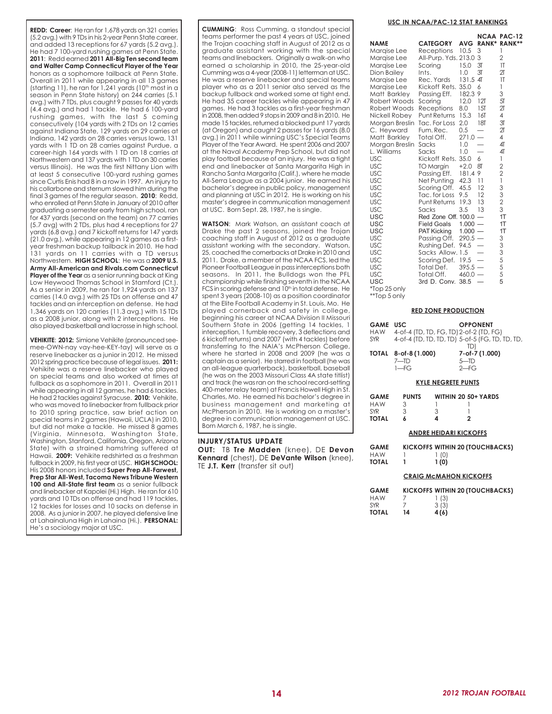**REDD: Career**: He ran for 1,678 yards on 321 carries (5.2 avg.) with 9 TDs in his 2-year Penn State career, and added 13 receptions for 67 yards (5.2 avg.). He had 7 100-yard rushing games at Penn State. **2011**: Redd earned **2011 All-Big Ten second team and Walter Camp Connecticut Player of the Year** honors as a sophomore tailback at Penn State. Overall in 2011 while appearing in all 13 games (starting 11), he ran for  $1,241$  yards (10<sup>th</sup> most in a season in Penn State history) on 244 carries (5.1 avg.) with 7 TDs, plus caught 9 passes for 40 yards (4.4 avg.) and had 1 tackle. He had 6 100-yard rushing games, with the last 5 coming consecutively (104 yards with 2 TDs on 12 carries against Indiana State, 129 yards on 29 carries at Indiana, 142 yards on 28 carries versus Iowa, 131 yards with 1 TD on 28 carries against Purdue, a career-high 164 yards with 1 TD on 18 carries at Northwestern and 137 yards with 1 TD on 30 carries versus Illinois). He was the first Nittany Lion with at least 5 consecutive 100-yard rushing games since Curtis Enis had 8 in a row in 1997. An injury to his collarbone and sternum slowed him during the final 3 games of the regular season. **2010**: Redd, who enrolled at Penn State in January of 2010 after graduating a semester early from high school, ran for 437 yards (second on the team) on 77 carries (5.7 avg) with 2 TDs, plus had 4 receptions for 27 yards (6.8 avg.) and 7 kickoff returns for 147 yards (21.0 avg.), while appearing in 12 games as a firstyear freshman backup tailback in 2010. He had 131 yards on 11 carries with a TD versus Northwestern. **HIGH SCHOOL**: He was a **2009 U.S. Army All-American and Rivals.com Connecticut Player of the Year** as a senior running back at King Low Heywood Thomas School in Stamford (Ct.) As a senior in 2009, he ran for 1,924 yards on 137 carries (14.0 avg.) with 25 TDs on offense and 47 tackles and an interception on defense. He had 1,346 yards on 120 carries (11.3 avg.) with 15 TDs as a 2008 junior, along with 2 interceptions. He also played basketball and lacrosse in high school.

**VEHIKITE**: **2012:** Simione Vehikite (pronounced seemee-OWN-nay vay-hee-KEY-tay) will serve as a reserve linebacker as a junior in 2012. He missed 2012 spring practice because of legal issues. **2011:** Vehikite was a reserve linebacker who played on special teams and also worked at times at fullback as a sophomore in 2011. Overall in 2011 while appearing in all 12 games, he had 6 tackles. He had 2 tackles against Syracuse. **2010:** Vehikite, who was moved to linebacker from fullback prior to 2010 spring practice, saw brief action on special teams in 2 games (Hawaii, UCLA) in 2010, but did not make a tackle. He missed 8 games (Virginia, Minnesota, Washington State, Washington, Stanford, California, Oregon, Arizona State) with a strained hamstring suffered at Hawaii. **2009:** Vehikite redshirted as a freshman fullback in 2009, his first year at USC. **HIGH SCHOOL:** His 2008 honors included **Super Prep All-Farwest, Prep Star All-West, Tacoma News Tribune Western** 100 and All-State first team as a senior fullback and linebacker at Kapolei (Hi.) High. He ran for 610 yards and 10 TDs on offense and had 119 tackles, 12 tackles for losses and 10 sacks on defense in 2008. As a junior in 2007, he played defensive line at Lahainaluna High in Lahaina (Hi.). **PERSONAL:** He's a sociology major at USC.

**CUMMING**: Ross Cumming, a standout special teams performer the past 4 years at USC, joined the Trojan coaching staff in August of 2012 as a graduate assistant working with the special teams and linebackers. Originally a walk-on who earned a scholarship in 2010, the 25-year-old Cumming was a 4-year (2008-11) letterman at USC. He was a reserve linebacker and special teams player who as a 2011 senior also served as the backup fullback and worked some at tight end. He had 35 career tackles while appearing in 47 games. He had 3 tackles as a first-year freshman in 2008, then added 9 stops in 2009 and 8 in 2010. He made 15 tackles, returned a blocked punt 17 yards (at Oregon) and caught 2 passes for 16 yards (8.0 avg.) in 2011 while winning USC's Special Teams Player of the Year Award. He spent 2006 and 2007 at the Naval Academy Prep School, but did not play football because of an injury. He was a tight end and linebacker at Santa Margarita High in Rancho Santa Margarita (Calif.), where he made All-Serra League as a 2004 junior. He earned his bachelor's degree in public policy, management and planning at USC in 2012. He is working on his master's degree in communication management at USC. Born Sept. 28, 1987, he is single.

**WATSON**: Mark Watson, an assistant coach at Drake the past 2 seasons, joined the Trojan coaching staff in August of 2012 as a graduate assistant working with the secondary. Watson, 25, coached the cornerbacks at Drake in 2010 and 2011. Drake, a member of the NCAA FCS, led the Pioneer Football League in pass interceptions both seasons. In 2011, the Bulldogs won the PFL championship while finishing seventh in the NCAA FCS in scoring defense and 10<sup>th</sup> in total defense. He spent 3 years (2008-10) as a position coordinator at the Elite Football Academy in St. Louis, Mo. He played cornerback and safety in college, beginning his career at NCAA Division II Missouri Southern State in 2006 (getting 14 tackles, 1 interception, 1 fumble recovery, 3 deflections and 6 kickoff returns) and 2007 (with 4 tackles) before transferring to the NAIA's McPherson College, where he started in 2008 and 2009 (he was a captain as a senior). He starred in football (he was an all-league quarterback), basketball, baseball (he was on the 2003 Missouri Class 4A state titlist) and track (he was ran on the school record-setting 400-meter relay team) at Francis Howell High in St. Charles, Mo. He earned his bachelor's degree in business management and marketing at McPherson in 2010. He is working on a master's degree in communication management at USC. Born March 6, 1987, he is single.

#### **INJURY/STATUS UPDATE**

**OUT:** TB **Tre Madden** (knee), DE **Devon Kennard** (chest), DE **DeVante Wilson** (knee), TE **J.T. Kerr** (transfer sit out)

#### **USC IN NCAA/PAC-12 STAT RANKINGS**

|                              |                       |            |                | NCAA PAC-12                                |
|------------------------------|-----------------------|------------|----------------|--------------------------------------------|
| <b>NAME</b>                  | <b>CATEGORY</b>       | <b>AVG</b> | RANK*          | RANK**                                     |
| Margise Lee                  | Receptions            | 10.5       | 3              | 1                                          |
| Margise Lee                  | All-Purp. Yds. 213.0  |            | 3              | $\overline{2}$                             |
| Margise Lee                  | Scoring               | 15.0       | 3 <sub>T</sub> | 1T                                         |
| Dion Bailey                  | Ints.                 | 1.0        | 3T             | 2 <sub>T</sub>                             |
| Margise Lee                  | Rec. Yards            | 131.5      | $\overline{4}$ | 1T                                         |
| Margise Lee                  | Kickoff Rets.         | 35.0       | 6              | 1                                          |
| Matt Barkley                 | Passing Eff.          | 182.3      | 9              | 3                                          |
| Robert Woods                 | Scoring               | 12.0       | 12T            | 51                                         |
| Robert Woods                 | Receptions            | 8.0        | 15T            | 2 <sub>T</sub>                             |
| Nickell Robey                | Punt Returns          | 15.3       | 16T            | $\overline{4}$                             |
| Morgan Breslin Tac. For Loss |                       | 2.0        | <b>18T</b>     | 3 <sub>T</sub>                             |
| C. Heyward                   | Fum. Rec.             | 0.5        |                | 2 <sub>T</sub>                             |
| Matt Barkley                 | Total Off.            | 271.0      |                | $\overline{4}$                             |
| Morgan Breslin               | Sacks                 | 1.0        |                | 4                                          |
| L. Williams                  | Sacks                 | 1.0        |                | 4                                          |
| USC                          | Kickoff Rets.         | 35.0       | 6              | 1                                          |
| <b>USC</b>                   | TO Margin             | $+2.0$     | 8T             |                                            |
| <b>USC</b>                   | Passing Eff.          | 181.4      | 9              | $\frac{2}{2}$                              |
| <b>USC</b>                   | Net Punting           | 42.3       | 11             | $\overline{1}$                             |
| <b>USC</b>                   | Scoring Off.          | 45.5       | 12             |                                            |
| <b>USC</b>                   | Tac. for Loss         | 9.5        | 12             | 3323                                       |
| <b>USC</b>                   | Punt Returns          | 19.3       | 13             |                                            |
| <b>USC</b>                   | Sacks                 | 3.5        | 13             |                                            |
| <b>USC</b>                   | Red Zone Off. 100.0 - |            |                | 1T                                         |
| <b>USC</b>                   | <b>Field Goals</b>    | $1.000 -$  |                | 1T                                         |
| <b>USC</b>                   | <b>PAT Kicking</b>    | $1.000 -$  |                | 1T                                         |
| <b>USC</b>                   | Passing Off.          | $290.5 -$  |                | 3                                          |
| <b>USC</b>                   | Rushing Def.          | 94.5       |                | 3                                          |
| <b>USC</b>                   | Sacks Allow, 1.5      |            |                |                                            |
| <b>USC</b>                   | Scoring Def.          | 19.5       |                |                                            |
| <b>USC</b>                   | Total Def.            | $395.5 -$  |                | $\begin{array}{c} 3 \\ 5 \\ 5 \end{array}$ |
| <b>USC</b>                   | Total Off.            | $460.0 -$  |                | 5                                          |
| <b>USC</b>                   | 3rd D. Conv. 38.5     |            |                | 5                                          |
| *Top 25 only                 |                       |            |                |                                            |

\*\*Top 5 only

#### **RED ZONE PRODUCTION**

| <b>GAME USC</b><br><b>HAW</b><br><b>SYR</b> | 4-of-4 (TD, TD, FG, TD) 2-of-2 (TD, FG) | <b>OPPONENT</b><br>4-of-4 (TD, TD, TD, TD) 5-of-5 (FG, TD, TD, TD, |
|---------------------------------------------|-----------------------------------------|--------------------------------------------------------------------|
|                                             | TOTAL 8-of-8 (1.000)                    | TD)<br>7-of-7 (1.000)                                              |

| $7 - T D$ | $5-D$  |
|-----------|--------|
| $1 - FG$  | $2-FG$ |
|           |        |

#### **KYLE NEGRETE PUNTS**

| <b>GAME</b> | <b>PUNTS</b> |   | WITHIN 20 50+ YARDS |
|-------------|--------------|---|---------------------|
| <b>HAW</b>  | २            |   |                     |
| SYR         | ર            | З |                     |
| TOTAL       | ħ            | 4 | 2                   |

#### **ANDRE HEIDARI KICKOFFS**

| <b>GAME</b> | KICKOFFS WITHIN 20 (TOUCHBACKS) |
|-------------|---------------------------------|
| HAW         | 1(0)                            |
| TOTAL       | 1(0)                            |

#### **CRAIG McMAHON KICKOFFS**

| <b>GAME</b> |    | <b>KICKOFFS WITHIN 20 (TOUCHBACKS)</b> |  |
|-------------|----|----------------------------------------|--|
| <b>HAW</b>  |    | 1(3)                                   |  |
| SYR         |    | 3(3)                                   |  |
| TOTAL       | 14 | 4(6)                                   |  |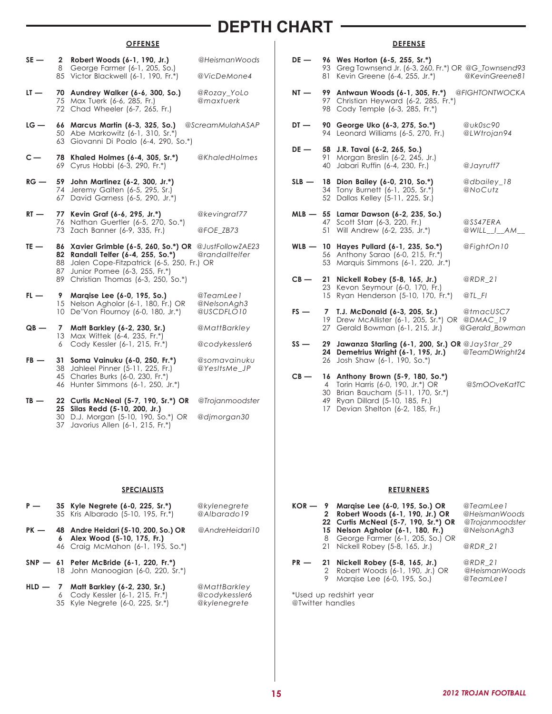## **DEPTH CHART**

## **OFFENSE**

- **SE 2 Robert Woods (6-1, 190, Jr.)** *@HeismanWoods* 8 George Farmer (6-1, 205, So.) 85 Victor Blackwell (6-1, 190, Fr.\*) *@VicDeMone4* **LT — 70 Aundrey Walker (6-6, 300, So.)** *@Rozay\_YoLo* 75 Max Tuerk (6-6, 285, Fr.) *@maxtuerk* 72 Chad Wheeler (6-7, 265, Fr.) **LG — 66 Marcus Martin (6-3, 325, So.)** *@ScreamMulahASAP* 50 Abe Markowitz (6-1, 310, Sr.\*) 63 Giovanni Di Poalo (6-4, 290, So.\*) **C — 78 Khaled Holmes (6-4, 305, Sr.\*)** *@KhaledHolmes* 69 Cyrus Hobbi (6-3, 290, Fr.\*) **RG — 59 John Martinez (6-2, 300, Jr.\*)** 74 Jeremy Galten (6-5, 295, Sr.) 67 David Garness (6-5, 290, Jr.\*) **RT — 77 Kevin Graf (6-6, 295, Jr.\*)** *@kevingraf77* 76 Nathan Guertler (6-5, 270, So.\*) 73 Zach Banner (6-9, 335, Fr.) *@FOE\_ZB73* **TE — 86 Xavier Grimble (6-5, 260, So.\*) OR** *@JustFollowZAE23* **82 Randall Telfer (6-4, 255, So.\*)** *@randalltelfer* 88 Jalen Cope-Fitzpatrick (6-5, 250, Fr.) OR 87 Junior Pomee (6-3, 255, Fr.\*) 89 Christian Thomas (6-3, 250, So.\*) **FL — 9 Marqise Lee (6-0, 195, So.)** *@TeamLee1* 15 Nelson Agholor (6-1, 180, Fr.) OR *@NelsonAgh3* 10 De'Von Flournoy (6-0, 180, Jr.\*) *@USCDFLO10* **QB — 7 Matt Barkley (6-2, 230, Sr.)** *@MattBarkley* 13 Max Wittek (6-4, 235, Fr.\*) 6 Cody Kessler (6-1, 215, Fr.\*) *@codykessler6* **FB — 31 Soma Vainuku (6-0, 250, Fr.\*)** *@somavainuku* 38 Jahleel Pinner (5-11, 225, Fr.) *@YesItsMe\_JP* 45 Charles Burks (6-0, 230, Fr.\*) 46 Hunter Simmons (6-1, 250, Jr.\*) **TB — 22 Curtis McNeal (5-7, 190, Sr.\*) OR** *@Trojanmoodster* **25 Silas Redd (5-10, 200, Jr.)** 30 D.J. Morgan (5-10, 190, So.\*) OR *@djmorgan30*
	- 37 Javorius Allen (6-1, 215, Fr.\*)

#### **SPECIALISTS**

| P —    | 35 Kyle Negrete (6-0, 225, Sr.*)<br>35 Kris Albarado (5-10, 195, Fr.*)                                    | @kylenegrete<br>@Albarado19 |
|--------|-----------------------------------------------------------------------------------------------------------|-----------------------------|
| $PK -$ | 48 Andre Heidari (5-10, 200, So.) OR<br>6 Alex Wood (5-10, 175, Fr.)<br>46 Craig McMahon (6-1, 195, So.*) | @AndreHeidari10             |
|        | $SNP - 61$ Peter McBride (6-1, 220, Fr.*)<br>18 John Manoogian (6-0, 220, Sr.*)                           |                             |
|        | $M = H R = H + 1 = 1$                                                                                     | $60.11 - 110 - 111 - 100$   |

**HLD — 7 Matt Barkley (6-2, 230, Sr.)** *@MattBarkley* 6 Cody Kessler (6-1, 215, Fr.\*) *@codykessler6* 35 Kyle Negrete (6-0, 225, Sr.\*) *@kylenegrete*

## **DEFENSE**

| 81              | Kevin Greene (6-4, 255, Jr.*)                                                                                                                                            | @KevinGreene81                                                                                                                                                                                                                                                                                                                                                                                                                                                                                                                                                                                                                                                                                                                                        |
|-----------------|--------------------------------------------------------------------------------------------------------------------------------------------------------------------------|-------------------------------------------------------------------------------------------------------------------------------------------------------------------------------------------------------------------------------------------------------------------------------------------------------------------------------------------------------------------------------------------------------------------------------------------------------------------------------------------------------------------------------------------------------------------------------------------------------------------------------------------------------------------------------------------------------------------------------------------------------|
| 99<br>98        | Cody Temple (6-3, 285, Fr.*)                                                                                                                                             |                                                                                                                                                                                                                                                                                                                                                                                                                                                                                                                                                                                                                                                                                                                                                       |
|                 |                                                                                                                                                                          | @uk0sc90<br>@LWtrojan94                                                                                                                                                                                                                                                                                                                                                                                                                                                                                                                                                                                                                                                                                                                               |
| 91<br>40        | Morgan Breslin (6-2, 245, Jr.)<br>Jabari Ruffin (6-4, 230, Fr.)                                                                                                          | @Jayruff7                                                                                                                                                                                                                                                                                                                                                                                                                                                                                                                                                                                                                                                                                                                                             |
|                 |                                                                                                                                                                          | @dbailey_18<br>@NoCutz                                                                                                                                                                                                                                                                                                                                                                                                                                                                                                                                                                                                                                                                                                                                |
| 51              | Scott Starr (6-3, 220, Fr.)<br>Will Andrew (6-2, 235, Jr.*)                                                                                                              | @SS47ERA<br>@WILL I AM                                                                                                                                                                                                                                                                                                                                                                                                                                                                                                                                                                                                                                                                                                                                |
| 56              | Anthony Sarao (6-0, 215, Fr.*)<br>Marquis Simmons (6-1, 220, Jr.*)                                                                                                       | @FightOn10                                                                                                                                                                                                                                                                                                                                                                                                                                                                                                                                                                                                                                                                                                                                            |
|                 | Nickell Robey (5-8, 165, Jr.)                                                                                                                                            | $@RDR_21$                                                                                                                                                                                                                                                                                                                                                                                                                                                                                                                                                                                                                                                                                                                                             |
| 15 <sup>1</sup> | Ryan Henderson (5-10, 170, Fr.*)                                                                                                                                         | $@TL$ FI                                                                                                                                                                                                                                                                                                                                                                                                                                                                                                                                                                                                                                                                                                                                              |
| $\overline{7}$  | T.J. McDonald (6-3, 205, Sr.)                                                                                                                                            | @tmacUSC7<br>@Gerald_Bowman                                                                                                                                                                                                                                                                                                                                                                                                                                                                                                                                                                                                                                                                                                                           |
| 26              | Josh Shaw (6-1, 190, So.*)                                                                                                                                               | @TeamDWright24                                                                                                                                                                                                                                                                                                                                                                                                                                                                                                                                                                                                                                                                                                                                        |
| 4<br>30<br>49   | Anthony Brown (5-9, 180, So.*)<br>Torin Harris (6-0, 190, Jr.*) OR<br>Brian Baucham (5-11, 170, Sr.*)<br>Ryan Dillard (5-10, 185, Fr.)<br>Devian Shelton (6-2, 185, Fr.) | @SmOOveKatTC                                                                                                                                                                                                                                                                                                                                                                                                                                                                                                                                                                                                                                                                                                                                          |
|                 |                                                                                                                                                                          | 96 Wes Horton (6-5, 255, Sr.*)<br>93 Greg Townsend Jr. (6-3, 260, Fr.*) OR @G_Townsend93<br>Antwaun Woods (6-1, 305, Fr.*) @FIGHTONTWOCKA<br>97 Christian Heyward (6-2, 285, Fr.*)<br>90 George Uko (6-3, 275, So.*)<br>94 Leonard Williams (6-5, 270, Fr.)<br>58 J.R. Tavai (6-2, 265, So.)<br>18 Dion Bailey (6-0, 210, So.*)<br>34 Tony Burnett (6-1, 205, Sr.*)<br>52 Dallas Kelley (5-11, 225, Sr.)<br>MLB - 55 Lamar Dawson (6-2, 235, So.)<br>47<br>WLB - 10 Hayes Pullard (6-1, 235, So.*)<br>53<br>21<br>23 Kevon Seymour (6-0, 170, Fr.)<br>19 Drew McAllister (6-1, 205, Sr.*) OR @DMAC_19<br>27 Gerald Bowman (6-1, 215, Jr.)<br>29<br>Jawanza Starling (6-1, 200, Sr.) OR @JayStar_29<br>24 Demetrius Wright (6-1, 195, Jr.)<br>16<br>17 |

#### **RETURNERS**

|        | $\mathbf{2}$<br>8 | $KOR - 9$ Margise Lee (6-0, 195, So.) OR<br>Robert Woods (6-1, 190, Jr.) OR<br>22 Curtis McNeal (5-7, 190, Sr.*) OR<br>15 Nelson Agholor (6-1, 180, Fr.)<br>George Farmer (6-1, 205, So.) OR<br>21 Nickell Robey (5-8, 165, Jr.) | @TeamLee1<br>@HeismanWoods<br>@Trojanmoodster<br>@NelsonAgh3<br>@RDR 21 |
|--------|-------------------|----------------------------------------------------------------------------------------------------------------------------------------------------------------------------------------------------------------------------------|-------------------------------------------------------------------------|
| $PR$ — | 2<br>9            | 21 Nickell Robey (5-8, 165, Jr.)<br>Robert Woods (6-1, 190, Jr.) OR<br>Margise Lee (6-0, 195, So.)                                                                                                                               | @RDR 21<br>@HeismanWoods<br>@TeamLee1                                   |

Used up redshirt year @Twitter handles

**15** *2012 TROJAN FOOTBALL*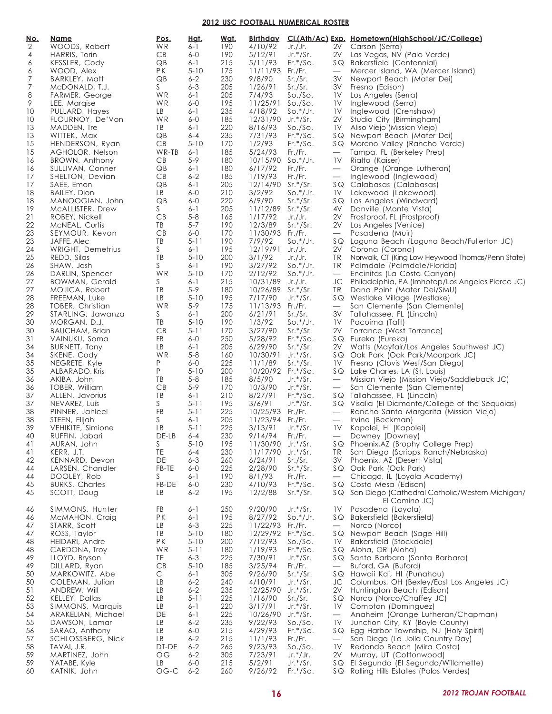#### **2012 USC FOOTBALL NUMERICAL ROSTER**

| <u>No.</u> | <u>Name</u>                            | <u>Pos.</u> | <u>Hgt.</u>         | <u>Wat.</u> |                                       |                           |                          | Birthday CI.(Ath/Ac) Exp. Hometown(HighSchool/JC/College)                  |
|------------|----------------------------------------|-------------|---------------------|-------------|---------------------------------------|---------------------------|--------------------------|----------------------------------------------------------------------------|
| 2          | WOODS, Robert                          | WR.         | $6 - 1$             | 190         | 4/10/92                               | Jr./Jr.                   |                          | 2V Carson (Serra)                                                          |
| 4          | HARRIS, Torin                          | CB          | $6-0$               | 190         | 5/12/91                               | $Jr.*/Sr.$                |                          | 2V Las Vegas, NV (Palo Verde)                                              |
| 6          | KESSLER, Cody                          | QB          | $6 - 1$             | 215         | 5/11/93                               | $Fr.*/SO.$                |                          | SQ Bakersfield (Centennial)                                                |
| 6          | WOOD, Alex                             | PK          | $5 - 10$            | 175         | $11/11/93$ Fr./Fr.                    |                           | $\overline{\phantom{0}}$ | Mercer Island, WA (Mercer Island)                                          |
| 7<br>7     | BARKLEY, Matt<br>MCDONALD, T.J.        | QB<br>S —   | $6 - 2$<br>$6 - 3$  | 230<br>205  | 9/8/90<br>1/26/91                     | Sr./Sr.<br>Sr./Sr.        |                          | 3V Newport Beach (Mater Dei)<br>3V Fresno (Edison)                         |
| 8          | FARMER, George                         | WR          | $6 - 1$             | 205         | 7/4/93                                | So./So.                   |                          | <b>1V</b> Los Angeles (Serra)                                              |
| 9          | LEE, Margise                           | WR          | $6-0$               | 195         | 11/25/91 So./So.                      |                           |                          | 1V Inglewood (Serra)                                                       |
| 10         | PULLARD, Hayes                         | LB          | $6 - 1$             | 235         | 4/18/92                               | $\text{So.}^*/\text{Jr.}$ |                          | <b>1V</b> Inglewood (Crenshaw)                                             |
| 10         | FLOURNOY, De'Von                       | WR          | $6-0$               | 185         | 12/31/90 Jr.*/Sr.                     |                           |                          | 2V Studio City (Birmingham)                                                |
| 13         | MADDEN, Tre                            | TB          | $6 - 1$             | 220         | 8/16/93                               | So./So.                   |                          | 1V Aliso Viejo (Mission Viejo)                                             |
| 13         | WITTEK, Max                            | QB          | $6 - 4$             | 235         | 7/31/93                               | $Fr.*/SO.$                |                          | SQ Newport Beach (Mater Dei)                                               |
| 15         | HENDERSON, Ryan                        | CB<br>WR-TB | $5 - 10$            | 170         | 1/2/93                                | $Fr.*/SO.$                |                          | SQ Moreno Valley (Rancho Verde)                                            |
| 15<br>16   | AGHOLOR, Nelson<br>BROWN, Anthony      | CB          | $6 - 1$<br>$5-9$    | 185<br>180  | 5/24/93<br>$10/15/90$ So.*/Jr.        | Fr./Fr.                   | $\overline{\phantom{0}}$ | Tampa, FL (Berkeley Prep)<br>1V Rialto (Kaiser)                            |
| 16         | SULLIVAN, Conner                       | QB          | $6 - 1$             | 180         | 6/17/92                               | Fr./Fr.                   | $\overline{\phantom{m}}$ | Orange (Orange Lutheran)                                                   |
| 17         | SHELTON, Devian                        | CB          | $6 - 2$             | 185         | 1/19/93                               | Fr./Fr.                   |                          | - Inglewood (Inglewood)                                                    |
| 17         | SAEE, Emon                             | QB          | $6 - 1$             | 205         | 12/14/90 Sr.*/Sr.                     |                           |                          | SQ Calabasas (Calabasas)                                                   |
| 18         | <b>BAILEY, Dion</b>                    | LB          | $6-0$               | 210         | 3/2/92                                | $\text{So.}^*/\text{Jr.}$ |                          | 1V Lakewood (Lakewood)                                                     |
| 18         | MANOOGIAN, John                        | QB          | $6-0$               | 220         | 6/9/90                                | $Sr.*/Sr.$                |                          | SQ Los Angeles (Windward)                                                  |
| 19         | MCALLISTER, Drew                       | S.          | $6 - 1$             | 205         | 11/12/89 Sr.*/Sr.                     |                           |                          | 4V Danville (Monte Vista)                                                  |
| 21         | ROBEY, Nickell                         | CB          | $5 - 8$             | 165         | 1/17/92                               | Jr./Jr.                   |                          | 2V Frostproof, FL (Frostproof)                                             |
| 22<br>23   | MCNEAL, Curtis<br>SEYMOUR, Kevon       | TB<br>CB    | $5 - 7$<br>$6-0$    | 190<br>170  | 12/3/89<br>11/30/93 Fr./Fr.           | $Sr.*/Sr.$                |                          | 2V Los Angeles (Venice)<br>— Pasadena (Muir)                               |
| 23         | JAFFE, Alec                            | TB          | $5-11$              | 190         | 7/9/92                                | $So.*/Jr.$                |                          | SQ Laguna Beach (Laguna Beach/Fullerton JC)                                |
| 24         | WRIGHT, Demetrius                      | S.          | $6 - 1$             | 195         | 12/19/91 Jr./Jr.                      |                           |                          | 2V Corona (Corona)                                                         |
| 25         | REDD, Silas                            | TB          | $5 - 10$            | 200         | 3/1/92                                | Jr./Jr.                   |                          | TR Norwalk, CT (King Low Heywood Thomas/Penn State)                        |
| 26         | SHAW, Josh                             | S.          | $6 - 1$             | 190         | 3/27/92                               | $So.*/Jr.$                |                          | TR Palmdale (Palmdale/Florida)                                             |
| 26         | DARLIN, Spencer                        | WR          | $5 - 10$            | 170         | 2/12/92                               | $\text{So.}^*/\text{Jr.}$ |                          | — Encinitas (La Costa Canyon)                                              |
| 27         | <b>BOWMAN, Gerald</b>                  | S.          | $6 - 1$             | 215         | 10/31/89 Jr./Jr.                      |                           |                          | JC Philadelphia, PA (Imhotep/Los Angeles Pierce JC)                        |
| 27         | MOJICA, Robert                         | TB          | $5 - 9$             | 180         | 10/26/89 Sr.*/Sr.                     |                           |                          | TR Dana Point (Mater Dei/SMU)                                              |
| 28         | FREEMAN, Luke                          | LB          | $5 - 10$            | 195         | 7/17/90                               | $Jr.*/Sr.$                |                          | SQ Westlake Village (Westlake)                                             |
| 28<br>29   | TOBER, Christian<br>STARLING, Jawanza  | WR<br>S.    | $5-9$<br>$6 - 1$    | 175<br>200  | 11/13/93 Fr./Fr.<br>6/21/91           | Sr./Sr.                   |                          | - San Clemente (San Clemente)<br>3V Tallahassee, FL (Lincoln)              |
| 30         | MORGAN, D.J.                           | TB          | $5 - 10$            | 190         | 1/3/92                                | $\text{So.}^*/\text{Jr.}$ |                          | <b>1V</b> Pacoima (Taft)                                                   |
| 30         | <b>BAUCHAM, Brian</b>                  | CB          | $5-11$              | 170         | 3/27/90                               | $Sr.*/Sr.$                |                          | 2V Torrance (West Torrance)                                                |
| 31         | VAINUKU, Soma                          | <b>FB</b>   | $6-0$               | 250         | 5/28/92                               | $Fr.*/SO.$                |                          | SQ Eureka (Eureka)                                                         |
| 34         | BURNETT, Tony                          | LB          | $6 - 1$             | 205         | 6/29/90                               | $Sr.*/Sr.$                |                          | 2V Watts (Mayfair/Los Angeles Southwest JC)                                |
| 34         | SKENE, Cody                            | WR          | $5 - 8$             | 160         | 10/30/91 Jr.*/Sr.                     |                           |                          | SQ Oak Park (Oak Park/Moorpark JC)                                         |
| 35         | NEGRETE, Kyle                          | P           | $6 - 0$             | 225         | 11/1/89                               | $Sr.*/Sr.$                |                          | 1V Fresno (Clovis West/San Diego)                                          |
| 35         | ALBARADO, Kris                         | P           | $5 - 10$            | 200         | 10/20/92 Fr.*/So.                     |                           |                          | SQ Lake Charles, LA (St. Louis)                                            |
| 36<br>36   | AKIBA, John                            | TB<br>CB    | $5 - 8$<br>$5 - 9$  | 185<br>170  | 8/5/90<br>10/3/90                     | $Jr.*/Sr.$<br>$Jr.*/Sr.$  | $\overline{\phantom{0}}$ | Mission Viejo (Mission Viejo/Saddleback JC)<br>San Clemente (San Clemente) |
| 37         | TOBER, William<br>ALLEN, Javorius      | TB          | $6 - 1$             | 210         | 8/27/91                               | $Fr.*/SO.$                | $\overline{\phantom{0}}$ | SQ Tallahassee, FL (Lincoln)                                               |
| 37         | NEVAREZ, Luis                          | S           | $5-11$              | 195         | 3/6/91                                | $Jr.*/Sr.$                |                          | SQ Visalia (El Diamante/College of the Sequoias)                           |
| 38         | PINNER, Jahleel                        | FB          | $5 - 11$            | 225         | 10/25/93 Fr./Fr.                      |                           |                          | - Rancho Santa Margarita (Mission Viejo)                                   |
| 38         | STEEN, Elijah                          | S.          | $6 - 1$             | 205         | 11/23/94 Fr./Fr.                      |                           | $\overline{\phantom{m}}$ | Irvine (Beckman)                                                           |
| 39         | VEHIKITE, Simione                      | LB          | $5 - 11$            | 225         | 3/13/91                               | $Jr.*/Sr.$                |                          | 1V Kapolei, HI (Kapolei)                                                   |
| 40         | RUFFIN, Jabari                         | $DE-LB$ 6-4 |                     | 230         | 9/14/94 Fr./Fr.                       |                           |                          | — Downey (Downey)                                                          |
| 41         | AURAN, John                            | S           | $5 - 10$            | 195         | 11/30/90 Jr.*/Sr.                     |                           |                          | SQ Phoenix, AZ (Brophy College Prep)                                       |
| 41         | KERR, J.T.                             | TE<br>DE    | $6 - 4$<br>$6 - 3$  | 230         | 11/17/90 Jr.*/Sr.                     |                           |                          | TR San Diego (Scripps Ranch/Nebraska)                                      |
| 42<br>44   | KENNARD, Devon<br>LARSEN, Chandler     | FB-TE       | $6-0$               | 260<br>225  | 6/24/91<br>2/28/90                    | Sr./Sr.<br>$Sr.*/Sr.$     |                          | 3V Phoenix, AZ (Desert Vista)<br>SQ Oak Park (Oak Park)                    |
| 44         | DOOLEY, Rob                            | S.          | 6-1                 | 190         | 8/1/93                                | Fr./Fr.                   | $\overline{\phantom{0}}$ | Chicago, IL (Loyola Academy)                                               |
| 45         | <b>BURKS, Charles</b>                  | FB-DE       | $6-0$               | 230         | 4/10/93                               | $Fr.*/SO.$                |                          | SQ Costa Mesa (Edison)                                                     |
| 45         | SCOTT, Doug                            | LB          | $6 - 2$             | 195         | 12/2/88                               | $Sr.*/Sr.$                |                          | SQ San Diego (Cathedral Catholic/Western Michigan/                         |
|            |                                        |             |                     |             |                                       |                           |                          | El Camino JC)                                                              |
| 46         | SIMMONS, Hunter                        | FB          | 6-1                 | 250         | 9/20/90                               | $Jr.*/Sr.$                |                          | 1V Pasadena (Loyola)                                                       |
| 46         | McMAHON, Craig                         | PK          | $6 - 1$             | 195         | 8/27/92                               | $\text{So.}^*/\text{Jr.}$ |                          | SQ Bakersfield (Bakersfield)                                               |
| 47         | STARR, Scott<br>ROSS, Taylor           | LB<br>TB    | $6 - 3$<br>$5 - 10$ | 225<br>180  | 11/22/93 Fr./Fr.<br>12/29/92 Fr.*/So. |                           | $\overline{\phantom{0}}$ | Norco (Norco)                                                              |
| 47<br>48   | HEIDARI, Andre                         | PK          | $5 - 10$            | 200         | 7/12/93                               | So./So.                   |                          | SQ Newport Beach (Sage Hill)<br>1V Bakersfield (Stockdale)                 |
| 48         | CARDONA, Troy                          | WR          | $5-11$              | 180         | 1/19/93                               | $Fr.*/SO.$                |                          | SQ Aloha, OR (Aloha)                                                       |
| 49         | LLOYD, Bryson                          | TE          | $6 - 3$             | 225         | 7/30/91                               | $Jr.*/Sr.$                |                          | SQ Santa Barbara (Santa Barbara)                                           |
| 49         | DILLARD, Ryan                          | CB          | $5 - 10$            | 185         | 3/25/94                               | Fr./Fr.                   | $\overline{\phantom{m}}$ | Buford, GA (Buford)                                                        |
| 50         | MARKOWITZ, Abe                         | C           | $6 - 1$             | 305         | 9/26/90                               | $Sr.*/Sr.$                |                          | SQ Hawaii Kai, HI (Punahou)                                                |
| 50         | COLEMAN, Julian                        | LB          | $6 - 2$             | 240         | 4/10/91                               | $Jr.*/Sr.$                |                          | JC Columbus, OH (Bexley/East Los Angeles JC)                               |
| 51         | ANDREW, Will                           | LB          | $6 - 2$             | 235         | 12/25/90 Jr.*/Sr.                     |                           |                          | 2V Huntington Beach (Edison)                                               |
| 52         | KELLEY, Dallas                         | LB          | $5 - 11$            | 225         | 1/16/90                               | Sr./Sr.                   |                          | SQ Norco (Norco/Chaffey JC)                                                |
| 53<br>54   | SIMMONS, Marquis<br>ARAKELIAN, Michael | LB<br>DE    | $6 - 1$<br>$6 - 1$  | 220<br>225  | 3/17/91<br>10/26/90 Jr.*/Sr.          | $Jr.*/Sr.$                | $\overline{\phantom{0}}$ | <b>IV</b> Compton (Dominguez)<br>Anaheim (Orange Lutheran/Chapman)         |
| 55         | DAWSON, Lamar                          | LB          | $6 - 2$             | 235         | 9/22/93                               | So./So.                   | 1V.                      | Junction City, KY (Boyle County)                                           |
| 56         | SARAO, Anthony                         | LB          | $6 - 0$             | 215         | 4/29/93                               | $Fr.*/SO.$                |                          | SQ Egg Harbor Township, NJ (Holy Spirit)                                   |
| 57         | SCHLOSSBERG, Nick                      | LB          | $6 - 2$             | 215         | 11/1/93                               | Fr./Fr.                   | $\overline{\phantom{0}}$ | San Diego (La Jolla Country Day)                                           |
| 58         | TAVAI, J.R.                            | DT-DE       | $6 - 2$             | 265         | 9/23/93                               | So./So.                   | 1 <sup>V</sup>           | Redondo Beach (Mira Costa)                                                 |
| 59         | MARTINEZ, John                         | OG          | $6 - 2$             | 305         | 7/23/91                               | $Jr.*/Jr.$                | 2V                       | Murray, UT (Cottonwood)                                                    |
| 59         | YATABE, Kyle                           | LB          | $6-0$               | 215         | 5/2/91                                | $Jr.*/Sr.$                |                          | SQ El Segundo (El Segundo/Willamette)                                      |
| 60         | KATNIK, John                           | $OG-C$      | $6 - 2$             | 260         | 9/26/92                               | $Fr.*/SO.$                |                          | SQ Rolling Hills Estates (Palos Verdes)                                    |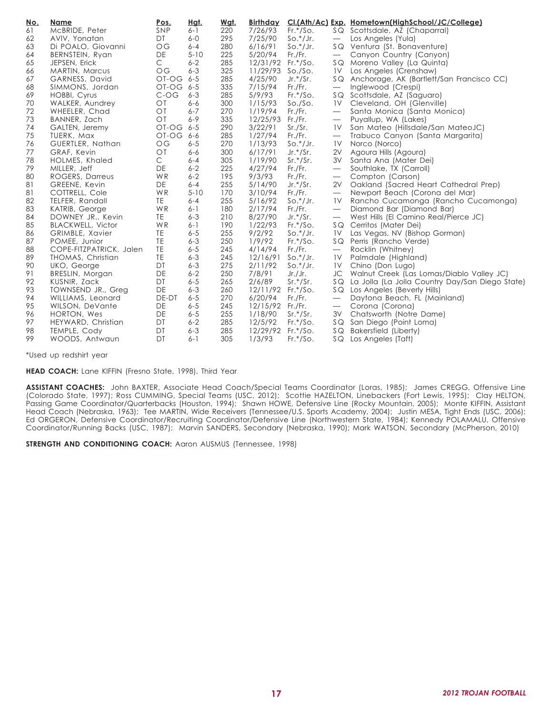| McBRIDE, Peter<br>SNP<br>220<br>7/26/93<br>$Fr.*/SO.$<br>SQ Scottsdale, AZ (Chaparral)<br>61<br>$6 - 1$<br>295<br>$So.*/Jr.$<br>62<br>DT<br>$6-0$<br>7/25/90<br>Los Angeles (Yula)<br>AVIV, Yonatan<br>$\overline{\phantom{m}}$<br>63<br>$6 - 4$<br>280<br>$\overline{OG}$<br>6/16/91<br>$So.*/Jr.$<br>SQ Ventura (St. Bonaventure)<br>Di POALO, Giovanni<br>$5 - 10$<br>225<br>64<br>DE<br>5/20/94<br>Fr./Fr.<br>BERNSTEIN, Ryan<br>Canyon Country (Canyon)<br>$\overline{\phantom{m}}$<br>C<br>65<br>$6 - 2$<br>285<br>12/31/92 Fr.*/So.<br>JEPSEN, Erick<br>SQ Moreno Valley (La Quinta)<br>$6 - 3$<br>325<br>11/29/93 So./So.<br>$\overline{OG}$<br><b>1V</b> Los Angeles (Crenshaw)<br>66<br>MARTIN, Marcus<br>OT-OG 6-5<br>285<br>4/25/90<br>67<br>GARNESS, David<br>$Jr.*/Sr.$<br>SQ Anchorage, AK (Bartlett/San Francisco CC)<br>335<br>68<br>OT-OG 6-5<br>7/15/94<br>Fr./Fr.<br>Inglewood (Crespi)<br>SIMMONS, Jordan<br>$\overline{\phantom{m}}$<br>69<br>$C$ -OG<br>$6 - 3$<br>285<br>5/9/93<br>HOBBI, Cyrus<br>$Fr.*/SO.$<br>SQ Scottsdale, AZ (Saguaro)<br>70<br>O <sub>T</sub><br>300<br>WALKER, Aundrey<br>$6 - 6$<br>1/15/93<br>So./So.<br>1V<br>Cleveland, OH (Glenville)<br>72<br>$\overline{O}$ T<br>$6 - 7$<br>1/19/94<br>270<br>Fr./Fr.<br>Santa Monica (Santa Monica)<br>WHEELER, Chad<br>$\overline{\phantom{m}}$<br>73<br>$\overline{O}$<br>$6 - 9$<br>335<br>12/25/93 Fr./Fr.<br>BANNER, Zach<br>Puyallup, WA (Lakes)<br>$\overbrace{\phantom{13333}}$<br>3/22/91<br>74<br>OT-OG 6-5<br>290<br>GALTEN, Jeremy<br>Sr./Sr.<br>San Mateo (Hillsdale/San MateoJC)<br>1 <sup>V</sup><br>75<br>TUERK, Max<br>OT-OG<br>6-6<br>285<br>1/27/94<br>Fr./Fr.<br>Trabuco Canyon (Santa Margarita)<br>$\overline{\phantom{m}}$<br>$\overline{OG}$<br>76<br>$6 - 5$<br>270<br>1/13/93<br>$So.*/Jr.$<br>Norco (Norco)<br>GUERTLER, Nathan<br>1V<br>300<br>77<br>$\overline{O}$<br>$6 - 6$<br>6/17/91<br>$Jr.*/Sr.$<br>2V<br>Agoura Hills (Agoura)<br>GRAF, Kevin<br>C<br>$6 - 4$<br>1/19/90<br>78<br>HOLMES, Khaled<br>305<br>$Sr.*/Sr.$<br>3V Santa Ana (Mater Dei)<br>$6 - 2$<br>79<br>MILLER, Jeff<br>DE<br>225<br>4/27/94<br>Fr./Fr.<br>Southlake, TX (Carroll)<br>$\overline{\phantom{m}}$<br>$6 - 2$<br>195<br>9/3/93<br>80<br>ROGERS, Darreus<br>WR<br>Fr./Fr.<br>Compton (Carson)<br>81<br>DE<br>$6 - 4$<br>255<br>5/14/90<br>$Jr.*/Sr.$<br>Oakland (Sacred Heart Cathedral Prep)<br>GREENE, Kevin<br>2V<br>WR<br>81<br>$5 - 10$<br>170<br>3/10/94<br>COTTRELL, Cole<br>Fr./Fr.<br>Newport Beach (Corona del Mar)<br>$\overline{\phantom{m}}$<br>255<br>82<br>TE<br>$6 - 4$<br>TELFER, Randall<br>5/16/92<br>Rancho Cucamonga (Rancho Cucamonga)<br>$So.*/Jr.$<br>1 <sup>V</sup><br>83<br>WR<br>$6 - 1$<br>180<br>2/17/94<br>Diamond Bar (Diamond Bar)<br>KATRIB, George<br>Fr./Fr.<br>$\overline{\phantom{m}}$<br>84<br>DOWNEY JR., Kevin<br>TE<br>$6 - 3$<br>210<br>8/27/90<br>$Jr.*/Sr.$<br>West Hills (El Camino Real/Pierce JC)<br>1/22/93<br>85<br>WR<br>$6 - 1$<br>190<br>$Fr.*/SO.$<br><b>BLACKWELL, Victor</b><br>SQ Cerritos (Mater Dei)<br>$6 - 5$<br>255<br>9/2/92<br>$So.*/Jr.$<br>86<br>GRIMBLE, Xavier<br>TE<br>Las Vegas, NV (Bishop Gorman)<br>1 <sup>V</sup><br>TE<br>87<br>$6 - 3$<br>250<br>1/9/92<br>$Fr.*/SO.$<br>POMEE, Junior<br>SQ Perris (Rancho Verde)<br>TE<br>$6 - 5$<br>88<br>245<br>4/14/94<br>COPE-FITZPATRICK, Jalen<br>Fr./Fr.<br>Rocklin (Whitney)<br>$\overline{\phantom{m}}$<br>89<br>TE<br>$6 - 3$<br>THOMAS, Christian<br>245<br>12/16/91<br>$So.*/Jr.$<br>1V<br>Palmdale (Highland)<br>2/11/92<br>90<br>UKO, George<br>DT<br>$6 - 3$<br>275<br>$So.*/Jr.$<br>1 <sup>V</sup><br>Chino (Don Lugo)<br>DE<br>$6 - 2$<br>250<br>7/8/91<br>Walnut Creek (Las Lomas/Diablo Valley JC)<br>91<br>BRESLIN, Morgan<br>Jr./Jr.<br>JC<br>2/6/89<br>92<br>KUSNIR, Zack<br>DT<br>$6 - 5$<br>265<br>$Sr.*/Sr.$<br>SQ La Jolla (La Jolla Country Day/San Diego State)<br>DE<br>93<br>$6 - 3$<br>12/11/92 Fr.*/So.<br>260<br>SQ Los Angeles (Beverly Hills)<br>TOWNSEND JR., Greg<br>DE-DT<br>$6 - 5$<br>270<br>94<br>6/20/94<br>Fr./Fr.<br>Daytona Beach, FL (Mainland)<br>WILLIAMS, Leonard<br>$\overline{\phantom{m}}$<br>95<br>$6 - 5$<br>DE<br>245<br>12/15/92 Fr./Fr.<br>WILSON, DeVante<br>Corona (Corona)<br>96<br>DE<br>$6 - 5$<br>255<br>1/18/90<br>3V Chatsworth (Notre Dame)<br>HORTON, Wes<br>$Sr.*/Sr.$<br>97<br>$6 - 2$<br>285<br>12/5/92<br>$Fr.*/SO.$<br>SQ San Diego (Point Loma)<br>HEYWARD, Christian<br>DT<br>$6 - 3$<br>285<br>12/29/92 Fr.*/So.<br>SQ Bakersfield (Liberty)<br>98<br>TEMPLE, Cody<br>DT<br>99<br>DT<br>$6 - 1$<br>305<br>1/3/93<br>$Fr.*/SO.$<br>SQ Los Angeles (Taft)<br>WOODS, Antwaun | <u>No.</u> | Name | Pos. | <u>Hat.</u> | <u>Wat.</u> | Birthday |  | CI.(Ath/Ac) Exp. Hometown(HighSchool/JC/College) |
|------------------------------------------------------------------------------------------------------------------------------------------------------------------------------------------------------------------------------------------------------------------------------------------------------------------------------------------------------------------------------------------------------------------------------------------------------------------------------------------------------------------------------------------------------------------------------------------------------------------------------------------------------------------------------------------------------------------------------------------------------------------------------------------------------------------------------------------------------------------------------------------------------------------------------------------------------------------------------------------------------------------------------------------------------------------------------------------------------------------------------------------------------------------------------------------------------------------------------------------------------------------------------------------------------------------------------------------------------------------------------------------------------------------------------------------------------------------------------------------------------------------------------------------------------------------------------------------------------------------------------------------------------------------------------------------------------------------------------------------------------------------------------------------------------------------------------------------------------------------------------------------------------------------------------------------------------------------------------------------------------------------------------------------------------------------------------------------------------------------------------------------------------------------------------------------------------------------------------------------------------------------------------------------------------------------------------------------------------------------------------------------------------------------------------------------------------------------------------------------------------------------------------------------------------------------------------------------------------------------------------------------------------------------------------------------------------------------------------------------------------------------------------------------------------------------------------------------------------------------------------------------------------------------------------------------------------------------------------------------------------------------------------------------------------------------------------------------------------------------------------------------------------------------------------------------------------------------------------------------------------------------------------------------------------------------------------------------------------------------------------------------------------------------------------------------------------------------------------------------------------------------------------------------------------------------------------------------------------------------------------------------------------------------------------------------------------------------------------------------------------------------------------------------------------------------------------------------------------------------------------------------------------------------------------------------------------------------------------------------------------------------------------------------------------------------------------------------------------------------------------------------------------------------------------------------------------------------------------------------------------------------------------------------------------------------------------------------------------------------------------------------------------------------------------------------------------------------------------------------------------------------------------------------------------------------------------------------------------------------------------------------------------------------------|------------|------|------|-------------|-------------|----------|--|--------------------------------------------------|
|                                                                                                                                                                                                                                                                                                                                                                                                                                                                                                                                                                                                                                                                                                                                                                                                                                                                                                                                                                                                                                                                                                                                                                                                                                                                                                                                                                                                                                                                                                                                                                                                                                                                                                                                                                                                                                                                                                                                                                                                                                                                                                                                                                                                                                                                                                                                                                                                                                                                                                                                                                                                                                                                                                                                                                                                                                                                                                                                                                                                                                                                                                                                                                                                                                                                                                                                                                                                                                                                                                                                                                                                                                                                                                                                                                                                                                                                                                                                                                                                                                                                                                                                                                                                                                                                                                                                                                                                                                                                                                                                                                                                                                                                        |            |      |      |             |             |          |  |                                                  |
|                                                                                                                                                                                                                                                                                                                                                                                                                                                                                                                                                                                                                                                                                                                                                                                                                                                                                                                                                                                                                                                                                                                                                                                                                                                                                                                                                                                                                                                                                                                                                                                                                                                                                                                                                                                                                                                                                                                                                                                                                                                                                                                                                                                                                                                                                                                                                                                                                                                                                                                                                                                                                                                                                                                                                                                                                                                                                                                                                                                                                                                                                                                                                                                                                                                                                                                                                                                                                                                                                                                                                                                                                                                                                                                                                                                                                                                                                                                                                                                                                                                                                                                                                                                                                                                                                                                                                                                                                                                                                                                                                                                                                                                                        |            |      |      |             |             |          |  |                                                  |
|                                                                                                                                                                                                                                                                                                                                                                                                                                                                                                                                                                                                                                                                                                                                                                                                                                                                                                                                                                                                                                                                                                                                                                                                                                                                                                                                                                                                                                                                                                                                                                                                                                                                                                                                                                                                                                                                                                                                                                                                                                                                                                                                                                                                                                                                                                                                                                                                                                                                                                                                                                                                                                                                                                                                                                                                                                                                                                                                                                                                                                                                                                                                                                                                                                                                                                                                                                                                                                                                                                                                                                                                                                                                                                                                                                                                                                                                                                                                                                                                                                                                                                                                                                                                                                                                                                                                                                                                                                                                                                                                                                                                                                                                        |            |      |      |             |             |          |  |                                                  |
|                                                                                                                                                                                                                                                                                                                                                                                                                                                                                                                                                                                                                                                                                                                                                                                                                                                                                                                                                                                                                                                                                                                                                                                                                                                                                                                                                                                                                                                                                                                                                                                                                                                                                                                                                                                                                                                                                                                                                                                                                                                                                                                                                                                                                                                                                                                                                                                                                                                                                                                                                                                                                                                                                                                                                                                                                                                                                                                                                                                                                                                                                                                                                                                                                                                                                                                                                                                                                                                                                                                                                                                                                                                                                                                                                                                                                                                                                                                                                                                                                                                                                                                                                                                                                                                                                                                                                                                                                                                                                                                                                                                                                                                                        |            |      |      |             |             |          |  |                                                  |
|                                                                                                                                                                                                                                                                                                                                                                                                                                                                                                                                                                                                                                                                                                                                                                                                                                                                                                                                                                                                                                                                                                                                                                                                                                                                                                                                                                                                                                                                                                                                                                                                                                                                                                                                                                                                                                                                                                                                                                                                                                                                                                                                                                                                                                                                                                                                                                                                                                                                                                                                                                                                                                                                                                                                                                                                                                                                                                                                                                                                                                                                                                                                                                                                                                                                                                                                                                                                                                                                                                                                                                                                                                                                                                                                                                                                                                                                                                                                                                                                                                                                                                                                                                                                                                                                                                                                                                                                                                                                                                                                                                                                                                                                        |            |      |      |             |             |          |  |                                                  |
|                                                                                                                                                                                                                                                                                                                                                                                                                                                                                                                                                                                                                                                                                                                                                                                                                                                                                                                                                                                                                                                                                                                                                                                                                                                                                                                                                                                                                                                                                                                                                                                                                                                                                                                                                                                                                                                                                                                                                                                                                                                                                                                                                                                                                                                                                                                                                                                                                                                                                                                                                                                                                                                                                                                                                                                                                                                                                                                                                                                                                                                                                                                                                                                                                                                                                                                                                                                                                                                                                                                                                                                                                                                                                                                                                                                                                                                                                                                                                                                                                                                                                                                                                                                                                                                                                                                                                                                                                                                                                                                                                                                                                                                                        |            |      |      |             |             |          |  |                                                  |
|                                                                                                                                                                                                                                                                                                                                                                                                                                                                                                                                                                                                                                                                                                                                                                                                                                                                                                                                                                                                                                                                                                                                                                                                                                                                                                                                                                                                                                                                                                                                                                                                                                                                                                                                                                                                                                                                                                                                                                                                                                                                                                                                                                                                                                                                                                                                                                                                                                                                                                                                                                                                                                                                                                                                                                                                                                                                                                                                                                                                                                                                                                                                                                                                                                                                                                                                                                                                                                                                                                                                                                                                                                                                                                                                                                                                                                                                                                                                                                                                                                                                                                                                                                                                                                                                                                                                                                                                                                                                                                                                                                                                                                                                        |            |      |      |             |             |          |  |                                                  |
|                                                                                                                                                                                                                                                                                                                                                                                                                                                                                                                                                                                                                                                                                                                                                                                                                                                                                                                                                                                                                                                                                                                                                                                                                                                                                                                                                                                                                                                                                                                                                                                                                                                                                                                                                                                                                                                                                                                                                                                                                                                                                                                                                                                                                                                                                                                                                                                                                                                                                                                                                                                                                                                                                                                                                                                                                                                                                                                                                                                                                                                                                                                                                                                                                                                                                                                                                                                                                                                                                                                                                                                                                                                                                                                                                                                                                                                                                                                                                                                                                                                                                                                                                                                                                                                                                                                                                                                                                                                                                                                                                                                                                                                                        |            |      |      |             |             |          |  |                                                  |
|                                                                                                                                                                                                                                                                                                                                                                                                                                                                                                                                                                                                                                                                                                                                                                                                                                                                                                                                                                                                                                                                                                                                                                                                                                                                                                                                                                                                                                                                                                                                                                                                                                                                                                                                                                                                                                                                                                                                                                                                                                                                                                                                                                                                                                                                                                                                                                                                                                                                                                                                                                                                                                                                                                                                                                                                                                                                                                                                                                                                                                                                                                                                                                                                                                                                                                                                                                                                                                                                                                                                                                                                                                                                                                                                                                                                                                                                                                                                                                                                                                                                                                                                                                                                                                                                                                                                                                                                                                                                                                                                                                                                                                                                        |            |      |      |             |             |          |  |                                                  |
|                                                                                                                                                                                                                                                                                                                                                                                                                                                                                                                                                                                                                                                                                                                                                                                                                                                                                                                                                                                                                                                                                                                                                                                                                                                                                                                                                                                                                                                                                                                                                                                                                                                                                                                                                                                                                                                                                                                                                                                                                                                                                                                                                                                                                                                                                                                                                                                                                                                                                                                                                                                                                                                                                                                                                                                                                                                                                                                                                                                                                                                                                                                                                                                                                                                                                                                                                                                                                                                                                                                                                                                                                                                                                                                                                                                                                                                                                                                                                                                                                                                                                                                                                                                                                                                                                                                                                                                                                                                                                                                                                                                                                                                                        |            |      |      |             |             |          |  |                                                  |
|                                                                                                                                                                                                                                                                                                                                                                                                                                                                                                                                                                                                                                                                                                                                                                                                                                                                                                                                                                                                                                                                                                                                                                                                                                                                                                                                                                                                                                                                                                                                                                                                                                                                                                                                                                                                                                                                                                                                                                                                                                                                                                                                                                                                                                                                                                                                                                                                                                                                                                                                                                                                                                                                                                                                                                                                                                                                                                                                                                                                                                                                                                                                                                                                                                                                                                                                                                                                                                                                                                                                                                                                                                                                                                                                                                                                                                                                                                                                                                                                                                                                                                                                                                                                                                                                                                                                                                                                                                                                                                                                                                                                                                                                        |            |      |      |             |             |          |  |                                                  |
|                                                                                                                                                                                                                                                                                                                                                                                                                                                                                                                                                                                                                                                                                                                                                                                                                                                                                                                                                                                                                                                                                                                                                                                                                                                                                                                                                                                                                                                                                                                                                                                                                                                                                                                                                                                                                                                                                                                                                                                                                                                                                                                                                                                                                                                                                                                                                                                                                                                                                                                                                                                                                                                                                                                                                                                                                                                                                                                                                                                                                                                                                                                                                                                                                                                                                                                                                                                                                                                                                                                                                                                                                                                                                                                                                                                                                                                                                                                                                                                                                                                                                                                                                                                                                                                                                                                                                                                                                                                                                                                                                                                                                                                                        |            |      |      |             |             |          |  |                                                  |
|                                                                                                                                                                                                                                                                                                                                                                                                                                                                                                                                                                                                                                                                                                                                                                                                                                                                                                                                                                                                                                                                                                                                                                                                                                                                                                                                                                                                                                                                                                                                                                                                                                                                                                                                                                                                                                                                                                                                                                                                                                                                                                                                                                                                                                                                                                                                                                                                                                                                                                                                                                                                                                                                                                                                                                                                                                                                                                                                                                                                                                                                                                                                                                                                                                                                                                                                                                                                                                                                                                                                                                                                                                                                                                                                                                                                                                                                                                                                                                                                                                                                                                                                                                                                                                                                                                                                                                                                                                                                                                                                                                                                                                                                        |            |      |      |             |             |          |  |                                                  |
|                                                                                                                                                                                                                                                                                                                                                                                                                                                                                                                                                                                                                                                                                                                                                                                                                                                                                                                                                                                                                                                                                                                                                                                                                                                                                                                                                                                                                                                                                                                                                                                                                                                                                                                                                                                                                                                                                                                                                                                                                                                                                                                                                                                                                                                                                                                                                                                                                                                                                                                                                                                                                                                                                                                                                                                                                                                                                                                                                                                                                                                                                                                                                                                                                                                                                                                                                                                                                                                                                                                                                                                                                                                                                                                                                                                                                                                                                                                                                                                                                                                                                                                                                                                                                                                                                                                                                                                                                                                                                                                                                                                                                                                                        |            |      |      |             |             |          |  |                                                  |
|                                                                                                                                                                                                                                                                                                                                                                                                                                                                                                                                                                                                                                                                                                                                                                                                                                                                                                                                                                                                                                                                                                                                                                                                                                                                                                                                                                                                                                                                                                                                                                                                                                                                                                                                                                                                                                                                                                                                                                                                                                                                                                                                                                                                                                                                                                                                                                                                                                                                                                                                                                                                                                                                                                                                                                                                                                                                                                                                                                                                                                                                                                                                                                                                                                                                                                                                                                                                                                                                                                                                                                                                                                                                                                                                                                                                                                                                                                                                                                                                                                                                                                                                                                                                                                                                                                                                                                                                                                                                                                                                                                                                                                                                        |            |      |      |             |             |          |  |                                                  |
|                                                                                                                                                                                                                                                                                                                                                                                                                                                                                                                                                                                                                                                                                                                                                                                                                                                                                                                                                                                                                                                                                                                                                                                                                                                                                                                                                                                                                                                                                                                                                                                                                                                                                                                                                                                                                                                                                                                                                                                                                                                                                                                                                                                                                                                                                                                                                                                                                                                                                                                                                                                                                                                                                                                                                                                                                                                                                                                                                                                                                                                                                                                                                                                                                                                                                                                                                                                                                                                                                                                                                                                                                                                                                                                                                                                                                                                                                                                                                                                                                                                                                                                                                                                                                                                                                                                                                                                                                                                                                                                                                                                                                                                                        |            |      |      |             |             |          |  |                                                  |
|                                                                                                                                                                                                                                                                                                                                                                                                                                                                                                                                                                                                                                                                                                                                                                                                                                                                                                                                                                                                                                                                                                                                                                                                                                                                                                                                                                                                                                                                                                                                                                                                                                                                                                                                                                                                                                                                                                                                                                                                                                                                                                                                                                                                                                                                                                                                                                                                                                                                                                                                                                                                                                                                                                                                                                                                                                                                                                                                                                                                                                                                                                                                                                                                                                                                                                                                                                                                                                                                                                                                                                                                                                                                                                                                                                                                                                                                                                                                                                                                                                                                                                                                                                                                                                                                                                                                                                                                                                                                                                                                                                                                                                                                        |            |      |      |             |             |          |  |                                                  |
|                                                                                                                                                                                                                                                                                                                                                                                                                                                                                                                                                                                                                                                                                                                                                                                                                                                                                                                                                                                                                                                                                                                                                                                                                                                                                                                                                                                                                                                                                                                                                                                                                                                                                                                                                                                                                                                                                                                                                                                                                                                                                                                                                                                                                                                                                                                                                                                                                                                                                                                                                                                                                                                                                                                                                                                                                                                                                                                                                                                                                                                                                                                                                                                                                                                                                                                                                                                                                                                                                                                                                                                                                                                                                                                                                                                                                                                                                                                                                                                                                                                                                                                                                                                                                                                                                                                                                                                                                                                                                                                                                                                                                                                                        |            |      |      |             |             |          |  |                                                  |
|                                                                                                                                                                                                                                                                                                                                                                                                                                                                                                                                                                                                                                                                                                                                                                                                                                                                                                                                                                                                                                                                                                                                                                                                                                                                                                                                                                                                                                                                                                                                                                                                                                                                                                                                                                                                                                                                                                                                                                                                                                                                                                                                                                                                                                                                                                                                                                                                                                                                                                                                                                                                                                                                                                                                                                                                                                                                                                                                                                                                                                                                                                                                                                                                                                                                                                                                                                                                                                                                                                                                                                                                                                                                                                                                                                                                                                                                                                                                                                                                                                                                                                                                                                                                                                                                                                                                                                                                                                                                                                                                                                                                                                                                        |            |      |      |             |             |          |  |                                                  |
|                                                                                                                                                                                                                                                                                                                                                                                                                                                                                                                                                                                                                                                                                                                                                                                                                                                                                                                                                                                                                                                                                                                                                                                                                                                                                                                                                                                                                                                                                                                                                                                                                                                                                                                                                                                                                                                                                                                                                                                                                                                                                                                                                                                                                                                                                                                                                                                                                                                                                                                                                                                                                                                                                                                                                                                                                                                                                                                                                                                                                                                                                                                                                                                                                                                                                                                                                                                                                                                                                                                                                                                                                                                                                                                                                                                                                                                                                                                                                                                                                                                                                                                                                                                                                                                                                                                                                                                                                                                                                                                                                                                                                                                                        |            |      |      |             |             |          |  |                                                  |
|                                                                                                                                                                                                                                                                                                                                                                                                                                                                                                                                                                                                                                                                                                                                                                                                                                                                                                                                                                                                                                                                                                                                                                                                                                                                                                                                                                                                                                                                                                                                                                                                                                                                                                                                                                                                                                                                                                                                                                                                                                                                                                                                                                                                                                                                                                                                                                                                                                                                                                                                                                                                                                                                                                                                                                                                                                                                                                                                                                                                                                                                                                                                                                                                                                                                                                                                                                                                                                                                                                                                                                                                                                                                                                                                                                                                                                                                                                                                                                                                                                                                                                                                                                                                                                                                                                                                                                                                                                                                                                                                                                                                                                                                        |            |      |      |             |             |          |  |                                                  |
|                                                                                                                                                                                                                                                                                                                                                                                                                                                                                                                                                                                                                                                                                                                                                                                                                                                                                                                                                                                                                                                                                                                                                                                                                                                                                                                                                                                                                                                                                                                                                                                                                                                                                                                                                                                                                                                                                                                                                                                                                                                                                                                                                                                                                                                                                                                                                                                                                                                                                                                                                                                                                                                                                                                                                                                                                                                                                                                                                                                                                                                                                                                                                                                                                                                                                                                                                                                                                                                                                                                                                                                                                                                                                                                                                                                                                                                                                                                                                                                                                                                                                                                                                                                                                                                                                                                                                                                                                                                                                                                                                                                                                                                                        |            |      |      |             |             |          |  |                                                  |
|                                                                                                                                                                                                                                                                                                                                                                                                                                                                                                                                                                                                                                                                                                                                                                                                                                                                                                                                                                                                                                                                                                                                                                                                                                                                                                                                                                                                                                                                                                                                                                                                                                                                                                                                                                                                                                                                                                                                                                                                                                                                                                                                                                                                                                                                                                                                                                                                                                                                                                                                                                                                                                                                                                                                                                                                                                                                                                                                                                                                                                                                                                                                                                                                                                                                                                                                                                                                                                                                                                                                                                                                                                                                                                                                                                                                                                                                                                                                                                                                                                                                                                                                                                                                                                                                                                                                                                                                                                                                                                                                                                                                                                                                        |            |      |      |             |             |          |  |                                                  |
|                                                                                                                                                                                                                                                                                                                                                                                                                                                                                                                                                                                                                                                                                                                                                                                                                                                                                                                                                                                                                                                                                                                                                                                                                                                                                                                                                                                                                                                                                                                                                                                                                                                                                                                                                                                                                                                                                                                                                                                                                                                                                                                                                                                                                                                                                                                                                                                                                                                                                                                                                                                                                                                                                                                                                                                                                                                                                                                                                                                                                                                                                                                                                                                                                                                                                                                                                                                                                                                                                                                                                                                                                                                                                                                                                                                                                                                                                                                                                                                                                                                                                                                                                                                                                                                                                                                                                                                                                                                                                                                                                                                                                                                                        |            |      |      |             |             |          |  |                                                  |
|                                                                                                                                                                                                                                                                                                                                                                                                                                                                                                                                                                                                                                                                                                                                                                                                                                                                                                                                                                                                                                                                                                                                                                                                                                                                                                                                                                                                                                                                                                                                                                                                                                                                                                                                                                                                                                                                                                                                                                                                                                                                                                                                                                                                                                                                                                                                                                                                                                                                                                                                                                                                                                                                                                                                                                                                                                                                                                                                                                                                                                                                                                                                                                                                                                                                                                                                                                                                                                                                                                                                                                                                                                                                                                                                                                                                                                                                                                                                                                                                                                                                                                                                                                                                                                                                                                                                                                                                                                                                                                                                                                                                                                                                        |            |      |      |             |             |          |  |                                                  |
|                                                                                                                                                                                                                                                                                                                                                                                                                                                                                                                                                                                                                                                                                                                                                                                                                                                                                                                                                                                                                                                                                                                                                                                                                                                                                                                                                                                                                                                                                                                                                                                                                                                                                                                                                                                                                                                                                                                                                                                                                                                                                                                                                                                                                                                                                                                                                                                                                                                                                                                                                                                                                                                                                                                                                                                                                                                                                                                                                                                                                                                                                                                                                                                                                                                                                                                                                                                                                                                                                                                                                                                                                                                                                                                                                                                                                                                                                                                                                                                                                                                                                                                                                                                                                                                                                                                                                                                                                                                                                                                                                                                                                                                                        |            |      |      |             |             |          |  |                                                  |
|                                                                                                                                                                                                                                                                                                                                                                                                                                                                                                                                                                                                                                                                                                                                                                                                                                                                                                                                                                                                                                                                                                                                                                                                                                                                                                                                                                                                                                                                                                                                                                                                                                                                                                                                                                                                                                                                                                                                                                                                                                                                                                                                                                                                                                                                                                                                                                                                                                                                                                                                                                                                                                                                                                                                                                                                                                                                                                                                                                                                                                                                                                                                                                                                                                                                                                                                                                                                                                                                                                                                                                                                                                                                                                                                                                                                                                                                                                                                                                                                                                                                                                                                                                                                                                                                                                                                                                                                                                                                                                                                                                                                                                                                        |            |      |      |             |             |          |  |                                                  |
|                                                                                                                                                                                                                                                                                                                                                                                                                                                                                                                                                                                                                                                                                                                                                                                                                                                                                                                                                                                                                                                                                                                                                                                                                                                                                                                                                                                                                                                                                                                                                                                                                                                                                                                                                                                                                                                                                                                                                                                                                                                                                                                                                                                                                                                                                                                                                                                                                                                                                                                                                                                                                                                                                                                                                                                                                                                                                                                                                                                                                                                                                                                                                                                                                                                                                                                                                                                                                                                                                                                                                                                                                                                                                                                                                                                                                                                                                                                                                                                                                                                                                                                                                                                                                                                                                                                                                                                                                                                                                                                                                                                                                                                                        |            |      |      |             |             |          |  |                                                  |
|                                                                                                                                                                                                                                                                                                                                                                                                                                                                                                                                                                                                                                                                                                                                                                                                                                                                                                                                                                                                                                                                                                                                                                                                                                                                                                                                                                                                                                                                                                                                                                                                                                                                                                                                                                                                                                                                                                                                                                                                                                                                                                                                                                                                                                                                                                                                                                                                                                                                                                                                                                                                                                                                                                                                                                                                                                                                                                                                                                                                                                                                                                                                                                                                                                                                                                                                                                                                                                                                                                                                                                                                                                                                                                                                                                                                                                                                                                                                                                                                                                                                                                                                                                                                                                                                                                                                                                                                                                                                                                                                                                                                                                                                        |            |      |      |             |             |          |  |                                                  |
|                                                                                                                                                                                                                                                                                                                                                                                                                                                                                                                                                                                                                                                                                                                                                                                                                                                                                                                                                                                                                                                                                                                                                                                                                                                                                                                                                                                                                                                                                                                                                                                                                                                                                                                                                                                                                                                                                                                                                                                                                                                                                                                                                                                                                                                                                                                                                                                                                                                                                                                                                                                                                                                                                                                                                                                                                                                                                                                                                                                                                                                                                                                                                                                                                                                                                                                                                                                                                                                                                                                                                                                                                                                                                                                                                                                                                                                                                                                                                                                                                                                                                                                                                                                                                                                                                                                                                                                                                                                                                                                                                                                                                                                                        |            |      |      |             |             |          |  |                                                  |
|                                                                                                                                                                                                                                                                                                                                                                                                                                                                                                                                                                                                                                                                                                                                                                                                                                                                                                                                                                                                                                                                                                                                                                                                                                                                                                                                                                                                                                                                                                                                                                                                                                                                                                                                                                                                                                                                                                                                                                                                                                                                                                                                                                                                                                                                                                                                                                                                                                                                                                                                                                                                                                                                                                                                                                                                                                                                                                                                                                                                                                                                                                                                                                                                                                                                                                                                                                                                                                                                                                                                                                                                                                                                                                                                                                                                                                                                                                                                                                                                                                                                                                                                                                                                                                                                                                                                                                                                                                                                                                                                                                                                                                                                        |            |      |      |             |             |          |  |                                                  |
|                                                                                                                                                                                                                                                                                                                                                                                                                                                                                                                                                                                                                                                                                                                                                                                                                                                                                                                                                                                                                                                                                                                                                                                                                                                                                                                                                                                                                                                                                                                                                                                                                                                                                                                                                                                                                                                                                                                                                                                                                                                                                                                                                                                                                                                                                                                                                                                                                                                                                                                                                                                                                                                                                                                                                                                                                                                                                                                                                                                                                                                                                                                                                                                                                                                                                                                                                                                                                                                                                                                                                                                                                                                                                                                                                                                                                                                                                                                                                                                                                                                                                                                                                                                                                                                                                                                                                                                                                                                                                                                                                                                                                                                                        |            |      |      |             |             |          |  |                                                  |
|                                                                                                                                                                                                                                                                                                                                                                                                                                                                                                                                                                                                                                                                                                                                                                                                                                                                                                                                                                                                                                                                                                                                                                                                                                                                                                                                                                                                                                                                                                                                                                                                                                                                                                                                                                                                                                                                                                                                                                                                                                                                                                                                                                                                                                                                                                                                                                                                                                                                                                                                                                                                                                                                                                                                                                                                                                                                                                                                                                                                                                                                                                                                                                                                                                                                                                                                                                                                                                                                                                                                                                                                                                                                                                                                                                                                                                                                                                                                                                                                                                                                                                                                                                                                                                                                                                                                                                                                                                                                                                                                                                                                                                                                        |            |      |      |             |             |          |  |                                                  |
|                                                                                                                                                                                                                                                                                                                                                                                                                                                                                                                                                                                                                                                                                                                                                                                                                                                                                                                                                                                                                                                                                                                                                                                                                                                                                                                                                                                                                                                                                                                                                                                                                                                                                                                                                                                                                                                                                                                                                                                                                                                                                                                                                                                                                                                                                                                                                                                                                                                                                                                                                                                                                                                                                                                                                                                                                                                                                                                                                                                                                                                                                                                                                                                                                                                                                                                                                                                                                                                                                                                                                                                                                                                                                                                                                                                                                                                                                                                                                                                                                                                                                                                                                                                                                                                                                                                                                                                                                                                                                                                                                                                                                                                                        |            |      |      |             |             |          |  |                                                  |
|                                                                                                                                                                                                                                                                                                                                                                                                                                                                                                                                                                                                                                                                                                                                                                                                                                                                                                                                                                                                                                                                                                                                                                                                                                                                                                                                                                                                                                                                                                                                                                                                                                                                                                                                                                                                                                                                                                                                                                                                                                                                                                                                                                                                                                                                                                                                                                                                                                                                                                                                                                                                                                                                                                                                                                                                                                                                                                                                                                                                                                                                                                                                                                                                                                                                                                                                                                                                                                                                                                                                                                                                                                                                                                                                                                                                                                                                                                                                                                                                                                                                                                                                                                                                                                                                                                                                                                                                                                                                                                                                                                                                                                                                        |            |      |      |             |             |          |  |                                                  |
|                                                                                                                                                                                                                                                                                                                                                                                                                                                                                                                                                                                                                                                                                                                                                                                                                                                                                                                                                                                                                                                                                                                                                                                                                                                                                                                                                                                                                                                                                                                                                                                                                                                                                                                                                                                                                                                                                                                                                                                                                                                                                                                                                                                                                                                                                                                                                                                                                                                                                                                                                                                                                                                                                                                                                                                                                                                                                                                                                                                                                                                                                                                                                                                                                                                                                                                                                                                                                                                                                                                                                                                                                                                                                                                                                                                                                                                                                                                                                                                                                                                                                                                                                                                                                                                                                                                                                                                                                                                                                                                                                                                                                                                                        |            |      |      |             |             |          |  |                                                  |
|                                                                                                                                                                                                                                                                                                                                                                                                                                                                                                                                                                                                                                                                                                                                                                                                                                                                                                                                                                                                                                                                                                                                                                                                                                                                                                                                                                                                                                                                                                                                                                                                                                                                                                                                                                                                                                                                                                                                                                                                                                                                                                                                                                                                                                                                                                                                                                                                                                                                                                                                                                                                                                                                                                                                                                                                                                                                                                                                                                                                                                                                                                                                                                                                                                                                                                                                                                                                                                                                                                                                                                                                                                                                                                                                                                                                                                                                                                                                                                                                                                                                                                                                                                                                                                                                                                                                                                                                                                                                                                                                                                                                                                                                        |            |      |      |             |             |          |  |                                                  |
|                                                                                                                                                                                                                                                                                                                                                                                                                                                                                                                                                                                                                                                                                                                                                                                                                                                                                                                                                                                                                                                                                                                                                                                                                                                                                                                                                                                                                                                                                                                                                                                                                                                                                                                                                                                                                                                                                                                                                                                                                                                                                                                                                                                                                                                                                                                                                                                                                                                                                                                                                                                                                                                                                                                                                                                                                                                                                                                                                                                                                                                                                                                                                                                                                                                                                                                                                                                                                                                                                                                                                                                                                                                                                                                                                                                                                                                                                                                                                                                                                                                                                                                                                                                                                                                                                                                                                                                                                                                                                                                                                                                                                                                                        |            |      |      |             |             |          |  |                                                  |
|                                                                                                                                                                                                                                                                                                                                                                                                                                                                                                                                                                                                                                                                                                                                                                                                                                                                                                                                                                                                                                                                                                                                                                                                                                                                                                                                                                                                                                                                                                                                                                                                                                                                                                                                                                                                                                                                                                                                                                                                                                                                                                                                                                                                                                                                                                                                                                                                                                                                                                                                                                                                                                                                                                                                                                                                                                                                                                                                                                                                                                                                                                                                                                                                                                                                                                                                                                                                                                                                                                                                                                                                                                                                                                                                                                                                                                                                                                                                                                                                                                                                                                                                                                                                                                                                                                                                                                                                                                                                                                                                                                                                                                                                        |            |      |      |             |             |          |  |                                                  |

\*Used up redshirt year

**HEAD COACH:** Lane KIFFIN (Fresno State, 1998), Third Year

**ASSISTANT COACHES:** John BAXTER, Associate Head Coach/Special Teams Coordinator (Loras, 1985); James CREGG, Offensive Line (Colorado State, 1997); Ross CUMMING, Special Teams (USC, 2012); Scottie HAZELTON, Linebackers (Fort Lewis, 1995); Clay HELTON, Passing Game Coordinator/Quarterbacks (Houston, 1994); Shawn HOWE, Defensive Line (Rocky Mountain, 2005); Monte KIFFIN, Assistant Head Coach (Nebraska, 1963); Tee MARTIN, Wide Receivers (Tennessee/U.S. Sports Academy, 2004); Justin MESA, Tight Ends (USC, 2006); Ed ORGERON, Defensive Coordinator/Recruiting Coordinator/Defensive Line (Northwestern State, 1984); Kennedy POLAMALU, Offensive Coordinator/Running Backs (USC, 1987); Marvin SANDERS, Secondary (Nebraska, 1990); Mark WATSON, Secondary (McPherson, 2010)

**STRENGTH AND CONDITIONING COACH:** Aaron AUSMUS (Tennessee, 1998)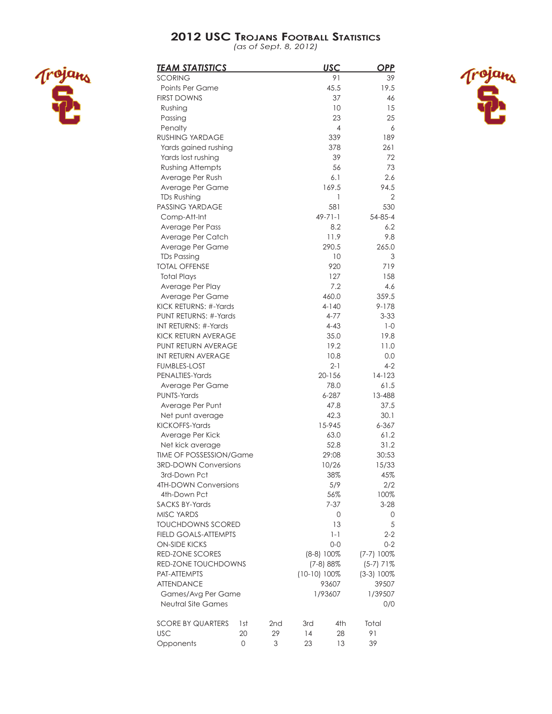*(as of Sept. 8, 2012)*



| <u>TEAM STATISTICS</u>                    |     |     |                | <b>USC</b>      | <u>OPP</u>    |
|-------------------------------------------|-----|-----|----------------|-----------------|---------------|
| SCORING                                   |     |     |                | 91              | 39            |
| <b>Points Per Game</b>                    |     |     |                | 45.5            | 19.5          |
| <b>FIRST DOWNS</b>                        |     |     |                | 37              | 46            |
| Rushing                                   |     |     |                | 10              | 15            |
| Passing                                   |     |     |                | 23              | 25            |
| Penalty                                   |     |     |                | $\overline{4}$  | 6             |
| <b>RUSHING YARDAGE</b>                    |     |     |                | 339             | 189           |
| Yards gained rushing                      |     |     |                | 378             | 261           |
| Yards lost rushing                        |     |     |                | 39              | 72            |
| <b>Rushing Attempts</b>                   |     |     |                | 56              | 73            |
| Average Per Rush                          |     |     |                | 6.1             | 2.6           |
| Average Per Game                          |     |     |                | 169.5           | 94.5          |
| <b>TDs Rushing</b>                        |     |     |                | 1               | 2             |
| PASSING YARDAGE                           |     |     |                | 581             | 530           |
| Comp-Att-Int                              |     |     |                | $49 - 71 - 1$   | $54 - 85 - 4$ |
| Average Per Pass                          |     |     |                | 8.2             | 6.2           |
| Average Per Catch                         |     |     |                | 11.9            | 9.8           |
| Average Per Game                          |     |     |                | 290.5           | 265.0         |
| <b>TDs Passing</b>                        |     |     |                | 10              | 3             |
| <b>TOTAL OFFENSE</b>                      |     |     |                | 920             | 719           |
| <b>Total Plays</b>                        |     |     |                | 127             | 158           |
| Average Per Play                          |     |     |                | 7.2             | 4.6           |
| Average Per Game                          |     |     |                | 460.0           | 359.5         |
| KICK RETURNS: #-Yards                     |     |     |                | 4-140           | 9-178         |
| PUNT RETURNS: #-Yards                     |     |     |                | $4 - 77$        | $3 - 33$      |
| INT RETURNS: #-Yards                      |     |     |                | $4 - 43$        | $1 - 0$       |
| KICK RETURN AVERAGE                       |     |     |                | 35.0            | 19.8          |
| PUNT RETURN AVERAGE<br>INT RETURN AVERAGE |     |     |                | 19.2            | 11.0          |
| <b>FUMBLES-LOST</b>                       |     |     |                | 10.8<br>$2 - 1$ | 0.0<br>4-2    |
| PENALTIES-Yards                           |     |     |                | $20 - 156$      | 14-123        |
| Average Per Game                          |     |     |                | 78.0            | 61.5          |
| <b>PUNTS-Yards</b>                        |     |     |                | 6-287           | 13-488        |
| Average Per Punt                          |     |     |                | 47.8            | 37.5          |
| Net punt average                          |     |     |                | 42.3            | 30.1          |
| KICKOFFS-Yards                            |     |     |                | 15-945          | 6-367         |
| Average Per Kick                          |     |     |                | 63.0            | 61.2          |
| Net kick average                          |     |     |                | 52.8            | 31.2          |
| TIME OF POSSESSION/Game                   |     |     |                | 29:08           | 30:53         |
| <b>3RD-DOWN Conversions</b>               |     |     |                | 10/26           | 15/33         |
| 3rd-Down Pct                              |     |     |                | 38%             | 45%           |
| <b>4TH-DOWN Conversions</b>               |     |     |                | 5/9             | 2/2           |
| 4th-Down Pct                              |     |     |                | 56%             | 100%          |
| <b>SACKS BY-Yards</b>                     |     |     |                | $7 - 37$        | $3 - 28$      |
| <b>MISC YARDS</b>                         |     |     |                | 0               | 0             |
| <b>TOUCHDOWNS SCORED</b>                  |     |     |                | 13              | 5             |
| <b>FIELD GOALS-ATTEMPTS</b>               |     |     |                | $1 - 1$         | $2 - 2$       |
| <b>ON-SIDE KICKS</b>                      |     |     |                | 0-0             | $0 - 2$       |
| <b>RED-ZONE SCORES</b>                    |     |     | $(8-8)$ 100%   |                 | $(7-7)$ 100%  |
| RED-ZONE TOUCHDOWNS                       |     |     |                | $(7-8)88%$      | $(5-7)$ 71%   |
| PAT-ATTEMPTS                              |     |     | $(10-10)$ 100% |                 | $(3-3)$ 100%  |
| <b>ATTENDANCE</b>                         |     |     | 93607          | 39507           |               |
| Games/Avg Per Game                        |     |     |                | 1/93607         | 1/39507       |
| Neutral Site Games                        |     |     |                |                 | 0/0           |
| <b>SCORE BY QUARTERS</b>                  | 1st | 2nd | 3rd            | 4th             | Total         |
| <b>USC</b>                                | 20  | 29  | 14             | 28              | 91            |
| Opponents                                 | 0   | 3   | 23             | 13              | 39            |

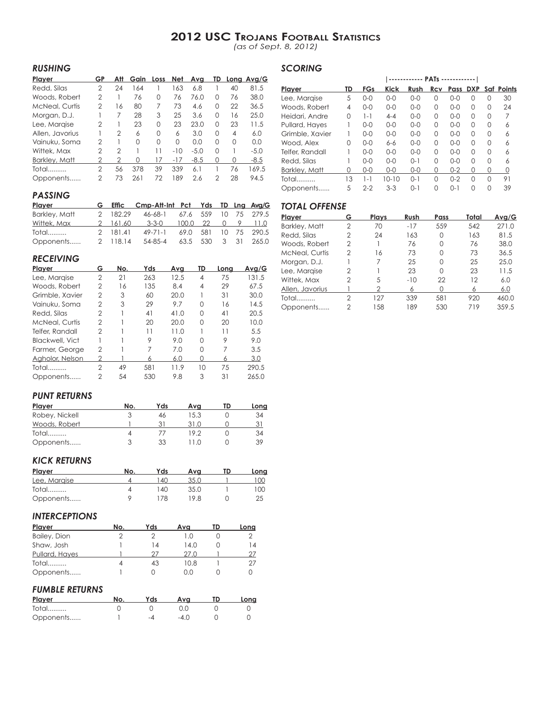*(as of Sept. 8, 2012)*

*SCORING*

## *RUSHING*

| Player                | GΡ | Att            | Gain     | Loss | Net      | Avg    | TD       |    | Long Avg/G |
|-----------------------|----|----------------|----------|------|----------|--------|----------|----|------------|
| Redd, Silas           | 2  | 24             | 164      |      | 163      | 6.8    |          | 40 | 81.5       |
| Woods, Robert         | 2  |                | 76       | 0    | 76       | 76.0   | O        | 76 | 38.0       |
| <b>McNeal, Curtis</b> | 2  | 16             | 80       | 7    | 73       | 4.6    | 0        | 22 | 36.5       |
| Morgan, D.J.          |    | 7              | 28       | 3    | 25       | 3.6    | O        | 16 | 25.0       |
| Lee, Margise          | 2  |                | 23       | 0    | 23       | 23.0   | O        | 23 | 11.5       |
| Allen, Javorius       |    | $\overline{2}$ | 6        | 0    | 6        | 3.0    | O        | 4  | 6.0        |
| Vainuku, Soma         | 2  |                | $\Omega$ | 0    | $\Omega$ | 0.0    | O        | 0  | 0.0        |
| Wittek, Max           | 2  | $\mathcal{P}$  |          | 11   | $-10$    | $-5.0$ | $\Omega$ |    | $-5.0$     |
| Barkley, Matt         | 2  | 2              | 0        | 17   | $-17$    | $-8.5$ | 0        | 0  | $-8.5$     |
| Total                 | 2  | 56             | 378      | 39   | 339      | 6.1    |          | 76 | 169.5      |
| Opponents             | 2  | 73             | 261      | 72   | 189      | 2.6    | 2        | 28 | 94.5       |

| Player          | TD | <b>FGs</b> | <b>Kick</b> | Rush     | Rcv      | Pass     | <b>DXP</b> |          | Saf Points |
|-----------------|----|------------|-------------|----------|----------|----------|------------|----------|------------|
| Lee, Margise    | 5  | $0 - 0$    | $0 - 0$     | $0 - 0$  | 0        | $0 - 0$  | 0          | O        | 30         |
| Woods, Robert   | 4  | $O - O$    | $0 - 0$     | $0 - 0$  | 0        | $0 - 0$  | O          | $\Omega$ | 24         |
| Heidari, Andre  | 0  | $1 - 1$    | $4 - 4$     | $0 - 0$  | O        | $0 - 0$  | O          | $\Omega$ | 7          |
| Pullard, Hayes  |    | $0 - 0$    | $0 - 0$     | $0 - 0$  | 0        | $0 - 0$  | O          | $\Omega$ | 6          |
| Grimble, Xavier |    | $0 - 0$    | $0 - 0$     | $0 - 0$  | 0        | $0 - 0$  | $\Omega$   | $\Omega$ | 6          |
| Wood, Alex      | 0  | $0 - 0$    | $6 - 6$     | $0 - 0$  | $\Omega$ | $0 - 0$  | $\Omega$   | $\Omega$ | 6          |
| Telfer, Randall |    | $0 - 0$    | $0 - 0$     | $0 - 0$  | $\Omega$ | $0 - 0$  | $\Omega$   | $\Omega$ | 6          |
| Redd, Silas     |    | $0 - 0$    | $0 - 0$     | $0 - 1$  | $\Omega$ | $0 - 0$  | O          | $\Omega$ | 6          |
| Barkley, Matt   | O  | $0 - 0$    | $0 - 0$     | $0 - 0$  | Ω        | $0 - 2$  | Ω          | O        | 0          |
| Total           | 13 | $1 - 1$    | $10 - 10$   | $() - 1$ | $\Omega$ | $0 - 2$  | $\Omega$   | $\Omega$ | 91         |
| Opponents       | 5  | $2 - 2$    | $3-3$       | $() - 1$ | $\Omega$ | $() - 1$ | ∩          | O        | 39         |

## *PASSING*

| Player        |          | G Effic Cmp-Att-Int Pct Yds TD Lng Avg/G |  |  |                      |
|---------------|----------|------------------------------------------|--|--|----------------------|
| Barkley, Matt | 2 182.29 | 46-68-1 67.6 559 10 75 279.5             |  |  |                      |
| Wittek, Max   |          | 2 161.60 3-3-0 100.0 22 0 9 11.0         |  |  |                      |
| Total         | 2 181.41 | 49-71-1                                  |  |  | 69.0 581 10 75 290.5 |
| Opponents     | 2 118.14 | 54-85-4                                  |  |  | 63.5 530 3 31 265.0  |

## *RECEIVING*

| Player          | G | No. | Yds | Ava  | TD | Lona | Avg/G |
|-----------------|---|-----|-----|------|----|------|-------|
| Lee, Margise    | 2 | 21  | 263 | 12.5 | 4  | 75   | 131.5 |
| Woods, Robert   | 2 | 16  | 135 | 8.4  | 4  | 29   | 67.5  |
| Grimble, Xavier | 2 | 3   | 60  | 20.0 |    | 31   | 30.0  |
| Vainuku, Soma   | 2 | 3   | 29  | 9.7  | 0  | 16   | 14.5  |
| Redd, Silas     | 2 |     | 41  | 41.0 | 0  | 41   | 20.5  |
| McNeal, Curtis  | 2 |     | 20  | 20.0 | 0  | 20   | 10.0  |
| Telfer, Randall | 2 |     | 11  | 11.0 |    | 11   | 5.5   |
| Blackwell, Vict |   |     | 9   | 9.0  | 0  | 9    | 9.0   |
| Farmer, George  | 2 |     | 7   | 7.0  | 0  | 7    | 3.5   |
| Agholor, Nelson | 2 |     | 6   | 6.0  | 0  | 6    | 3.0   |
| <b>Total</b>    | 2 | 49  | 581 | 11.9 | 10 | 75   | 290.5 |
| Opponents       | 2 | 54  | 530 | 9.8  | 3  | 31   | 265.0 |
|                 |   |     |     |      |    |      |       |

## *TOTAL OFFENSE*

| Player                | G              | <b>Plays</b> | Rush  | Pass     | Total | Avg/G |
|-----------------------|----------------|--------------|-------|----------|-------|-------|
| Barkley, Matt         | 2              | 70           | $-17$ | 559      | 542   | 271.0 |
| Redd, Silas           | $\mathfrak{D}$ | 24           | 163   | 0        | 163   | 81.5  |
| Woods, Robert         | 2              |              | 76    | O        | 76    | 38.0  |
| <b>McNeal, Curtis</b> | $\mathfrak{D}$ | 16           | 73    | O        | 73    | 36.5  |
| Morgan, D.J.          |                | 7            | 25    | O        | 25    | 25.0  |
| Lee, Margise          | $\mathfrak{D}$ |              | 23    | $\Omega$ | 23    | 11.5  |
| Wittek, Max           | $\mathfrak{D}$ | 5            | $-10$ | 22       | 12    | 6.0   |
| Allen, Javorius       |                | 2            | 6     |          | 6     | 6.0   |
| Total                 | 2              | 127          | 339   | 581      | 920   | 460.0 |
| Opponents             | 2              | 158          | 189   | 530      | 719   | 359.5 |
|                       |                |              |       |          |       |       |

## *PUNT RETURNS*

| Player         | No. | Yds | Ava     | TD | Lona |
|----------------|-----|-----|---------|----|------|
| Robey, Nickell |     | 46  | 15.3    |    | 34   |
| Woods, Robert  |     |     | 31.0    |    | 31   |
| Total          |     |     | 19.2    |    | 34   |
| Opponents      |     | 33  | $+1.0-$ |    | 39   |

#### *KICK RETURNS*

| Player       | No. | Yds | Ava  | TD | Long |
|--------------|-----|-----|------|----|------|
| Lee, Margise |     | 40  | 35.0 |    | 100  |
| Total        |     | 140 | 35.0 |    | 100. |
| Opponents    |     | 78  | 19 R |    |      |

## *INTERCEPTIONS*

| <b>Player</b>  | No. | Yds | Ava  | TD | Long |
|----------------|-----|-----|------|----|------|
| Bailey, Dion   |     |     | 1 O  |    |      |
| Shaw, Josh     |     | 14  | 14.0 |    | 14   |
| Pullard, Hayes |     | 77  | 27.0 |    | 27   |
| Total          |     | 43  | 10.8 |    | 27   |
| Opponents      |     |     | O.O  |    |      |

## *FUMBLE RETURNS*

| Plaver    | Yds | Ava  | Lona |
|-----------|-----|------|------|
| Total     |     |      |      |
| Opponents | -4  | -4 0 |      |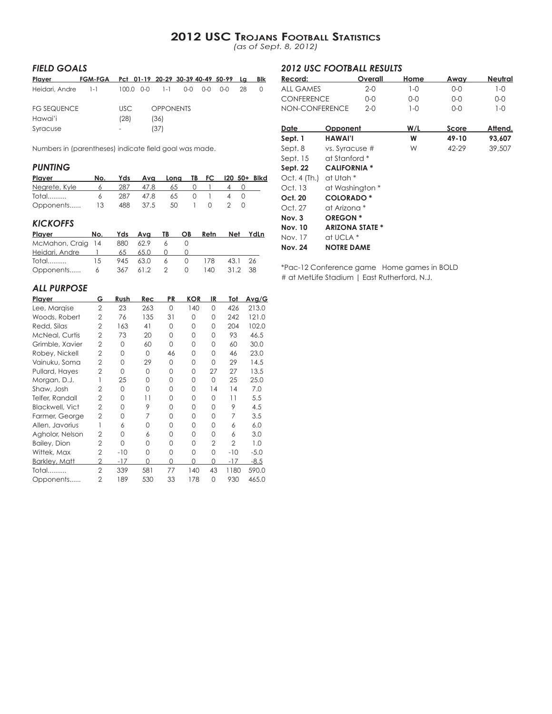*(as of Sept. 8, 2012)*

## *FIELD GOALS*

| Player             | FGM-FGA Pct 01-19 20-29 30-39 40-49 50-99 Lg |      |                                 |  |     |    | BIK |
|--------------------|----------------------------------------------|------|---------------------------------|--|-----|----|-----|
| Heidari, Andre 1-1 |                                              |      | $100.0$ $0-0$ $1-1$ $0-0$ $0-0$ |  | 0-0 | 28 |     |
| FG SEQUENCE        |                                              | USC. | <b>OPPONENTS</b>                |  |     |    |     |
| Hawai'i            |                                              | (28) | (36)                            |  |     |    |     |
| Syracuse           |                                              |      | (37)                            |  |     |    |     |

Numbers in (parentheses) indicate field goal was made.

## *PUNTING*

| Plaver        | No. |     |          | Yds Avg Long TB FC 120 50+ Blkd |          |                                      |  |  |
|---------------|-----|-----|----------|---------------------------------|----------|--------------------------------------|--|--|
| Negrete, Kyle | 6   | 287 | 47.8     | 65                              |          | $\begin{array}{ccc} 0 & \end{array}$ |  |  |
| Total         | 6.  | 287 | 47.8     | 65                              | $\Omega$ |                                      |  |  |
| Opponents     | 13  |     | 488 37.5 | - 50                            |          |                                      |  |  |

## *KICKOFFS*

| Player No.                 |    |              |         |   | Yds Ava TB OB | Retn | Net     | YdLn |
|----------------------------|----|--------------|---------|---|---------------|------|---------|------|
| McMahon, Craig 14 880 62.9 |    |              |         | 6 |               |      |         |      |
| Heidari, Andre 1           |    | 65 —         | 65.0    |   |               |      |         |      |
| Total                      | 15 |              | 945 630 |   | 6 0 178       |      | 43.1 26 |      |
| Opponents                  |    | 6 367 61.2 2 |         |   | $\Omega$      | 140. | 31.2 38 |      |

## *ALL PURPOSE*

| Player                 | G              | Rush     | Rec      | PR       | <b>KOR</b> | IR             | Tot            | <u>Avg/G</u> |
|------------------------|----------------|----------|----------|----------|------------|----------------|----------------|--------------|
| Lee, Margise           | $\overline{2}$ | 23       | 263      | 0        | 140        | 0              | 426            | 213.0        |
| Woods, Robert          | $\overline{2}$ | 76       | 135      | 31       | $\Omega$   | 0              | 242            | 121.0        |
| Redd, Silas            | $\overline{2}$ | 163      | 41       | $\Omega$ | O          | 0              | 204            | 102.0        |
| <b>McNeal, Curtis</b>  | $\overline{2}$ | 73       | 20       | 0        | $\Omega$   | 0              | 93             | 46.5         |
| Grimble, Xavier        | $\overline{2}$ | $\Omega$ | 60       | 0        | $\Omega$   | 0              | 60             | 30.0         |
| Robey, Nickell         | $\overline{2}$ | $\Omega$ | $\Omega$ | 46       | 0          | 0              | 46             | 23.0         |
| Vainuku, Soma          | $\overline{2}$ | $\Omega$ | 29       | 0        | 0          | $\Omega$       | 29             | 14.5         |
| Pullard, Hayes         | $\overline{2}$ | $\Omega$ | $\Omega$ | 0        | 0          | 27             | 27             | 13.5         |
| Morgan, D.J.           |                | 25       | 0        | $\Omega$ | 0          | $\Omega$       | 25             | 25.0         |
| Shaw, Josh             | $\overline{2}$ | $\Omega$ | $\Omega$ | O        | O          | 14             | 14             | 7.0          |
| Telfer, Randall        | $\overline{2}$ | 0        | 11       | 0        | 0          | 0              | 11             | 5.5          |
| <b>Blackwell, Vict</b> | $\overline{2}$ | $\Omega$ | 9        | $\Omega$ | O          | O              | 9              | 4.5          |
| Farmer, George         | $\overline{2}$ | $\Omega$ | 7        | $\Omega$ | 0          | 0              | 7              | 3.5          |
| Allen, Javorius        |                | 6        | 0        | $\Omega$ | O          | 0              | 6              | 6.0          |
| Agholor, Nelson        | $\overline{2}$ | O        | 6        | 0        | O          | O              | 6              | 3.0          |
| Bailey, Dion           | $\overline{2}$ | 0        | 0        | 0        | 0          | $\overline{2}$ | $\overline{2}$ | 1.0          |
| Wittek, Max            | $\overline{2}$ | $-10$    | $\Omega$ | 0        | 0          | 0              | $-10$          | $-5.0$       |
| <b>Barkley, Matt</b>   | 2              | $-17$    | 0        | $\Omega$ | 0          | 0              | -17            | $-8.5$       |
| Total                  | $\overline{2}$ | 339      | 581      | 77       | 140        | 43             | 1180           | 590.0        |
| Opponents              | $\overline{2}$ | 189      | 530      | 33       | 178        | 0              | 930            | 465.0        |
|                        |                |          |          |          |            |                |                |              |

## *2012 USC FOOTBALL RESULTS*

| Record:        | Overall | Home | Awav | Neutral |
|----------------|---------|------|------|---------|
| all Games      | $2-0$   | 1-0  | O-0  | 1-0     |
| CONFERENCE     | 0-0     | 0-0  | 0-0  | 0-0     |
| NON-CONFERENCE | $2-0$   | 1-0  | 0-0  | 1-0     |

| Date           | Opponent               | W/L | Score | Attend. |
|----------------|------------------------|-----|-------|---------|
| Sept. 1        | <b>HAWAI'I</b>         | W   | 49-10 | 93,607  |
| Sept. 8        | vs. Syracuse #         | W   | 42-29 | 39,507  |
| Sept. 15       | at Stanford *          |     |       |         |
| Sept. 22       | <b>CALIFORNIA*</b>     |     |       |         |
| Oct. 4 (Th.)   | at Utah *              |     |       |         |
| Oct. 13        | at Washington *        |     |       |         |
| Oct. 20        | <b>COLORADO*</b>       |     |       |         |
| Oct. 27        | at Arizona *           |     |       |         |
| Nov. 3         | <b>OREGON*</b>         |     |       |         |
| <b>Nov. 10</b> | <b>ARIZONA STATE *</b> |     |       |         |
| Nov. 17        | at UCLA *              |     |       |         |
| <b>Nov. 24</b> | <b>NOTRE DAME</b>      |     |       |         |

\*Pac-12 Conference game Home games in BOLD # at MetLife Stadium | East Rutherford, N.J.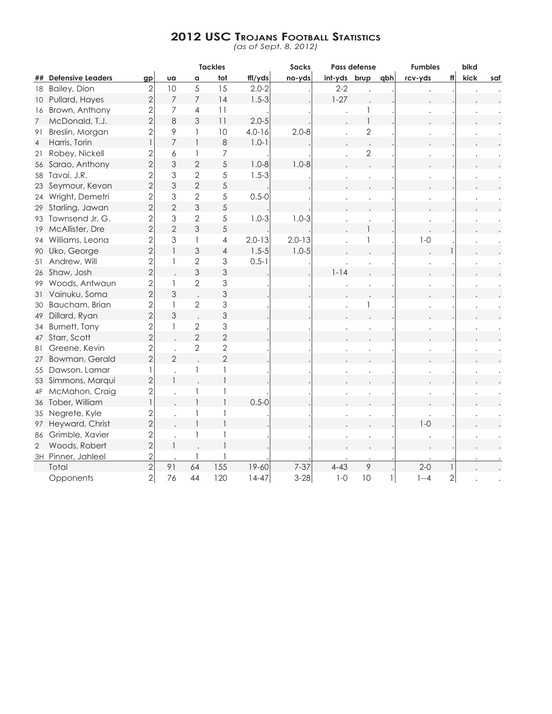*(as of Sept. 8, 2012)*

|                 |                          |                |                           |                | <b>Tackles</b> |            | <b>Sacks</b> |              | Pass defense   |     | <b>Fumbles</b> |                | blkd |     |
|-----------------|--------------------------|----------------|---------------------------|----------------|----------------|------------|--------------|--------------|----------------|-----|----------------|----------------|------|-----|
| ##              | <b>Defensive Leaders</b> | gp             | Ua                        | $\,$ $\,$      | tot            | ffl/yds    | no-yds       | int-yds brup |                | qbh | rcv-yds        | ff             | kick | saf |
| 18              | Bailey, Dion             | $\overline{2}$ | 10                        | 5              | 15             | $2.0 - 2$  |              | $2 - 2$      |                |     |                |                |      |     |
|                 | 10 Pullard, Hayes        | $\overline{2}$ | $\overline{7}$            | $\overline{7}$ | 14             | $1.5 - 3$  |              | $1 - 27$     |                |     |                |                |      |     |
| 16              | Brown, Anthony           | 2              | 7                         | 4              | 11             |            |              |              | 1              |     |                |                |      |     |
| $7\overline{ }$ | McDonald, T.J.           | $\overline{2}$ | $\,8\,$                   | 3              | 11             | $2.0 - 5$  |              |              | $\overline{1}$ |     |                |                |      |     |
| 91              | Breslin, Morgan          | $\overline{2}$ | 9                         | 1              | 10             | $4.0 - 16$ | $2.0 - 8$    |              | $\sqrt{2}$     |     |                |                |      |     |
| $\overline{4}$  | Harris, Torin            | $\overline{1}$ | $\overline{7}$            | $\mathbf{1}$   | 8              | $1.0 - 1$  |              |              |                |     |                |                |      |     |
| 21              | Robey, Nickell           | 2              | 6                         | 1              | $\overline{7}$ |            |              |              | $\sqrt{2}$     |     |                |                |      |     |
| 56              | Sarao, Anthony           | $\overline{2}$ | 3                         | $\overline{2}$ | 5              | $1.0 - 8$  | $1.0 - 8$    |              |                |     |                |                |      |     |
| 58              | Tavai, J.R.              | $\overline{2}$ | 3                         | $\overline{2}$ | $\sqrt{5}$     | $1.5 - 3$  |              |              |                |     |                |                |      |     |
| 23              | Seymour, Kevon           | $\overline{2}$ | 3                         | $\overline{2}$ | 5              |            |              |              |                |     |                |                |      |     |
| 24              | Wright, Demetri          | $\overline{2}$ | 3                         | $\overline{2}$ | 5              | $0.5 - 0$  |              |              |                |     |                |                |      |     |
| 29              | Starling, Jawan          | $\overline{2}$ | $\overline{2}$            | 3              | 5              |            |              |              |                |     |                |                |      |     |
|                 | 93 Townsend Jr, G.       | $\overline{2}$ | 3                         | $\overline{2}$ | $\sqrt{5}$     | $1.0 - 3$  | $1.0 - 3$    |              |                |     |                |                |      |     |
| 19              | McAllister, Dre          | $\overline{2}$ | $\overline{2}$            | 3              | 5              |            |              |              |                |     |                |                |      |     |
| 94              | Williams, Leona          | $\overline{2}$ | 3                         | 1              | $\overline{4}$ | $2.0 - 13$ | $2.0 - 13$   |              |                |     | $1-0$          |                |      |     |
|                 | 90 Uko, George           | $\overline{2}$ | $\mathbf{1}$              | 3              | $\overline{4}$ | $1.5 - 5$  | $1.0 - 5$    |              |                |     |                |                |      |     |
| 51              | Andrew, Will             | $\overline{2}$ | 1                         | $\sqrt{2}$     | 3              | $0.5 - 1$  |              |              |                |     |                |                |      |     |
|                 | 26 Shaw, Josh            | $\overline{2}$ |                           | 3              | 3              |            |              | $1 - 14$     |                |     |                |                |      |     |
| 99              | Woods, Antwaun           | $\overline{2}$ | 1                         | $\overline{2}$ | 3              |            |              |              |                |     |                |                |      |     |
| 31              | Vainuku, Soma            | $\overline{2}$ | 3                         |                | 3              |            |              |              |                |     |                |                |      |     |
| 30              | Baucham, Brian           | $\overline{c}$ | $\ensuremath{\mathsf{I}}$ | $\mathbf{2}$   | 3              |            |              |              |                |     |                |                |      |     |
| 49              | Dillard, Ryan            | $\overline{2}$ | 3                         |                | 3              |            |              |              |                |     |                |                |      |     |
|                 | 34 Burnett, Tony         | $\overline{2}$ | $\mathbf{1}$              | $\overline{2}$ | 3              |            |              |              |                |     |                |                |      |     |
|                 | 47 Starr, Scott          | $\overline{2}$ |                           | $\overline{2}$ | $\overline{2}$ |            |              |              |                |     |                |                |      |     |
| 81              | Greene, Kevin            | $\overline{c}$ |                           | $\overline{2}$ | $\mathbf{2}$   |            |              |              |                |     |                |                |      |     |
| 27              | Bowman, Gerald           | $\overline{2}$ | $\overline{2}$            |                | $\overline{2}$ |            |              |              |                |     |                |                |      |     |
| 55              | Dawson, Lamar            | $\mathbf{1}$   |                           | 1              | $\mathbf{1}$   |            |              |              |                |     |                |                |      |     |
|                 | 53 Simmons, Marqui       | $\overline{2}$ | $\mathbf{1}$              |                | $\overline{1}$ |            |              |              |                |     |                |                |      |     |
| 4F              | McMahon, Craig           | $\overline{2}$ |                           | 1              | 1              |            |              |              |                |     |                |                |      |     |
|                 | 36 Tober, William        | $\mathbf{1}$   |                           | $\mathbf{1}$   | $\mathbf{1}$   | $0.5 - 0$  |              |              |                |     |                |                |      |     |
|                 | 35 Negrete, Kyle         | $\overline{c}$ |                           | 1              | $\mathbf{1}$   |            |              |              |                |     |                |                |      |     |
|                 | 97 Heyward, Christ       | $\overline{2}$ |                           | $\mathbf{1}$   | $\overline{1}$ |            |              |              |                |     | $1-0$          |                |      |     |
| 86              | Grimble, Xavier          |                |                           | 1              | 1              |            |              |              |                |     |                |                |      |     |
| $\overline{2}$  | Woods, Robert            | $\frac{2}{2}$  |                           |                | $\mathbf{1}$   |            |              |              |                |     |                |                |      |     |
|                 | 3H Pinner, Jahleel       | $\overline{2}$ |                           |                |                |            |              |              |                |     |                |                |      |     |
|                 | Total                    | $\overline{2}$ | 91                        | 64             | 155            | $19 - 60$  | $7 - 37$     | $4 - 43$     | 9              |     | $2 - 0$        |                |      |     |
|                 | Opponents                | $\overline{2}$ | 76                        | 44             | 120            | $14-47$    | $3 - 28$     | $1-0$        | 10             |     | $1 - 4$        | $\overline{2}$ |      |     |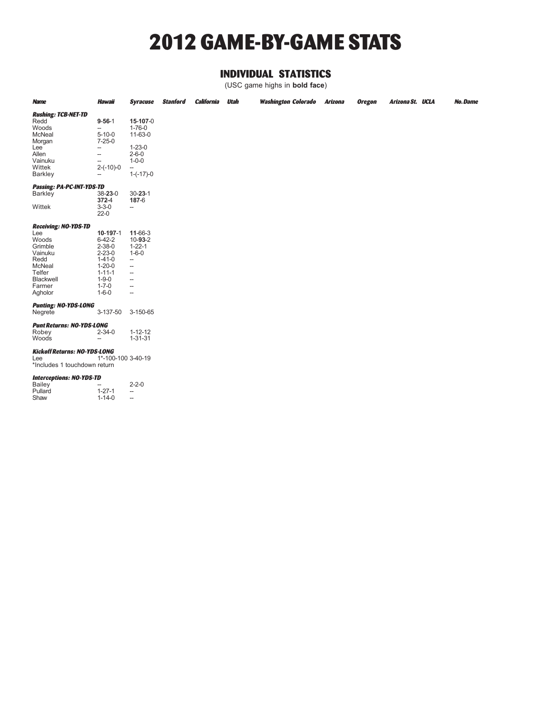## **2012 GAME-BY-GAME STATS**

## **INDIVIDUAL STATISTICS**

(USC game highs in **bold face**)

| <b>Name</b>                                                                                                            | <b>Hawaii</b>                                                                                                                                                        | <b>Syracuse</b>                                                                                                                                                                                            | <b>Stanford</b> | <b>California</b> | <b>Utah</b> | <b>Washington Colorado</b> | <b>Arizona</b> | <b>Oregon</b> | Arizona St. UCLA | No.Dame |
|------------------------------------------------------------------------------------------------------------------------|----------------------------------------------------------------------------------------------------------------------------------------------------------------------|------------------------------------------------------------------------------------------------------------------------------------------------------------------------------------------------------------|-----------------|-------------------|-------------|----------------------------|----------------|---------------|------------------|---------|
| <b>Rushing: TCB-NET-TD</b><br>Redd<br>Woods<br>McNeal<br>Morgan<br>Lee<br>Allen<br>Vainuku<br>Wittek<br><b>Barkley</b> | $9 - 56 - 1$<br>÷.,<br>$5 - 10 - 0$<br>$7 - 25 - 0$<br>$\hspace{0.05cm}$<br>$\hspace{0.05cm}$<br>$\overline{\phantom{a}}$<br>$2-(-10)-0$<br>$\overline{\phantom{a}}$ | 15-107-0<br>$1 - 76 - 0$<br>11-63-0<br>$1 - 23 - 0$<br>$2 - 6 - 0$<br>$1 - 0 - 0$<br>--<br>$1 - (-17) - 0$                                                                                                 |                 |                   |             |                            |                |               |                  |         |
| Passing: PA-PC-INT-YDS-TD                                                                                              |                                                                                                                                                                      |                                                                                                                                                                                                            |                 |                   |             |                            |                |               |                  |         |
| <b>Barkley</b>                                                                                                         | $38 - 23 - 0$                                                                                                                                                        | $30 - 23 - 1$                                                                                                                                                                                              |                 |                   |             |                            |                |               |                  |         |
| Wittek                                                                                                                 | $372 - 4$<br>$3 - 3 - 0$<br>$22 - 0$                                                                                                                                 | 187-6<br>$\overline{\phantom{a}}$                                                                                                                                                                          |                 |                   |             |                            |                |               |                  |         |
| <b>Receiving: NO-YDS-TD</b>                                                                                            |                                                                                                                                                                      |                                                                                                                                                                                                            |                 |                   |             |                            |                |               |                  |         |
| Lee<br>Woods<br>Grimble<br>Vainuku<br>Redd<br>McNeal<br>Telfer<br>Blackwell<br>Farmer<br>Agholor                       | 10-197-1<br>$6 - 42 - 2$<br>$2 - 38 - 0$<br>$2 - 23 - 0$<br>$1 - 41 - 0$<br>$1 - 20 - 0$<br>$1 - 11 - 1$<br>$1 - 9 - 0$<br>$1 - 7 - 0$<br>$1 - 6 - 0$                | 11-66-3<br>$10 - 93 - 2$<br>$1 - 22 - 1$<br>$1 - 6 - 0$<br>$\overline{\phantom{a}}$<br>$\overline{\phantom{a}}$<br>$\overline{\phantom{a}}$<br>÷.,<br>$\overline{\phantom{a}}$<br>$\overline{\phantom{a}}$ |                 |                   |             |                            |                |               |                  |         |
| <b>Punting: NO-YDS-LONG</b><br>Negrete                                                                                 | 3-137-50                                                                                                                                                             | 3-150-65                                                                                                                                                                                                   |                 |                   |             |                            |                |               |                  |         |
| <b>Punt Returns: NO-YDS-LONG</b><br>Robey<br>Woods                                                                     | $2 - 34 - 0$<br>$\overline{\phantom{m}}$                                                                                                                             | $1 - 12 - 12$<br>$1 - 31 - 31$                                                                                                                                                                             |                 |                   |             |                            |                |               |                  |         |
| <b>Kickoff Returns: NO-YDS-LONG</b><br>Lee<br>*Includes 1 touchdown return                                             | 1*-100-100 3-40-19                                                                                                                                                   |                                                                                                                                                                                                            |                 |                   |             |                            |                |               |                  |         |
|                                                                                                                        |                                                                                                                                                                      |                                                                                                                                                                                                            |                 |                   |             |                            |                |               |                  |         |

| <b>Interceptions: NO-YDS-TD</b> |  |
|---------------------------------|--|
|                                 |  |

| Bailey  | --           | $2 - 2 - 0$ |
|---------|--------------|-------------|
| Pullard | $1 - 27 - 1$ | --          |
| Shaw    | $1 - 14 - 0$ | --          |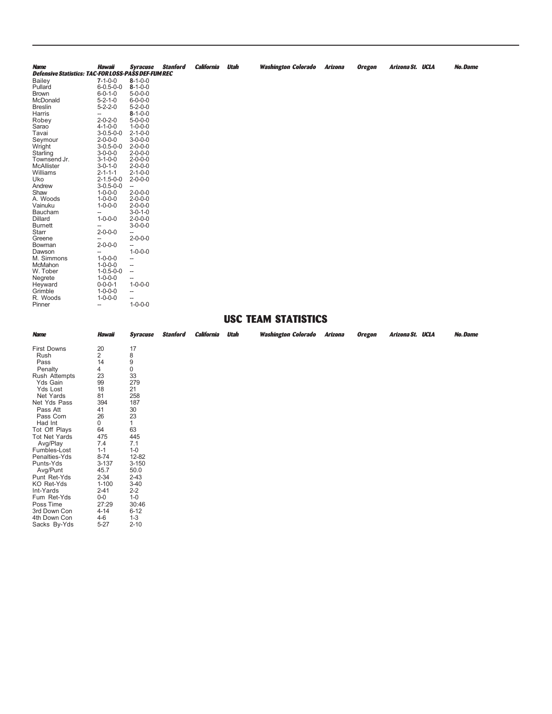| <b>Name</b>                                                | <b>Hawaii</b>            | <b>Syracuse</b>          | <b>Stanford</b> | <b>California</b> | <b>Utah</b> | <b>Washington Colorado</b> | <b>Arizona</b> | <b>Oregon</b> | Arizona St. UCLA | No.Dame |
|------------------------------------------------------------|--------------------------|--------------------------|-----------------|-------------------|-------------|----------------------------|----------------|---------------|------------------|---------|
| <b>Defensive Statistics: TAC-FOR LOSS-PASS DEF-FUM REC</b> |                          |                          |                 |                   |             |                            |                |               |                  |         |
| Bailey                                                     | $7 - 1 - 0 - 0$          | $8 - 1 - 0 - 0$          |                 |                   |             |                            |                |               |                  |         |
| Pullard                                                    | $6 - 0.5 - 0 - 0$        | $8 - 1 - 0 - 0$          |                 |                   |             |                            |                |               |                  |         |
| <b>Brown</b>                                               | $6 - 0 - 1 - 0$          | $5 - 0 - 0 - 0$          |                 |                   |             |                            |                |               |                  |         |
| McDonald                                                   | $5 - 2 - 1 - 0$          | $6 - 0 - 0 - 0$          |                 |                   |             |                            |                |               |                  |         |
| <b>Breslin</b>                                             | $5 - 2 - 2 - 0$          | $5 - 2 - 0 - 0$          |                 |                   |             |                            |                |               |                  |         |
| Harris                                                     | $\overline{\phantom{a}}$ | $8 - 1 - 0 - 0$          |                 |                   |             |                            |                |               |                  |         |
| Robey                                                      | $2 - 0 - 2 - 0$          | $5 - 0 - 0 - 0$          |                 |                   |             |                            |                |               |                  |         |
| Sarao                                                      | $4 - 1 - 0 - 0$          | $1 - 0 - 0 - 0$          |                 |                   |             |                            |                |               |                  |         |
| Tavai                                                      | $3-0.5-0-0$              | $2 - 1 - 0 - 0$          |                 |                   |             |                            |                |               |                  |         |
| Seymour                                                    | $2 - 0 - 0 - 0$          | $3 - 0 - 0 - 0$          |                 |                   |             |                            |                |               |                  |         |
| Wright                                                     | $3-0.5-0-0$              | $2 - 0 - 0 - 0$          |                 |                   |             |                            |                |               |                  |         |
| Starling                                                   | $3 - 0 - 0 - 0$          | $2 - 0 - 0 - 0$          |                 |                   |             |                            |                |               |                  |         |
| Townsend Jr.                                               | $3 - 1 - 0 - 0$          | $2 - 0 - 0 - 0$          |                 |                   |             |                            |                |               |                  |         |
| McAllister                                                 | $3 - 0 - 1 - 0$          | $2 - 0 - 0 - 0$          |                 |                   |             |                            |                |               |                  |         |
| Williams                                                   | $2 - 1 - 1 - 1$          | $2 - 1 - 0 - 0$          |                 |                   |             |                            |                |               |                  |         |
| Uko                                                        | $2 - 1.5 - 0 - 0$        | $2 - 0 - 0 - 0$          |                 |                   |             |                            |                |               |                  |         |
| Andrew                                                     | $3 - 0.5 - 0 - 0$        | --                       |                 |                   |             |                            |                |               |                  |         |
| Shaw                                                       | $1 - 0 - 0 - 0$          | $2 - 0 - 0 - 0$          |                 |                   |             |                            |                |               |                  |         |
| A. Woods                                                   | $1 - 0 - 0 - 0$          | $2 - 0 - 0 - 0$          |                 |                   |             |                            |                |               |                  |         |
| Vainuku                                                    | $1 - 0 - 0 - 0$          | $2 - 0 - 0 - 0$          |                 |                   |             |                            |                |               |                  |         |
| Baucham                                                    |                          | $3 - 0 - 1 - 0$          |                 |                   |             |                            |                |               |                  |         |
| Dillard                                                    | $1 - 0 - 0 - 0$          | $2 - 0 - 0 - 0$          |                 |                   |             |                            |                |               |                  |         |
| <b>Burnett</b>                                             | $\overline{\phantom{0}}$ | $3 - 0 - 0 - 0$          |                 |                   |             |                            |                |               |                  |         |
| Starr                                                      | $2 - 0 - 0 - 0$          | --                       |                 |                   |             |                            |                |               |                  |         |
| Greene                                                     |                          | $2 - 0 - 0 - 0$          |                 |                   |             |                            |                |               |                  |         |
| Bowman                                                     | $2 - 0 - 0 - 0$          | --                       |                 |                   |             |                            |                |               |                  |         |
| Dawson                                                     | --                       | $1 - 0 - 0 - 0$          |                 |                   |             |                            |                |               |                  |         |
| M. Simmons                                                 | $1 - 0 - 0 - 0$          | --                       |                 |                   |             |                            |                |               |                  |         |
| McMahon                                                    | $1 - 0 - 0 - 0$          | --                       |                 |                   |             |                            |                |               |                  |         |
| W. Tober                                                   | $1 - 0.5 - 0 - 0$        | $\overline{\phantom{a}}$ |                 |                   |             |                            |                |               |                  |         |
| Negrete                                                    | $1 - 0 - 0 - 0$          | --                       |                 |                   |             |                            |                |               |                  |         |
| Heyward                                                    | $0 - 0 - 0 - 1$          | $1 - 0 - 0 - 0$          |                 |                   |             |                            |                |               |                  |         |
| Grimble                                                    | $1 - 0 - 0 - 0$          | $\overline{\phantom{a}}$ |                 |                   |             |                            |                |               |                  |         |
| R. Woods                                                   | $1 - 0 - 0 - 0$          |                          |                 |                   |             |                            |                |               |                  |         |
|                                                            |                          | ÷<br>$1 - 0 - 0 - 0$     |                 |                   |             |                            |                |               |                  |         |
| Pinner                                                     | $\overline{\phantom{a}}$ |                          |                 |                   |             |                            |                |               |                  |         |
|                                                            |                          |                          |                 |                   |             | HIGO TEAM CTATICTICS       |                |               |                  |         |

## **USC TEAM STATISTICS**

| <b>Name</b>          | Hawaii         | Syracuse  | <b>Stanford</b> | California | <b>Utah</b> | <b>Washington Colorado</b> | <b>Arizona</b> | <b>Oregon</b> | Arizona St. UCLA | No.Dame |
|----------------------|----------------|-----------|-----------------|------------|-------------|----------------------------|----------------|---------------|------------------|---------|
| <b>First Downs</b>   | 20             | 17        |                 |            |             |                            |                |               |                  |         |
| Rush                 | $\overline{2}$ | 8         |                 |            |             |                            |                |               |                  |         |
| Pass                 | 14             | 9         |                 |            |             |                            |                |               |                  |         |
| Penalty              | 4              | 0         |                 |            |             |                            |                |               |                  |         |
| Rush Attempts        | 23             | 33        |                 |            |             |                            |                |               |                  |         |
| Yds Gain             | 99             | 279       |                 |            |             |                            |                |               |                  |         |
| Yds Lost             | 18             | 21        |                 |            |             |                            |                |               |                  |         |
| Net Yards            | 81             | 258       |                 |            |             |                            |                |               |                  |         |
| Net Yds Pass         | 394            | 187       |                 |            |             |                            |                |               |                  |         |
| Pass Att             | 41             | 30        |                 |            |             |                            |                |               |                  |         |
| Pass Com             | 26             | 23        |                 |            |             |                            |                |               |                  |         |
| Had Int              | 0              | 1         |                 |            |             |                            |                |               |                  |         |
| Tot Off Plays        | 64             | 63        |                 |            |             |                            |                |               |                  |         |
| <b>Tot Net Yards</b> | 475            | 445       |                 |            |             |                            |                |               |                  |         |
| Avg/Play             | 7.4            | 7.1       |                 |            |             |                            |                |               |                  |         |
| Fumbles-Lost         | $1 - 1$        | $1 - 0$   |                 |            |             |                            |                |               |                  |         |
| Penalties-Yds        | $8 - 74$       | 12-82     |                 |            |             |                            |                |               |                  |         |
| Punts-Yds            | $3 - 137$      | $3 - 150$ |                 |            |             |                            |                |               |                  |         |
| Avg/Punt             | 45.7           | 50.0      |                 |            |             |                            |                |               |                  |         |
| Punt Ret-Yds         | $2 - 34$       | $2 - 43$  |                 |            |             |                            |                |               |                  |         |
| KO Ret-Yds           | $1 - 100$      | $3 - 40$  |                 |            |             |                            |                |               |                  |         |
| Int-Yards            | $2 - 41$       | $2 - 2$   |                 |            |             |                            |                |               |                  |         |
| Fum Ret-Yds          | $0-0$          | $1 - 0$   |                 |            |             |                            |                |               |                  |         |
| Poss Time            | 27:29          | 30:46     |                 |            |             |                            |                |               |                  |         |
| 3rd Down Con         | $4 - 14$       | $6 - 12$  |                 |            |             |                            |                |               |                  |         |
| 4th Down Con         | $4-6$          | $1 - 3$   |                 |            |             |                            |                |               |                  |         |
| Sacks By-Yds         | $5 - 27$       | $2 - 10$  |                 |            |             |                            |                |               |                  |         |